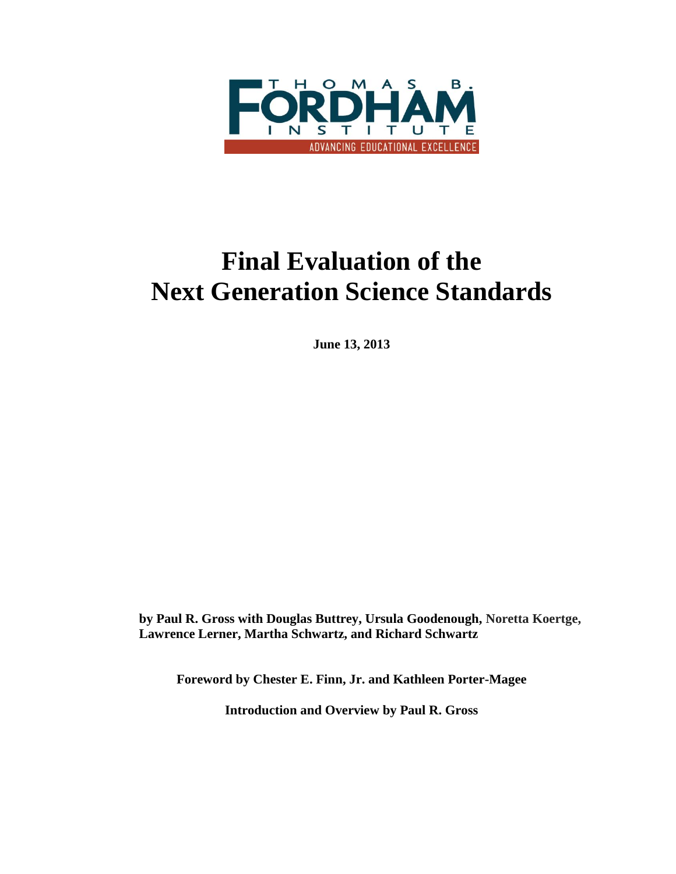

# **Final Evaluation of the Next Generation Science Standards**

**June 13, 2013**

**by Paul R. Gross with Douglas Buttrey, Ursula Goodenough, Noretta Koertge, Lawrence Lerner, Martha Schwartz, and Richard Schwartz** 

**Foreword by Chester E. Finn, Jr. and Kathleen Porter-Magee**

**Introduction and Overview by Paul R. Gross**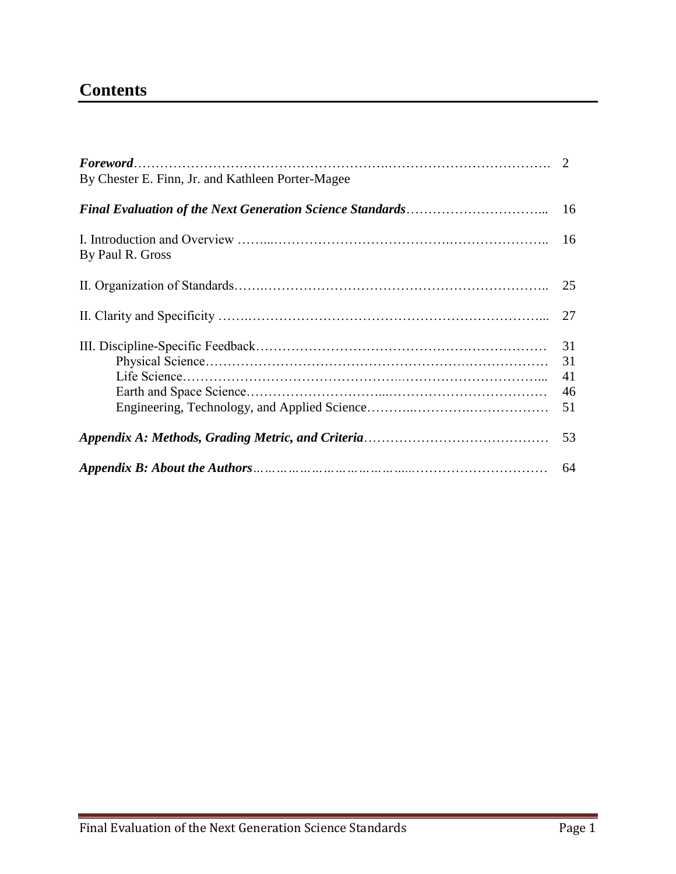# **Contents**

| By Chester E. Finn, Jr. and Kathleen Porter-Magee |                            |
|---------------------------------------------------|----------------------------|
|                                                   |                            |
| By Paul R. Gross                                  |                            |
|                                                   | 25                         |
|                                                   | 27                         |
|                                                   | 31<br>31<br>41<br>46<br>51 |
|                                                   | 53                         |
|                                                   | 64                         |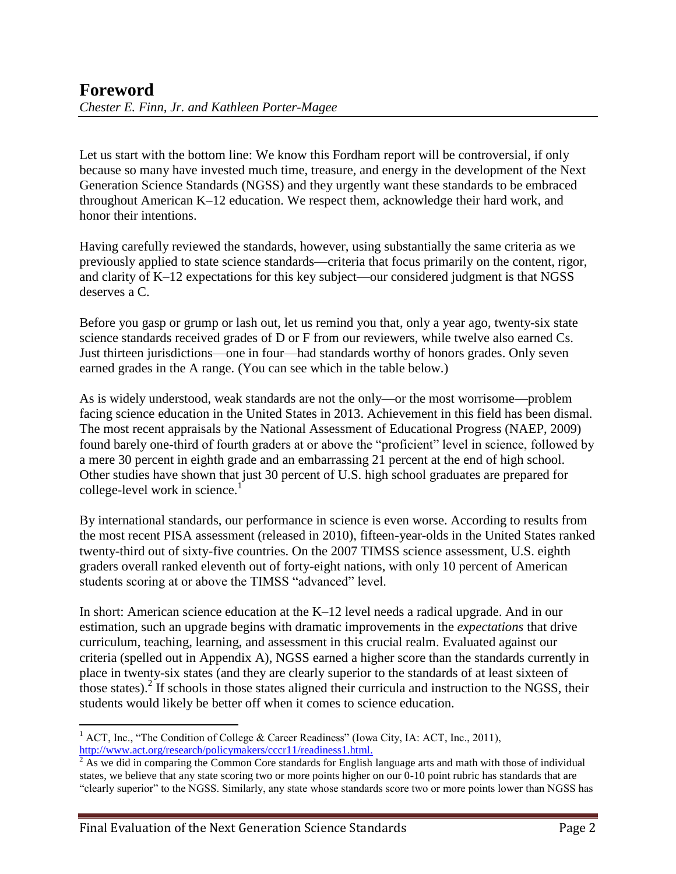Let us start with the bottom line: We know this Fordham report will be controversial, if only because so many have invested much time, treasure, and energy in the development of the Next Generation Science Standards (NGSS) and they urgently want these standards to be embraced throughout American K–12 education. We respect them, acknowledge their hard work, and honor their intentions.

Having carefully reviewed the standards, however, using substantially the same criteria as we previously applied to state science standards—criteria that focus primarily on the content, rigor, and clarity of K–12 expectations for this key subject—our considered judgment is that NGSS deserves a C.

Before you gasp or grump or lash out, let us remind you that, only a year ago, twenty-six state science standards received grades of D or F from our reviewers, while twelve also earned Cs. Just thirteen jurisdictions—one in four—had standards worthy of honors grades. Only seven earned grades in the A range. (You can see which in the table below.)

As is widely understood, weak standards are not the only—or the most worrisome—problem facing science education in the United States in 2013. Achievement in this field has been dismal. The most recent appraisals by the National Assessment of Educational Progress (NAEP, 2009) found barely one-third of fourth graders at or above the "proficient" level in science, followed by a mere 30 percent in eighth grade and an embarrassing 21 percent at the end of high school. Other studies have shown that just 30 percent of U.S. high school graduates are prepared for college-level work in science.<sup>1</sup>

By international standards, our performance in science is even worse. According to results from the most recent PISA assessment (released in 2010), fifteen-year-olds in the United States ranked twenty-third out of sixty-five countries. On the 2007 TIMSS science assessment, U.S. eighth graders overall ranked eleventh out of forty-eight nations, with only 10 percent of American students scoring at or above the TIMSS "advanced" level.

In short: American science education at the K–12 level needs a radical upgrade. And in our estimation, such an upgrade begins with dramatic improvements in the *expectations* that drive curriculum, teaching, learning, and assessment in this crucial realm. Evaluated against our criteria (spelled out in Appendix A), NGSS earned a higher score than the standards currently in place in twenty-six states (and they are clearly superior to the standards of at least sixteen of those states).<sup>2</sup> If schools in those states aligned their curricula and instruction to the NGSS, their students would likely be better off when it comes to science education.

 $\overline{a}$ <sup>1</sup> ACT, Inc., "The Condition of College & Career Readiness" (Iowa City, IA: ACT, Inc., 2011), [http://www.act.org/research/policymakers/cccr11/readiness1.html.](http://www.act.org/research/policymakers/cccr11/readiness1.html)

 $\sqrt[2]{2}$  As we did in comparing the Common Core standards for English language arts and math with those of individual states, we believe that any state scoring two or more points higher on our 0-10 point rubric has standards that are "clearly superior" to the NGSS. Similarly, any state whose standards score two or more points lower than NGSS has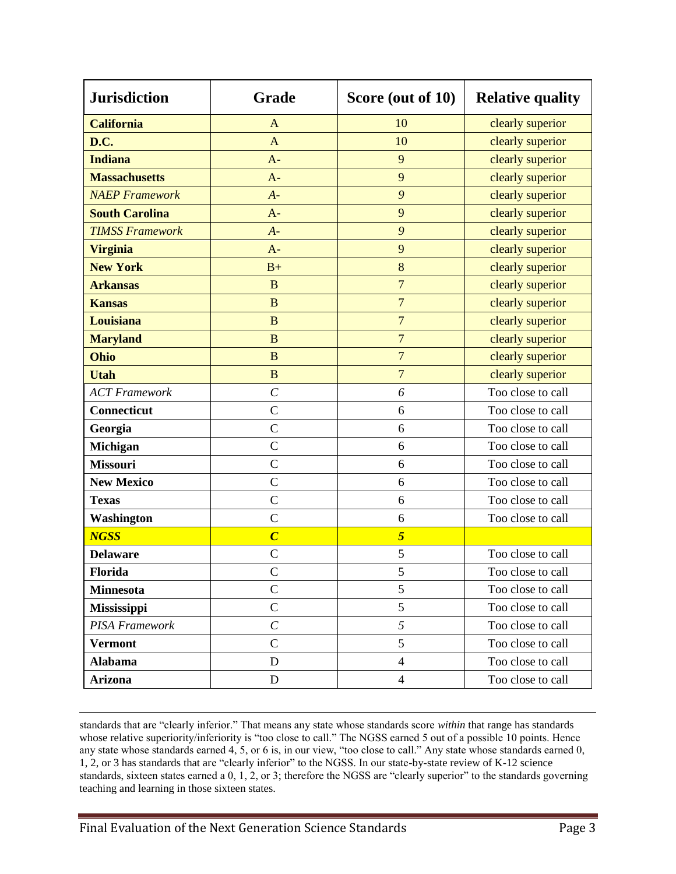| <b>Jurisdiction</b>    | Grade                   | Score (out of 10) | <b>Relative quality</b> |
|------------------------|-------------------------|-------------------|-------------------------|
| <b>California</b>      | $\mathbf{A}$            | 10                | clearly superior        |
| D.C.                   | $\overline{A}$          | 10                | clearly superior        |
| <b>Indiana</b>         | $A-$                    | 9                 | clearly superior        |
| <b>Massachusetts</b>   | $A -$                   | 9                 | clearly superior        |
| <b>NAEP Framework</b>  | $A -$                   | 9                 | clearly superior        |
| <b>South Carolina</b>  | $A -$                   | 9                 | clearly superior        |
| <b>TIMSS Framework</b> | $A -$                   | 9                 | clearly superior        |
| <b>Virginia</b>        | $A -$                   | 9                 | clearly superior        |
| <b>New York</b>        | $B+$                    | 8                 | clearly superior        |
| <b>Arkansas</b>        | B                       | $\overline{7}$    | clearly superior        |
| <b>Kansas</b>          | $\mathbf{B}$            | $\overline{7}$    | clearly superior        |
| Louisiana              | $\overline{B}$          | $\overline{7}$    | clearly superior        |
| <b>Maryland</b>        | $\overline{B}$          | $\overline{7}$    | clearly superior        |
| Ohio                   | $\mathbf{B}$            | $\overline{7}$    | clearly superior        |
| <b>Utah</b>            | $\overline{B}$          | $\overline{7}$    | clearly superior        |
| <b>ACT</b> Framework   | $\mathcal{C}_{0}^{(n)}$ | 6                 | Too close to call       |
| Connecticut            | $\overline{C}$          | 6                 | Too close to call       |
| Georgia                | $\mathcal{C}$           | 6                 | Too close to call       |
| Michigan               | $\mathcal{C}$           | 6                 | Too close to call       |
| <b>Missouri</b>        | $\mathsf{C}$            | 6                 | Too close to call       |
| <b>New Mexico</b>      | $\overline{C}$          | 6                 | Too close to call       |
| <b>Texas</b>           | $\mathsf{C}$            | 6                 | Too close to call       |
| Washington             | $\mathcal{C}$           | 6                 | Too close to call       |
| <b>NGSS</b>            | $\overline{C}$          | 5                 |                         |
| <b>Delaware</b>        | $\mathsf{C}$            | 5                 | Too close to call       |
| Florida                | $\mathbf C$             | 5                 | Too close to call       |
| <b>Minnesota</b>       | $\mathcal{C}$           | 5                 | Too close to call       |
| <b>Mississippi</b>     | $\mathcal{C}$           | 5                 | Too close to call       |
| PISA Framework         | $\mathcal{C}_{0}^{0}$   | 5                 | Too close to call       |
| <b>Vermont</b>         | $\mathcal{C}$           | 5                 | Too close to call       |
| <b>Alabama</b>         | D                       | $\overline{4}$    | Too close to call       |
| Arizona                | D                       | $\overline{4}$    | Too close to call       |

standards that are "clearly inferior." That means any state whose standards score *within* that range has standards whose relative superiority/inferiority is "too close to call." The NGSS earned 5 out of a possible 10 points. Hence any state whose standards earned 4, 5, or 6 is, in our view, "too close to call." Any state whose standards earned 0, 1, 2, or 3 has standards that are "clearly inferior" to the NGSS. In our state-by-state review of K-12 science standards, sixteen states earned a 0, 1, 2, or 3; therefore the NGSS are "clearly superior" to the standards governing teaching and learning in those sixteen states.

 $\overline{a}$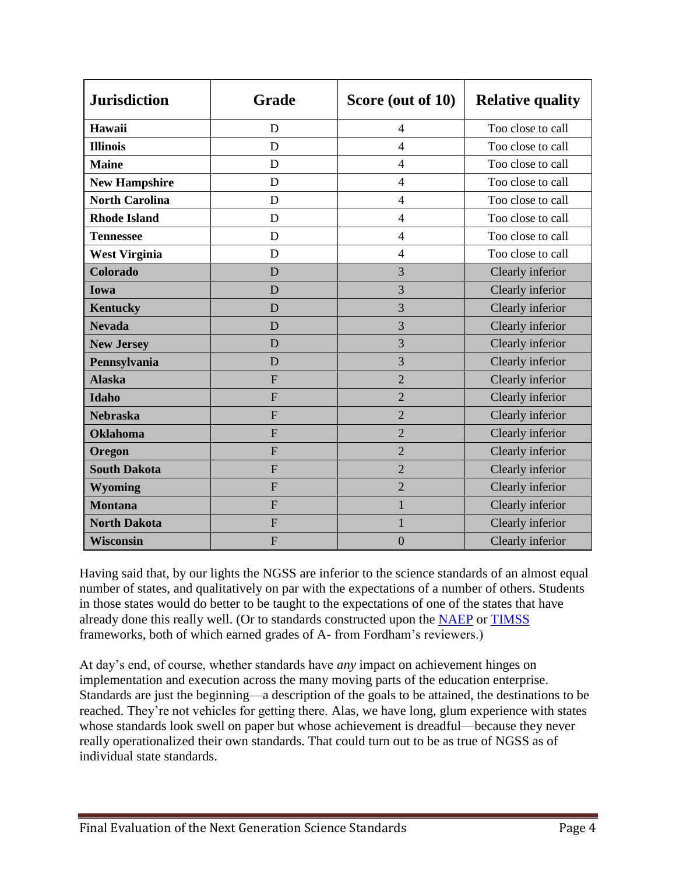| <b>Jurisdiction</b>   | Grade          | Score (out of 10) | <b>Relative quality</b> |
|-----------------------|----------------|-------------------|-------------------------|
| Hawaii                | D              | $\overline{4}$    | Too close to call       |
| <b>Illinois</b>       | D              | $\overline{4}$    | Too close to call       |
| <b>Maine</b>          | D              | $\overline{4}$    | Too close to call       |
| <b>New Hampshire</b>  | D              | $\overline{4}$    | Too close to call       |
| <b>North Carolina</b> | D              | $\overline{4}$    | Too close to call       |
| <b>Rhode Island</b>   | D              | $\overline{4}$    | Too close to call       |
| <b>Tennessee</b>      | D              | $\overline{4}$    | Too close to call       |
| <b>West Virginia</b>  | D              | $\overline{4}$    | Too close to call       |
| Colorado              | D              | 3                 | Clearly inferior        |
| Iowa                  | D              | 3                 | Clearly inferior        |
| <b>Kentucky</b>       | D              | 3                 | Clearly inferior        |
| <b>Nevada</b>         | D              | 3                 | Clearly inferior        |
| <b>New Jersey</b>     | D              | 3                 | Clearly inferior        |
| Pennsylvania          | D              | $\overline{3}$    | Clearly inferior        |
| <b>Alaska</b>         | $\overline{F}$ | $\overline{2}$    | Clearly inferior        |
| <b>Idaho</b>          | F              | $\overline{2}$    | Clearly inferior        |
| <b>Nebraska</b>       | $\overline{F}$ | $\overline{2}$    | Clearly inferior        |
| <b>Oklahoma</b>       | $\overline{F}$ | $\overline{2}$    | Clearly inferior        |
| Oregon                | $\overline{F}$ | $\overline{2}$    | Clearly inferior        |
| <b>South Dakota</b>   | $\overline{F}$ | $\overline{2}$    | Clearly inferior        |
| <b>Wyoming</b>        | F              | $\overline{2}$    | Clearly inferior        |
| <b>Montana</b>        | $\overline{F}$ | $\mathbf{1}$      | Clearly inferior        |
| <b>North Dakota</b>   | $\overline{F}$ | $\mathbf{1}$      | Clearly inferior        |
| <b>Wisconsin</b>      | $\overline{F}$ | $\overline{0}$    | Clearly inferior        |

Having said that, by our lights the NGSS are inferior to the science standards of an almost equal number of states, and qualitatively on par with the expectations of a number of others. Students in those states would do better to be taught to the expectations of one of the states that have already done this really well. (Or to standards constructed upon the [NAEP](http://standards.educationgadfly.net/naep/science3) or [TIMSS](http://standards.educationgadfly.net/timss/science2) frameworks, both of which earned grades of A- from Fordham's reviewers.)

At day's end, of course, whether standards have *any* impact on achievement hinges on implementation and execution across the many moving parts of the education enterprise. Standards are just the beginning—a description of the goals to be attained, the destinations to be reached. They're not vehicles for getting there. Alas, we have long, glum experience with states whose standards look swell on paper but whose achievement is dreadful—because they never really operationalized their own standards. That could turn out to be as true of NGSS as of individual state standards.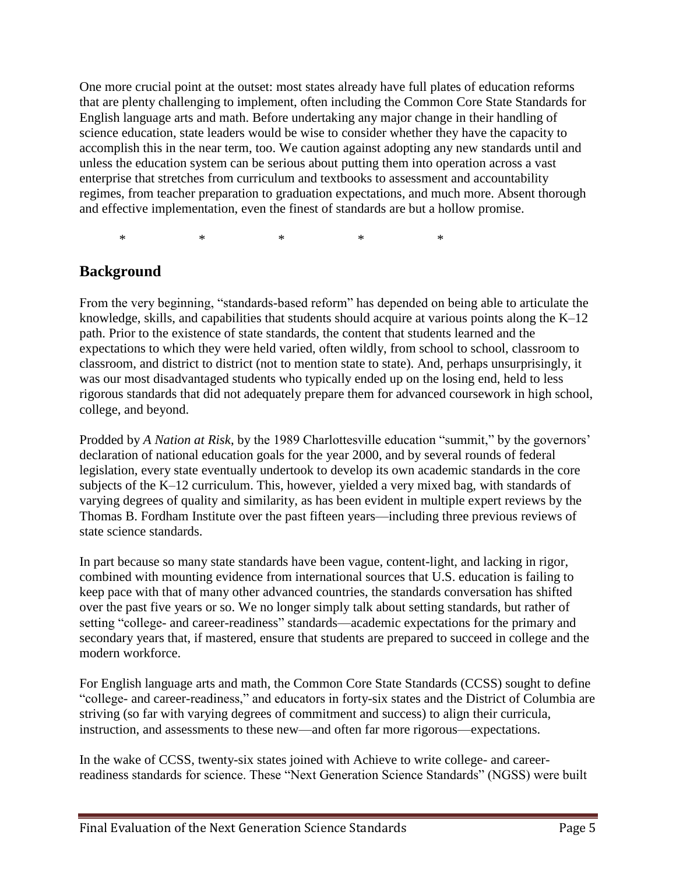One more crucial point at the outset: most states already have full plates of education reforms that are plenty challenging to implement, often including the Common Core State Standards for English language arts and math. Before undertaking any major change in their handling of science education, state leaders would be wise to consider whether they have the capacity to accomplish this in the near term, too. We caution against adopting any new standards until and unless the education system can be serious about putting them into operation across a vast enterprise that stretches from curriculum and textbooks to assessment and accountability regimes, from teacher preparation to graduation expectations, and much more. Absent thorough and effective implementation, even the finest of standards are but a hollow promise.

\* \* \* \* \* \* \*

## **Background**

From the very beginning, "standards-based reform" has depended on being able to articulate the knowledge, skills, and capabilities that students should acquire at various points along the K–12 path. Prior to the existence of state standards, the content that students learned and the expectations to which they were held varied, often wildly, from school to school, classroom to classroom, and district to district (not to mention state to state). And, perhaps unsurprisingly, it was our most disadvantaged students who typically ended up on the losing end, held to less rigorous standards that did not adequately prepare them for advanced coursework in high school, college, and beyond.

Prodded by *A Nation at Risk*, by the 1989 Charlottesville education "summit," by the governors' declaration of national education goals for the year 2000, and by several rounds of federal legislation, every state eventually undertook to develop its own academic standards in the core subjects of the K–12 curriculum. This, however, yielded a very mixed bag, with standards of varying degrees of quality and similarity, as has been evident in multiple expert reviews by the Thomas B. Fordham Institute over the past fifteen years—including three previous reviews of state science standards.

In part because so many state standards have been vague, content-light, and lacking in rigor, combined with mounting evidence from international sources that U.S. education is failing to keep pace with that of many other advanced countries, the standards conversation has shifted over the past five years or so. We no longer simply talk about setting standards, but rather of setting "college- and career-readiness" standards—academic expectations for the primary and secondary years that, if mastered, ensure that students are prepared to succeed in college and the modern workforce.

For English language arts and math, the Common Core State Standards (CCSS) sought to define "college- and career-readiness," and educators in forty-six states and the District of Columbia are striving (so far with varying degrees of commitment and success) to align their curricula, instruction, and assessments to these new—and often far more rigorous—expectations.

In the wake of CCSS, twenty-six states joined with Achieve to write college- and careerreadiness standards for science. These "Next Generation Science Standards" (NGSS) were built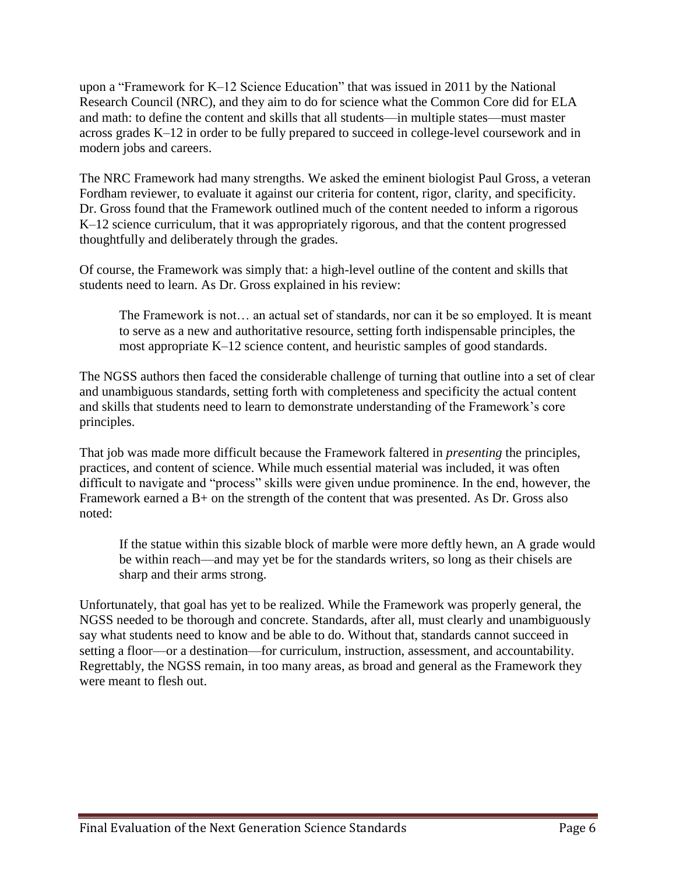upon a "Framework for K–12 Science Education" that was issued in 2011 by the National Research Council (NRC), and they aim to do for science what the Common Core did for ELA and math: to define the content and skills that all students—in multiple states—must master across grades K–12 in order to be fully prepared to succeed in college-level coursework and in modern jobs and careers.

The NRC Framework had many strengths. We asked the eminent biologist Paul Gross, a veteran Fordham reviewer, to evaluate it against our criteria for content, rigor, clarity, and specificity. Dr. Gross found that the Framework outlined much of the content needed to inform a rigorous K–12 science curriculum, that it was appropriately rigorous, and that the content progressed thoughtfully and deliberately through the grades.

Of course, the Framework was simply that: a high-level outline of the content and skills that students need to learn. As Dr. Gross explained in his review:

The Framework is not… an actual set of standards, nor can it be so employed. It is meant to serve as a new and authoritative resource, setting forth indispensable principles, the most appropriate K–12 science content, and heuristic samples of good standards.

The NGSS authors then faced the considerable challenge of turning that outline into a set of clear and unambiguous standards, setting forth with completeness and specificity the actual content and skills that students need to learn to demonstrate understanding of the Framework's core principles.

That job was made more difficult because the Framework faltered in *presenting* the principles, practices, and content of science. While much essential material was included, it was often difficult to navigate and "process" skills were given undue prominence. In the end, however, the Framework earned a B+ on the strength of the content that was presented. As Dr. Gross also noted:

If the statue within this sizable block of marble were more deftly hewn, an A grade would be within reach—and may yet be for the standards writers, so long as their chisels are sharp and their arms strong.

Unfortunately, that goal has yet to be realized. While the Framework was properly general, the NGSS needed to be thorough and concrete. Standards, after all, must clearly and unambiguously say what students need to know and be able to do. Without that, standards cannot succeed in setting a floor—or a destination—for curriculum, instruction, assessment, and accountability. Regrettably, the NGSS remain, in too many areas, as broad and general as the Framework they were meant to flesh out.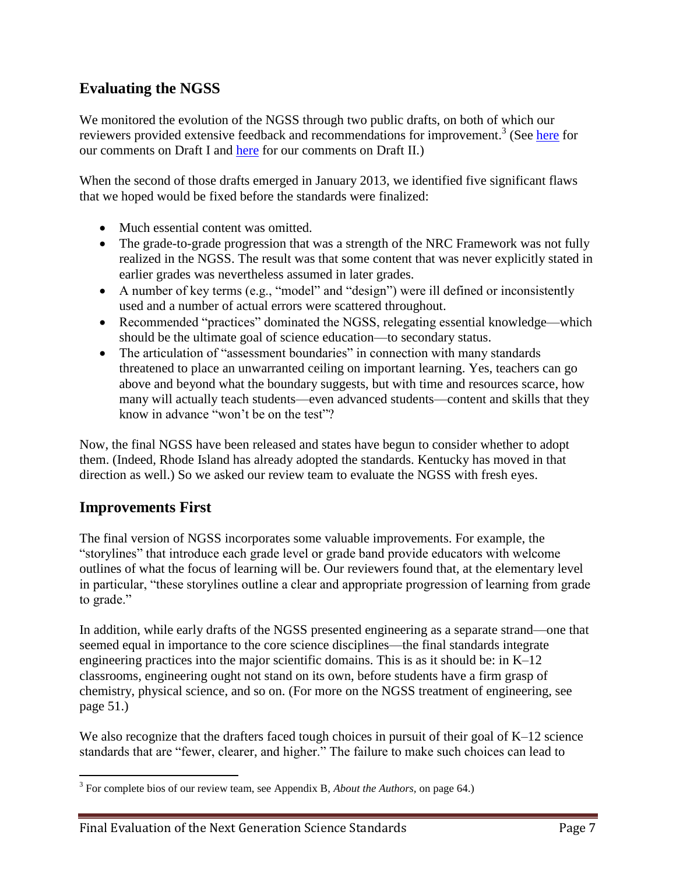# **Evaluating the NGSS**

We monitored the evolution of the NGSS through two public drafts, on both of which our reviewers provided extensive feedback and recommendations for improvement.<sup>3</sup> (See [here](http://www.edexcellence.net/publications/commentary-and-feedback-on-draft-I-of-the-next-generation-science-standards.html) for our comments on Draft I and [here](http://www.edexcellence.net/publications/commentary-feedback-on-draft-II-of-the-next-generation-science-standards.html) for our comments on Draft II.)

When the second of those drafts emerged in January 2013, we identified five significant flaws that we hoped would be fixed before the standards were finalized:

- Much essential content was omitted.
- The grade-to-grade progression that was a strength of the NRC Framework was not fully realized in the NGSS. The result was that some content that was never explicitly stated in earlier grades was nevertheless assumed in later grades.
- A number of key terms (e.g., "model" and "design") were ill defined or inconsistently used and a number of actual errors were scattered throughout.
- Recommended "practices" dominated the NGSS, relegating essential knowledge—which should be the ultimate goal of science education—to secondary status.
- The articulation of "assessment boundaries" in connection with many standards threatened to place an unwarranted ceiling on important learning. Yes, teachers can go above and beyond what the boundary suggests, but with time and resources scarce, how many will actually teach students—even advanced students—content and skills that they know in advance "won't be on the test"?

Now, the final NGSS have been released and states have begun to consider whether to adopt them. (Indeed, Rhode Island has already adopted the standards. Kentucky has moved in that direction as well.) So we asked our review team to evaluate the NGSS with fresh eyes.

## **Improvements First**

 $\overline{a}$ 

The final version of NGSS incorporates some valuable improvements. For example, the "storylines" that introduce each grade level or grade band provide educators with welcome outlines of what the focus of learning will be. Our reviewers found that, at the elementary level in particular, "these storylines outline a clear and appropriate progression of learning from grade to grade."

In addition, while early drafts of the NGSS presented engineering as a separate strand—one that seemed equal in importance to the core science disciplines—the final standards integrate engineering practices into the major scientific domains. This is as it should be: in K–12 classrooms, engineering ought not stand on its own, before students have a firm grasp of chemistry, physical science, and so on. (For more on the NGSS treatment of engineering, see page 51.)

We also recognize that the drafters faced tough choices in pursuit of their goal of K–12 science standards that are "fewer, clearer, and higher." The failure to make such choices can lead to

<sup>3</sup> For complete bios of our review team, see Appendix B, *About the Authors,* on page 64.)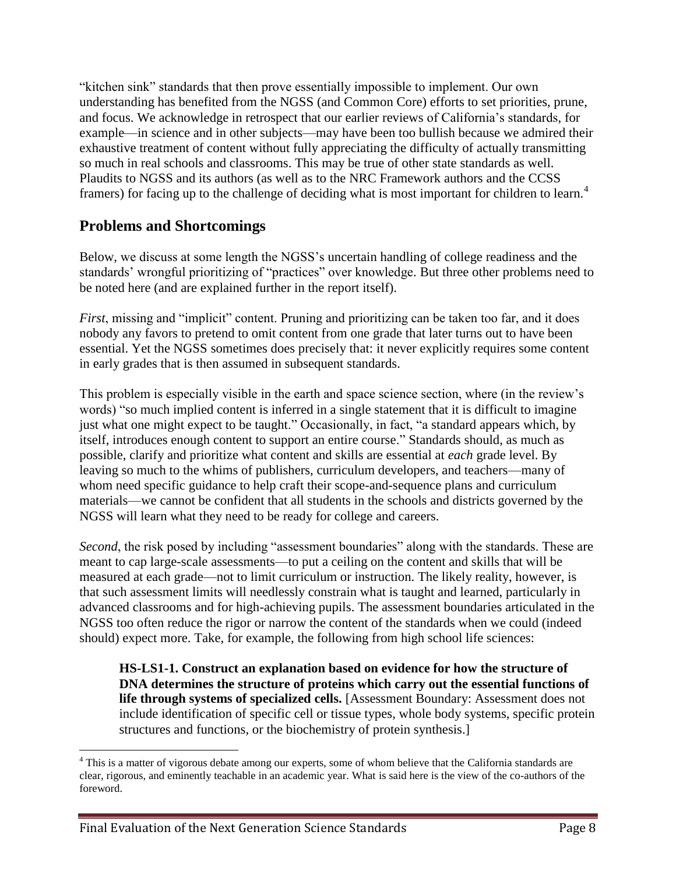"kitchen sink" standards that then prove essentially impossible to implement. Our own understanding has benefited from the NGSS (and Common Core) efforts to set priorities, prune, and focus. We acknowledge in retrospect that our earlier reviews of California's standards, for example—in science and in other subjects—may have been too bullish because we admired their exhaustive treatment of content without fully appreciating the difficulty of actually transmitting so much in real schools and classrooms. This may be true of other state standards as well. Plaudits to NGSS and its authors (as well as to the NRC Framework authors and the CCSS framers) for facing up to the challenge of deciding what is most important for children to learn.<sup>4</sup>

## **Problems and Shortcomings**

Below, we discuss at some length the NGSS's uncertain handling of college readiness and the standards' wrongful prioritizing of "practices" over knowledge. But three other problems need to be noted here (and are explained further in the report itself).

*First*, missing and "implicit" content. Pruning and prioritizing can be taken too far, and it does nobody any favors to pretend to omit content from one grade that later turns out to have been essential. Yet the NGSS sometimes does precisely that: it never explicitly requires some content in early grades that is then assumed in subsequent standards.

This problem is especially visible in the earth and space science section, where (in the review's words) "so much implied content is inferred in a single statement that it is difficult to imagine just what one might expect to be taught." Occasionally, in fact, "a standard appears which, by itself, introduces enough content to support an entire course." Standards should, as much as possible, clarify and prioritize what content and skills are essential at *each* grade level. By leaving so much to the whims of publishers, curriculum developers, and teachers—many of whom need specific guidance to help craft their scope-and-sequence plans and curriculum materials—we cannot be confident that all students in the schools and districts governed by the NGSS will learn what they need to be ready for college and careers.

*Second*, the risk posed by including "assessment boundaries" along with the standards. These are meant to cap large-scale assessments—to put a ceiling on the content and skills that will be measured at each grade—not to limit curriculum or instruction. The likely reality, however, is that such assessment limits will needlessly constrain what is taught and learned, particularly in advanced classrooms and for high-achieving pupils. The assessment boundaries articulated in the NGSS too often reduce the rigor or narrow the content of the standards when we could (indeed should) expect more. Take, for example, the following from high school life sciences:

**HS-LS1-1. Construct an explanation based on evidence for how the structure of DNA determines the structure of proteins which carry out the essential functions of life through systems of specialized cells.** [Assessment Boundary: Assessment does not include identification of specific cell or tissue types, whole body systems, specific protein structures and functions, or the biochemistry of protein synthesis.]

 $\overline{a}$ 

<sup>&</sup>lt;sup>4</sup> This is a matter of vigorous debate among our experts, some of whom believe that the California standards are clear, rigorous, and eminently teachable in an academic year. What is said here is the view of the co-authors of the foreword.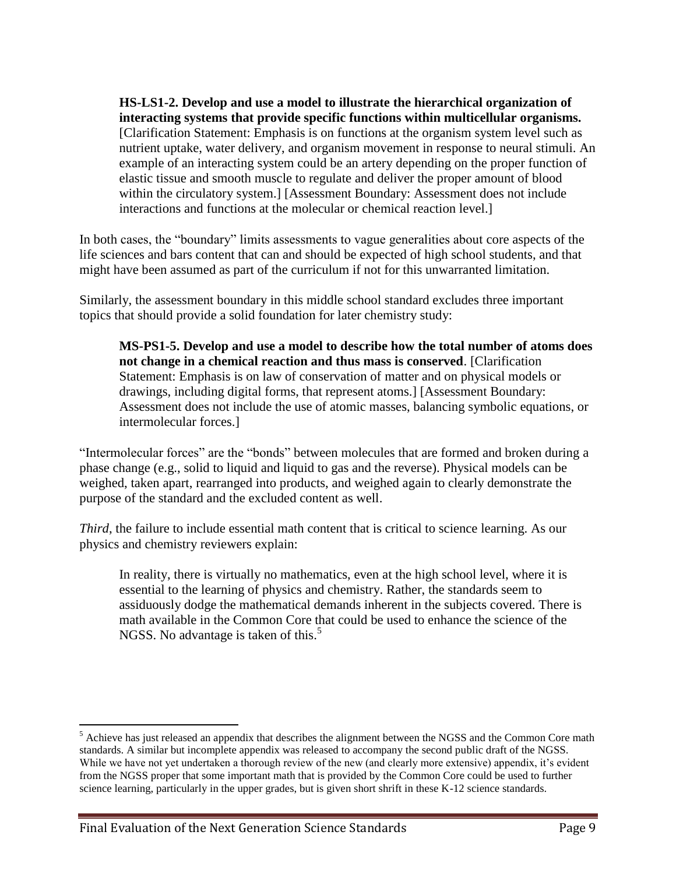**HS-LS1-2. Develop and use a model to illustrate the hierarchical organization of interacting systems that provide specific functions within multicellular organisms.**  [Clarification Statement: Emphasis is on functions at the organism system level such as nutrient uptake, water delivery, and organism movement in response to neural stimuli. An example of an interacting system could be an artery depending on the proper function of elastic tissue and smooth muscle to regulate and deliver the proper amount of blood within the circulatory system.] [Assessment Boundary: Assessment does not include interactions and functions at the molecular or chemical reaction level.]

In both cases, the "boundary" limits assessments to vague generalities about core aspects of the life sciences and bars content that can and should be expected of high school students, and that might have been assumed as part of the curriculum if not for this unwarranted limitation.

Similarly, the assessment boundary in this middle school standard excludes three important topics that should provide a solid foundation for later chemistry study:

**MS-PS1-5. Develop and use a model to describe how the total number of atoms does not change in a chemical reaction and thus mass is conserved**. [Clarification Statement: Emphasis is on law of conservation of matter and on physical models or drawings, including digital forms, that represent atoms.] [Assessment Boundary: Assessment does not include the use of atomic masses, balancing symbolic equations, or intermolecular forces.]

"Intermolecular forces" are the "bonds" between molecules that are formed and broken during a phase change (e.g., solid to liquid and liquid to gas and the reverse). Physical models can be weighed, taken apart, rearranged into products, and weighed again to clearly demonstrate the purpose of the standard and the excluded content as well.

*Third*, the failure to include essential math content that is critical to science learning. As our physics and chemistry reviewers explain:

In reality, there is virtually no mathematics, even at the high school level, where it is essential to the learning of physics and chemistry. Rather, the standards seem to assiduously dodge the mathematical demands inherent in the subjects covered. There is math available in the Common Core that could be used to enhance the science of the NGSS. No advantage is taken of this.<sup>5</sup>

 $\overline{a}$ 

<sup>&</sup>lt;sup>5</sup> Achieve has just released an appendix that describes the alignment between the NGSS and the Common Core math standards. A similar but incomplete appendix was released to accompany the second public draft of the NGSS. While we have not yet undertaken a thorough review of the new (and clearly more extensive) appendix, it's evident from the NGSS proper that some important math that is provided by the Common Core could be used to further science learning, particularly in the upper grades, but is given short shrift in these K-12 science standards.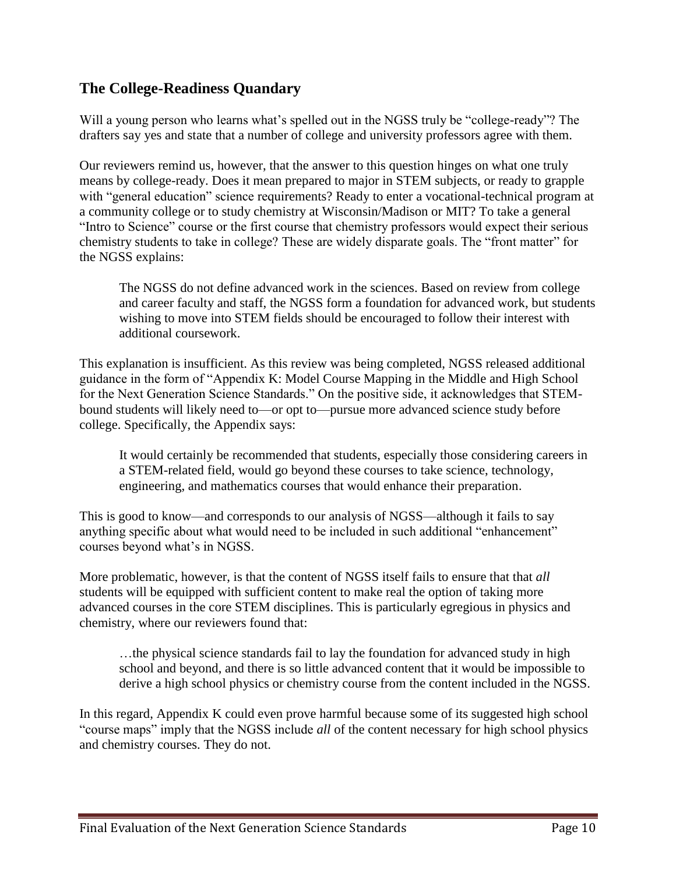# **The College-Readiness Quandary**

Will a young person who learns what's spelled out in the NGSS truly be "college-ready"? The drafters say yes and state that a number of college and university professors agree with them.

Our reviewers remind us, however, that the answer to this question hinges on what one truly means by college-ready. Does it mean prepared to major in STEM subjects, or ready to grapple with "general education" science requirements? Ready to enter a vocational-technical program at a community college or to study chemistry at Wisconsin/Madison or MIT? To take a general "Intro to Science" course or the first course that chemistry professors would expect their serious chemistry students to take in college? These are widely disparate goals. The "front matter" for the NGSS explains:

The NGSS do not define advanced work in the sciences. Based on review from college and career faculty and staff, the NGSS form a foundation for advanced work, but students wishing to move into STEM fields should be encouraged to follow their interest with additional coursework.

This explanation is insufficient. As this review was being completed, NGSS released additional guidance in the form of "Appendix K: Model Course Mapping in the Middle and High School for the Next Generation Science Standards." On the positive side, it acknowledges that STEMbound students will likely need to—or opt to—pursue more advanced science study before college. Specifically, the Appendix says:

It would certainly be recommended that students, especially those considering careers in a STEM-related field, would go beyond these courses to take science, technology, engineering, and mathematics courses that would enhance their preparation.

This is good to know—and corresponds to our analysis of NGSS—although it fails to say anything specific about what would need to be included in such additional "enhancement" courses beyond what's in NGSS.

More problematic, however, is that the content of NGSS itself fails to ensure that that *all*  students will be equipped with sufficient content to make real the option of taking more advanced courses in the core STEM disciplines. This is particularly egregious in physics and chemistry, where our reviewers found that:

…the physical science standards fail to lay the foundation for advanced study in high school and beyond, and there is so little advanced content that it would be impossible to derive a high school physics or chemistry course from the content included in the NGSS.

In this regard, Appendix K could even prove harmful because some of its suggested high school "course maps" imply that the NGSS include *all* of the content necessary for high school physics and chemistry courses. They do not.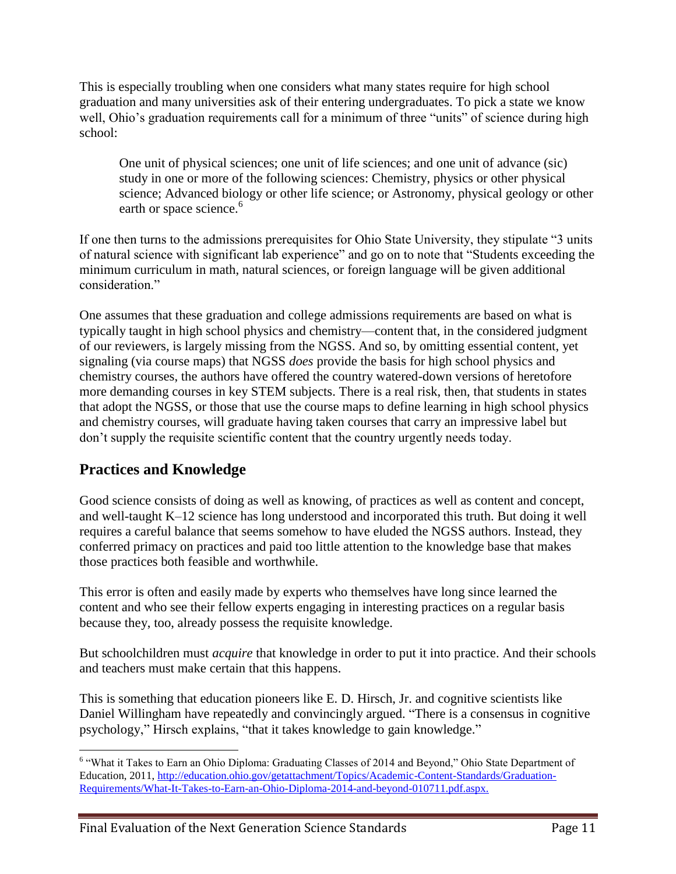This is especially troubling when one considers what many states require for high school graduation and many universities ask of their entering undergraduates. To pick a state we know well, Ohio's graduation requirements call for a minimum of three "units" of science during high school:

One unit of physical sciences; one unit of life sciences; and one unit of advance (sic) study in one or more of the following sciences: Chemistry, physics or other physical science; Advanced biology or other life science; or Astronomy, physical geology or other earth or space science.<sup>6</sup>

If one then turns to the admissions prerequisites for Ohio State University, they stipulate "3 units of natural science with significant lab experience" and go on to note that "Students exceeding the minimum curriculum in math, natural sciences, or foreign language will be given additional consideration."

One assumes that these graduation and college admissions requirements are based on what is typically taught in high school physics and chemistry—content that, in the considered judgment of our reviewers, is largely missing from the NGSS. And so, by omitting essential content, yet signaling (via course maps) that NGSS *does* provide the basis for high school physics and chemistry courses, the authors have offered the country watered-down versions of heretofore more demanding courses in key STEM subjects. There is a real risk, then, that students in states that adopt the NGSS, or those that use the course maps to define learning in high school physics and chemistry courses, will graduate having taken courses that carry an impressive label but don't supply the requisite scientific content that the country urgently needs today.

# **Practices and Knowledge**

Good science consists of doing as well as knowing, of practices as well as content and concept, and well-taught K–12 science has long understood and incorporated this truth. But doing it well requires a careful balance that seems somehow to have eluded the NGSS authors. Instead, they conferred primacy on practices and paid too little attention to the knowledge base that makes those practices both feasible and worthwhile.

This error is often and easily made by experts who themselves have long since learned the content and who see their fellow experts engaging in interesting practices on a regular basis because they, too, already possess the requisite knowledge.

But schoolchildren must *acquire* that knowledge in order to put it into practice. And their schools and teachers must make certain that this happens.

This is something that education pioneers like E. D. Hirsch, Jr. and cognitive scientists like Daniel Willingham have repeatedly and convincingly argued. "There is a consensus in cognitive psychology," Hirsch explains, "that it takes knowledge to gain knowledge."

 $\overline{a}$ <sup>6</sup> "What it Takes to Earn an Ohio Diploma: Graduating Classes of 2014 and Beyond," Ohio State Department of Education, 2011[, http://education.ohio.gov/getattachment/Topics/Academic-Content-Standards/Graduation-](http://education.ohio.gov/getattachment/Topics/Academic-Content-Standards/Graduation-Requirements/What-It-Takes-to-Earn-an-Ohio-Diploma-2014-and-beyond-010711.pdf.aspx)[Requirements/What-It-Takes-to-Earn-an-Ohio-Diploma-2014-and-beyond-010711.pdf.aspx.](http://education.ohio.gov/getattachment/Topics/Academic-Content-Standards/Graduation-Requirements/What-It-Takes-to-Earn-an-Ohio-Diploma-2014-and-beyond-010711.pdf.aspx)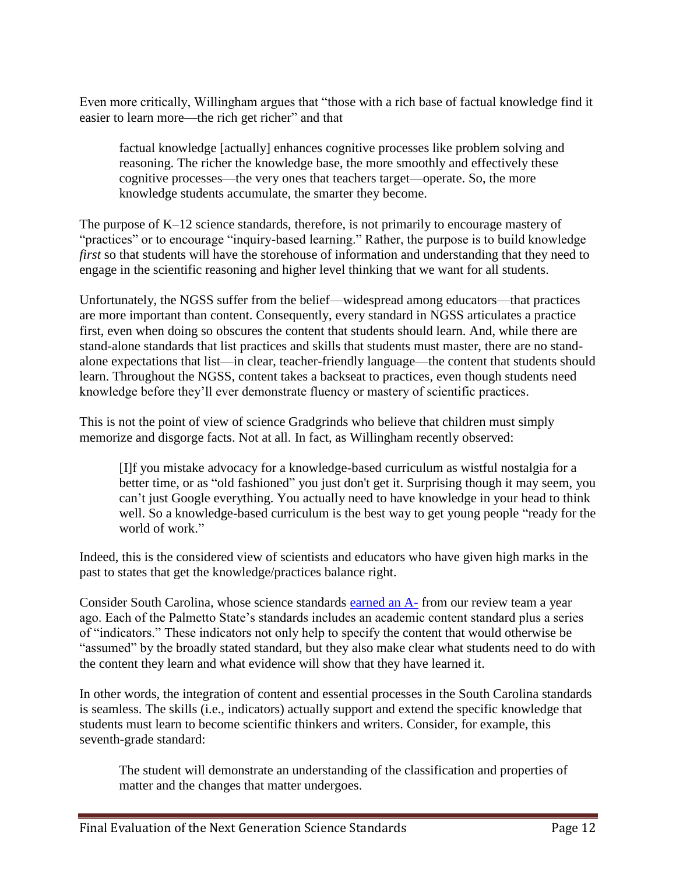Even more critically, Willingham argues that "those with a rich base of factual knowledge find it easier to learn more—the rich get richer" and that

factual knowledge [actually] enhances cognitive processes like problem solving and reasoning. The richer the knowledge base, the more smoothly and effectively these cognitive processes—the very ones that teachers target—operate. So, the more knowledge students accumulate, the smarter they become.

The purpose of K–12 science standards, therefore, is not primarily to encourage mastery of "practices" or to encourage "inquiry-based learning." Rather, the purpose is to build knowledge *first* so that students will have the storehouse of information and understanding that they need to engage in the scientific reasoning and higher level thinking that we want for all students.

Unfortunately, the NGSS suffer from the belief—widespread among educators—that practices are more important than content. Consequently, every standard in NGSS articulates a practice first, even when doing so obscures the content that students should learn. And, while there are stand-alone standards that list practices and skills that students must master, there are no standalone expectations that list—in clear, teacher-friendly language—the content that students should learn. Throughout the NGSS, content takes a backseat to practices, even though students need knowledge before they'll ever demonstrate fluency or mastery of scientific practices.

This is not the point of view of science Gradgrinds who believe that children must simply memorize and disgorge facts. Not at all. In fact, as Willingham recently observed:

[I]f you mistake advocacy for a knowledge-based curriculum as wistful nostalgia for a better time, or as "old fashioned" you just don't get it. Surprising though it may seem, you can't just Google everything. You actually need to have knowledge in your head to think well. So a knowledge-based curriculum is the best way to get young people "ready for the world of work."

Indeed, this is the considered view of scientists and educators who have given high marks in the past to states that get the knowledge/practices balance right.

Consider South Carolina, whose science standards [earned an A-](http://standards.educationgadfly.net/report/sc/science) from our review team a year ago. Each of the Palmetto State's standards includes an academic content standard plus a series of "indicators." These indicators not only help to specify the content that would otherwise be "assumed" by the broadly stated standard, but they also make clear what students need to do with the content they learn and what evidence will show that they have learned it.

In other words, the integration of content and essential processes in the South Carolina standards is seamless. The skills (i.e., indicators) actually support and extend the specific knowledge that students must learn to become scientific thinkers and writers. Consider, for example, this seventh-grade standard:

The student will demonstrate an understanding of the classification and properties of matter and the changes that matter undergoes.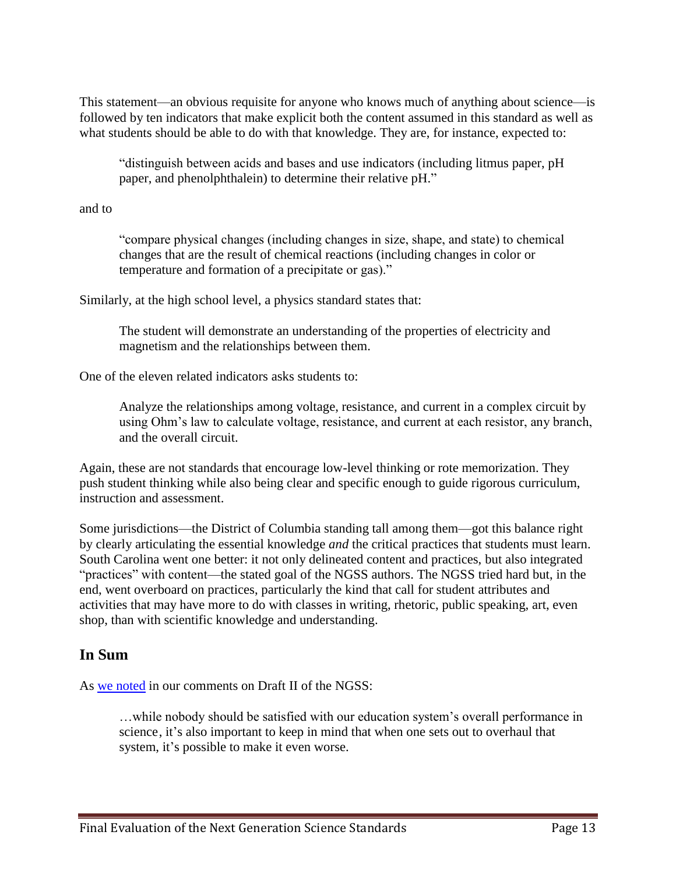This statement—an obvious requisite for anyone who knows much of anything about science—is followed by ten indicators that make explicit both the content assumed in this standard as well as what students should be able to do with that knowledge. They are, for instance, expected to:

"distinguish between acids and bases and use indicators (including litmus paper, pH paper, and phenolphthalein) to determine their relative pH."

and to

"compare physical changes (including changes in size, shape, and state) to chemical changes that are the result of chemical reactions (including changes in color or temperature and formation of a precipitate or gas)."

Similarly, at the high school level, a physics standard states that:

The student will demonstrate an understanding of the properties of electricity and magnetism and the relationships between them.

One of the eleven related indicators asks students to:

Analyze the relationships among voltage, resistance, and current in a complex circuit by using Ohm's law to calculate voltage, resistance, and current at each resistor, any branch, and the overall circuit.

Again, these are not standards that encourage low-level thinking or rote memorization. They push student thinking while also being clear and specific enough to guide rigorous curriculum, instruction and assessment.

Some jurisdictions—the District of Columbia standing tall among them—got this balance right by clearly articulating the essential knowledge *and* the critical practices that students must learn. South Carolina went one better: it not only delineated content and practices, but also integrated "practices" with content—the stated goal of the NGSS authors. The NGSS tried hard but, in the end, went overboard on practices, particularly the kind that call for student attributes and activities that may have more to do with classes in writing, rhetoric, public speaking, art, even shop, than with scientific knowledge and understanding.

# **In Sum**

As [we noted](http://www.edexcellence.net/publications/commentary-feedback-on-draft-II-of-the-next-generation-science-standards.html) in our comments on Draft II of the NGSS:

…while nobody should be satisfied with our education system's overall performance in science, it's also important to keep in mind that when one sets out to overhaul that system, it's possible to make it even worse.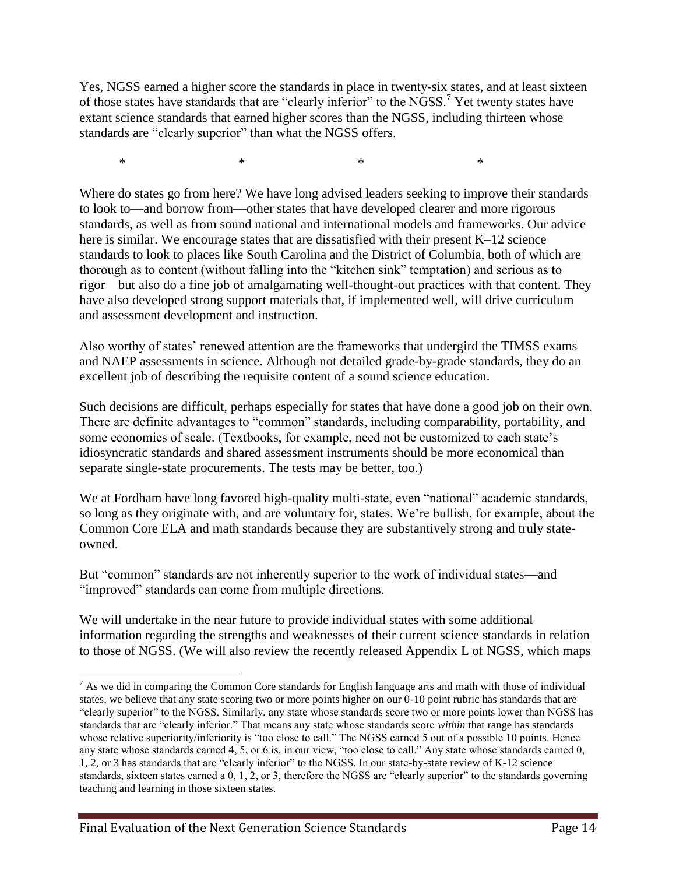Yes, NGSS earned a higher score the standards in place in twenty-six states, and at least sixteen of those states have standards that are "clearly inferior" to the NGSS.<sup>7</sup> Yet twenty states have extant science standards that earned higher scores than the NGSS, including thirteen whose standards are "clearly superior" than what the NGSS offers.

 $*$  \*  $*$  \*  $*$ 

Where do states go from here? We have long advised leaders seeking to improve their standards to look to—and borrow from—other states that have developed clearer and more rigorous standards, as well as from sound national and international models and frameworks. Our advice here is similar. We encourage states that are dissatisfied with their present K–12 science standards to look to places like South Carolina and the District of Columbia, both of which are thorough as to content (without falling into the "kitchen sink" temptation) and serious as to rigor—but also do a fine job of amalgamating well-thought-out practices with that content. They have also developed strong support materials that, if implemented well, will drive curriculum and assessment development and instruction.

Also worthy of states' renewed attention are the frameworks that undergird the TIMSS exams and NAEP assessments in science. Although not detailed grade-by-grade standards, they do an excellent job of describing the requisite content of a sound science education.

Such decisions are difficult, perhaps especially for states that have done a good job on their own. There are definite advantages to "common" standards, including comparability, portability, and some economies of scale. (Textbooks, for example, need not be customized to each state's idiosyncratic standards and shared assessment instruments should be more economical than separate single-state procurements. The tests may be better, too.)

We at Fordham have long favored high-quality multi-state, even "national" academic standards, so long as they originate with, and are voluntary for, states. We're bullish, for example, about the Common Core ELA and math standards because they are substantively strong and truly stateowned.

But "common" standards are not inherently superior to the work of individual states—and "improved" standards can come from multiple directions.

We will undertake in the near future to provide individual states with some additional information regarding the strengths and weaknesses of their current science standards in relation to those of NGSS. (We will also review the recently released Appendix L of NGSS, which maps

 $\overline{a}$ 

 $<sup>7</sup>$  As we did in comparing the Common Core standards for English language arts and math with those of individual</sup> states, we believe that any state scoring two or more points higher on our 0-10 point rubric has standards that are "clearly superior" to the NGSS. Similarly, any state whose standards score two or more points lower than NGSS has standards that are "clearly inferior." That means any state whose standards score *within* that range has standards whose relative superiority/inferiority is "too close to call." The NGSS earned 5 out of a possible 10 points. Hence any state whose standards earned 4, 5, or 6 is, in our view, "too close to call." Any state whose standards earned 0, 1, 2, or 3 has standards that are "clearly inferior" to the NGSS. In our state-by-state review of K-12 science standards, sixteen states earned a 0, 1, 2, or 3, therefore the NGSS are "clearly superior" to the standards governing teaching and learning in those sixteen states.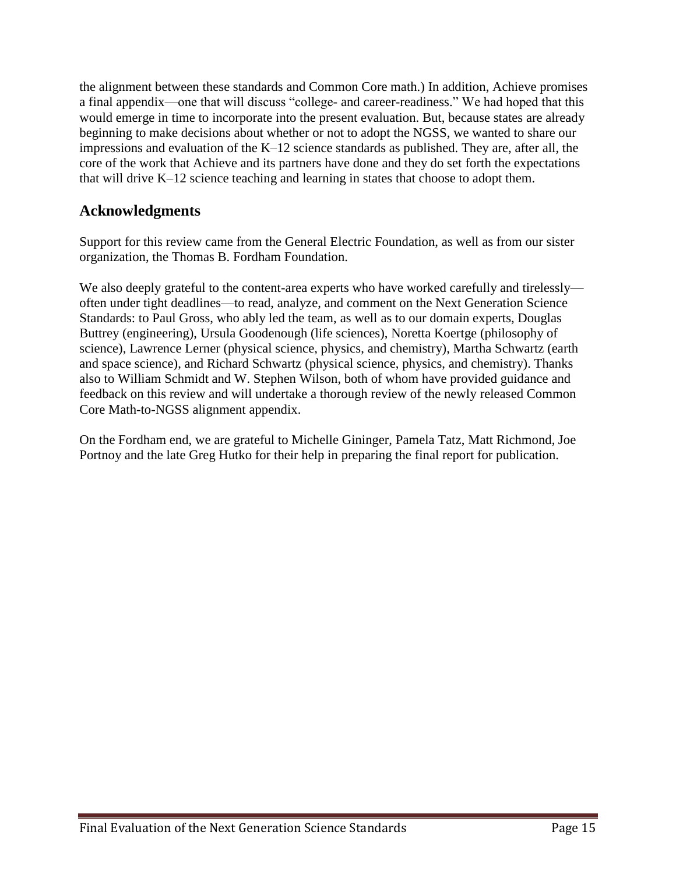the alignment between these standards and Common Core math.) In addition, Achieve promises a final appendix—one that will discuss "college- and career-readiness." We had hoped that this would emerge in time to incorporate into the present evaluation. But, because states are already beginning to make decisions about whether or not to adopt the NGSS, we wanted to share our impressions and evaluation of the K–12 science standards as published. They are, after all, the core of the work that Achieve and its partners have done and they do set forth the expectations that will drive K–12 science teaching and learning in states that choose to adopt them.

# **Acknowledgments**

Support for this review came from the General Electric Foundation, as well as from our sister organization, the Thomas B. Fordham Foundation.

We also deeply grateful to the content-area experts who have worked carefully and tirelessly often under tight deadlines—to read, analyze, and comment on the Next Generation Science Standards: to Paul Gross, who ably led the team, as well as to our domain experts, Douglas Buttrey (engineering), Ursula Goodenough (life sciences), Noretta Koertge (philosophy of science), Lawrence Lerner (physical science, physics, and chemistry), Martha Schwartz (earth and space science), and Richard Schwartz (physical science, physics, and chemistry). Thanks also to William Schmidt and W. Stephen Wilson, both of whom have provided guidance and feedback on this review and will undertake a thorough review of the newly released Common Core Math-to-NGSS alignment appendix.

On the Fordham end, we are grateful to Michelle Gininger, Pamela Tatz, Matt Richmond, Joe Portnoy and the late Greg Hutko for their help in preparing the final report for publication.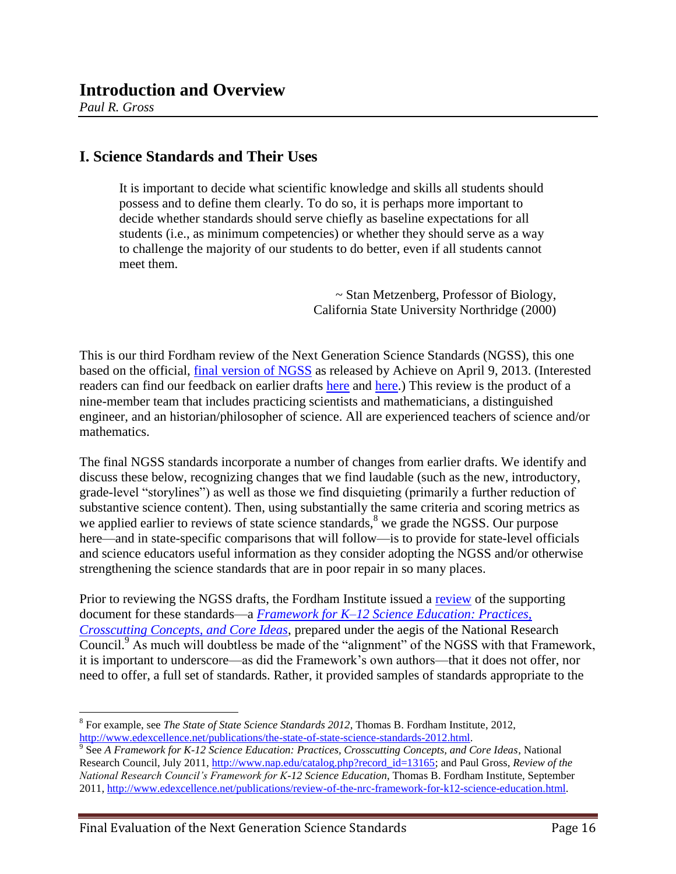*Paul R. Gross*

 $\overline{a}$ 

## **I. Science Standards and Their Uses**

It is important to decide what scientific knowledge and skills all students should possess and to define them clearly. To do so, it is perhaps more important to decide whether standards should serve chiefly as baseline expectations for all students (i.e., as minimum competencies) or whether they should serve as a way to challenge the majority of our students to do better, even if all students cannot meet them.

> ~ Stan Metzenberg, Professor of Biology, California State University Northridge (2000)

This is our third Fordham review of the Next Generation Science Standards (NGSS), this one based on the official, [final version of NGSS](http://www.nextgenscience.org/next-generation-science-standards) as released by Achieve on April 9, 2013. (Interested readers can find our feedback on earlier drafts [here](http://www.edexcellence.net/publications/commentary-and-feedback-on-draft-I-of-the-next-generation-science-standards.html) and [here.](http://www.edexcellence.net/publications/commentary-feedback-on-draft-II-of-the-next-generation-science-standards.html)) This review is the product of a nine-member team that includes practicing scientists and mathematicians, a distinguished engineer, and an historian/philosopher of science. All are experienced teachers of science and/or mathematics.

The final NGSS standards incorporate a number of changes from earlier drafts. We identify and discuss these below, recognizing changes that we find laudable (such as the new, introductory, grade-level "storylines") as well as those we find disquieting (primarily a further reduction of substantive science content). Then, using substantially the same criteria and scoring metrics as we applied earlier to reviews of state science standards,<sup>8</sup> we grade the NGSS. Our purpose here—and in state-specific comparisons that will follow—is to provide for state-level officials and science educators useful information as they consider adopting the NGSS and/or otherwise strengthening the science standards that are in poor repair in so many places.

Prior to reviewing the NGSS drafts, the Fordham Institute issued a [review](http://www.edexcellence.net/publications/review-of-the-nrc-framework-for-k12-science-education.html) of the supporting document for these standards—a *Framework [for K–12 Science Education: Practices,](http://www.nap.edu/catalog.php?record_id=13165)  [Crosscutting Concepts, and Core Ideas](http://www.nap.edu/catalog.php?record_id=13165)*, prepared under the aegis of the National Research Council.<sup>9</sup> As much will doubtless be made of the "alignment" of the NGSS with that Framework, it is important to underscore—as did the Framework's own authors—that it does not offer, nor need to offer, a full set of standards. Rather, it provided samples of standards appropriate to the

<sup>8</sup> For example, see *The State of State Science Standards 2012*, Thomas B. Fordham Institute, 2012, [http://www.edexcellence.net/publications/the-state-of-state-science-standards-2012.html.](http://www.edexcellence.net/publications/the-state-of-state-science-standards-2012.html)

<sup>9</sup> See *A Framework for K-12 Science Education: Practices, Crosscutting Concepts, and Core Ideas*, National Research Council, July 2011, [http://www.nap.edu/catalog.php?record\\_id=13165;](http://www.nap.edu/catalog.php?record_id=13165) and Paul Gross, *Review of the National Research Council's Framework for K-12 Science Education*, Thomas B. Fordham Institute, September 2011, [http://www.edexcellence.net/publications/review-of-the-nrc-framework-for-k12-science-education.html.](http://www.edexcellence.net/publications/review-of-the-nrc-framework-for-k12-science-education.html)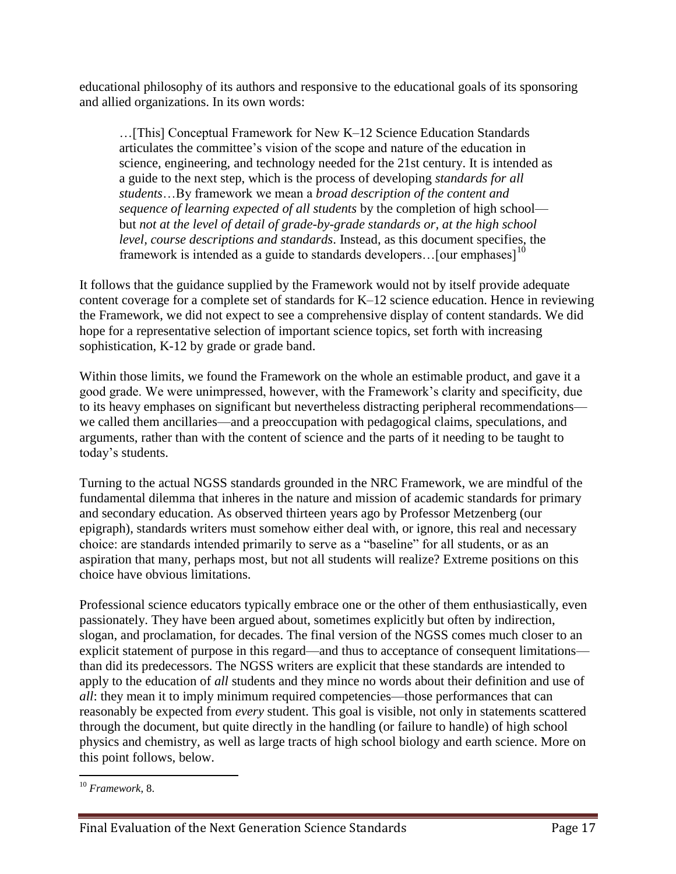educational philosophy of its authors and responsive to the educational goals of its sponsoring and allied organizations. In its own words:

…[This] Conceptual Framework for New K–12 Science Education Standards articulates the committee's vision of the scope and nature of the education in science, engineering, and technology needed for the 21st century. It is intended as a guide to the next step, which is the process of developing *standards for all students*…By framework we mean a *broad description of the content and sequence of learning expected of all students* by the completion of high school but *not at the level of detail of grade-by-grade standards or, at the high school level, course descriptions and standards*. Instead, as this document specifies, the framework is intended as a guide to standards developers... [our emphases]<sup>10</sup>

It follows that the guidance supplied by the Framework would not by itself provide adequate content coverage for a complete set of standards for K–12 science education. Hence in reviewing the Framework, we did not expect to see a comprehensive display of content standards. We did hope for a representative selection of important science topics, set forth with increasing sophistication, K-12 by grade or grade band.

Within those limits, we found the Framework on the whole an estimable product, and gave it a good grade. We were unimpressed, however, with the Framework's clarity and specificity, due to its heavy emphases on significant but nevertheless distracting peripheral recommendations we called them ancillaries—and a preoccupation with pedagogical claims, speculations, and arguments, rather than with the content of science and the parts of it needing to be taught to today's students.

Turning to the actual NGSS standards grounded in the NRC Framework, we are mindful of the fundamental dilemma that inheres in the nature and mission of academic standards for primary and secondary education. As observed thirteen years ago by Professor Metzenberg (our epigraph), standards writers must somehow either deal with, or ignore, this real and necessary choice: are standards intended primarily to serve as a "baseline" for all students, or as an aspiration that many, perhaps most, but not all students will realize? Extreme positions on this choice have obvious limitations.

Professional science educators typically embrace one or the other of them enthusiastically, even passionately. They have been argued about, sometimes explicitly but often by indirection, slogan, and proclamation, for decades. The final version of the NGSS comes much closer to an explicit statement of purpose in this regard—and thus to acceptance of consequent limitations than did its predecessors. The NGSS writers are explicit that these standards are intended to apply to the education of *all* students and they mince no words about their definition and use of *all*: they mean it to imply minimum required competencies—those performances that can reasonably be expected from *every* student. This goal is visible, not only in statements scattered through the document, but quite directly in the handling (or failure to handle) of high school physics and chemistry, as well as large tracts of high school biology and earth science. More on this point follows, below.

 $\overline{a}$ <sup>10</sup> *Framework*, 8.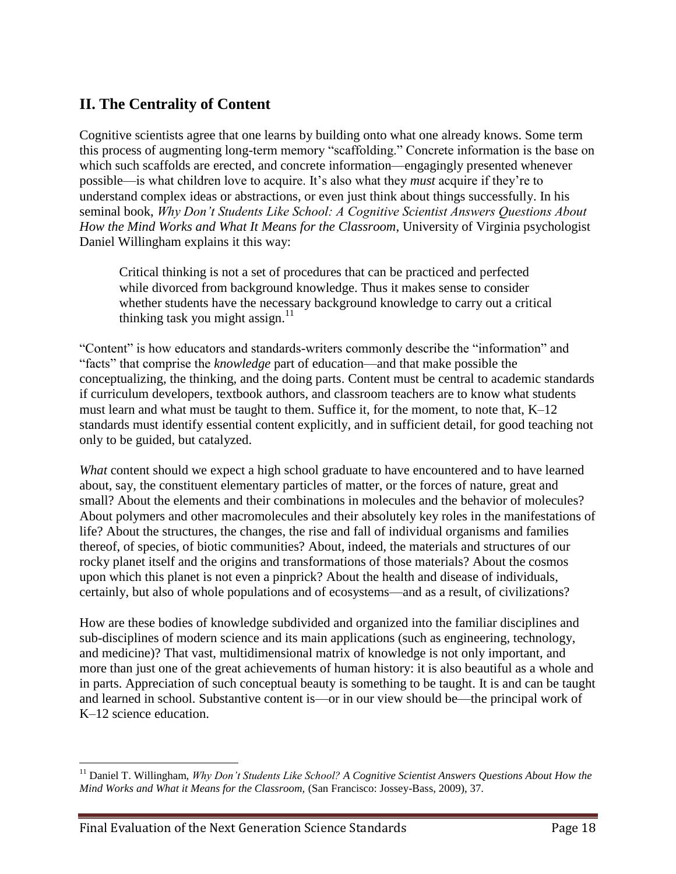# **II. The Centrality of Content**

Cognitive scientists agree that one learns by building onto what one already knows. Some term this process of augmenting long-term memory "scaffolding." Concrete information is the base on which such scaffolds are erected, and concrete information—engagingly presented whenever possible—is what children love to acquire. It's also what they *must* acquire if they're to understand complex ideas or abstractions, or even just think about things successfully. In his seminal book, *[Why Don't Students Like School: A Cognitive Scientist Answers Questions About](http://www.amazon.com/Why-Dont-Students-Like-School/dp/047059196X)  [How the Mind Works and What It Means for the Classroom](http://www.amazon.com/Why-Dont-Students-Like-School/dp/047059196X)*, University of Virginia psychologist Daniel Willingham explains it this way:

Critical thinking is not a set of procedures that can be practiced and perfected while divorced from background knowledge. Thus it makes sense to consider whether students have the necessary background knowledge to carry out a critical thinking task you might assign. $^{11}$ 

"Content" is how educators and standards-writers commonly describe the "information" and "facts" that comprise the *knowledge* part of education—and that make possible the conceptualizing, the thinking, and the doing parts. Content must be central to academic standards if curriculum developers, textbook authors, and classroom teachers are to know what students must learn and what must be taught to them. Suffice it, for the moment, to note that, K–12 standards must identify essential content explicitly, and in sufficient detail, for good teaching not only to be guided, but catalyzed.

*What* content should we expect a high school graduate to have encountered and to have learned about, say, the constituent elementary particles of matter, or the forces of nature, great and small? About the elements and their combinations in molecules and the behavior of molecules? About polymers and other macromolecules and their absolutely key roles in the manifestations of life? About the structures, the changes, the rise and fall of individual organisms and families thereof, of species, of biotic communities? About, indeed, the materials and structures of our rocky planet itself and the origins and transformations of those materials? About the cosmos upon which this planet is not even a pinprick? About the health and disease of individuals, certainly, but also of whole populations and of ecosystems—and as a result, of civilizations?

How are these bodies of knowledge subdivided and organized into the familiar disciplines and sub-disciplines of modern science and its main applications (such as engineering, technology, and medicine)? That vast, multidimensional matrix of knowledge is not only important, and more than just one of the great achievements of human history: it is also beautiful as a whole and in parts. Appreciation of such conceptual beauty is something to be taught. It is and can be taught and learned in school. Substantive content is—or in our view should be—the principal work of K–12 science education.

 $\overline{a}$ <sup>11</sup> Daniel T. Willingham, *Why Don't Students Like School? A Cognitive Scientist Answers Questions About How the Mind Works and What it Means for the Classroom,* (San Francisco: Jossey-Bass, 2009), 37.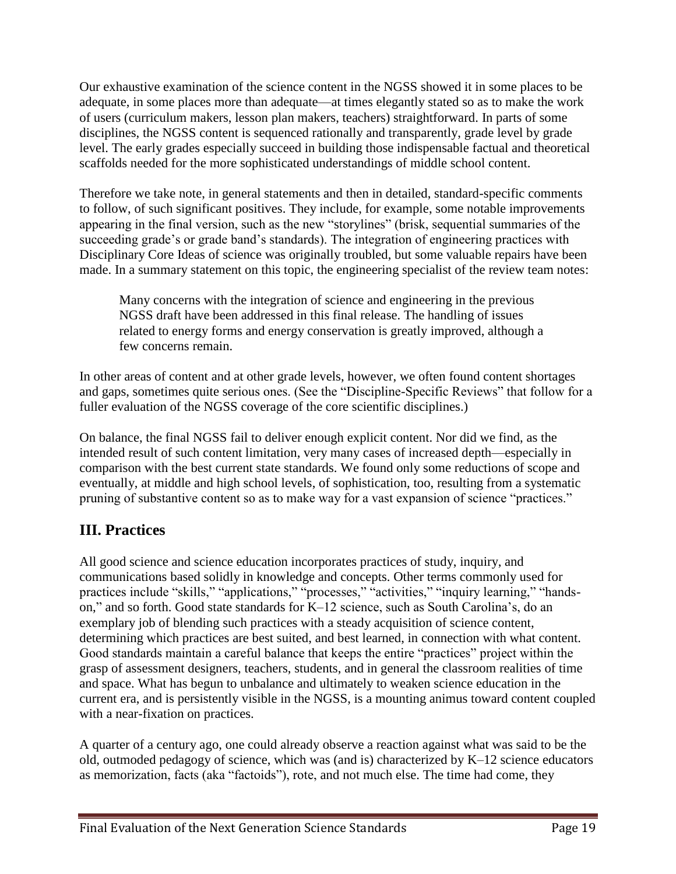Our exhaustive examination of the science content in the NGSS showed it in some places to be adequate, in some places more than adequate—at times elegantly stated so as to make the work of users (curriculum makers, lesson plan makers, teachers) straightforward. In parts of some disciplines, the NGSS content is sequenced rationally and transparently, grade level by grade level. The early grades especially succeed in building those indispensable factual and theoretical scaffolds needed for the more sophisticated understandings of middle school content.

Therefore we take note, in general statements and then in detailed, standard-specific comments to follow, of such significant positives. They include, for example, some notable improvements appearing in the final version, such as the new "storylines" (brisk, sequential summaries of the succeeding grade's or grade band's standards). The integration of engineering practices with Disciplinary Core Ideas of science was originally troubled, but some valuable repairs have been made. In a summary statement on this topic, the engineering specialist of the review team notes:

Many concerns with the integration of science and engineering in the previous NGSS draft have been addressed in this final release. The handling of issues related to energy forms and energy conservation is greatly improved, although a few concerns remain.

In other areas of content and at other grade levels, however, we often found content shortages and gaps, sometimes quite serious ones. (See the "Discipline-Specific Reviews" that follow for a fuller evaluation of the NGSS coverage of the core scientific disciplines.)

On balance, the final NGSS fail to deliver enough explicit content. Nor did we find, as the intended result of such content limitation, very many cases of increased depth—especially in comparison with the best current state standards. We found only some reductions of scope and eventually, at middle and high school levels, of sophistication, too, resulting from a systematic pruning of substantive content so as to make way for a vast expansion of science "practices."

# **III. Practices**

All good science and science education incorporates practices of study, inquiry, and communications based solidly in knowledge and concepts. Other terms commonly used for practices include "skills," "applications," "processes," "activities," "inquiry learning," "handson," and so forth. Good state standards for K–12 science, such as South Carolina's, do an exemplary job of blending such practices with a steady acquisition of science content, determining which practices are best suited, and best learned, in connection with what content. Good standards maintain a careful balance that keeps the entire "practices" project within the grasp of assessment designers, teachers, students, and in general the classroom realities of time and space. What has begun to unbalance and ultimately to weaken science education in the current era, and is persistently visible in the NGSS, is a mounting animus toward content coupled with a near-fixation on practices.

A quarter of a century ago, one could already observe a reaction against what was said to be the old, outmoded pedagogy of science, which was (and is) characterized by K–12 science educators as memorization, facts (aka "factoids"), rote, and not much else. The time had come, they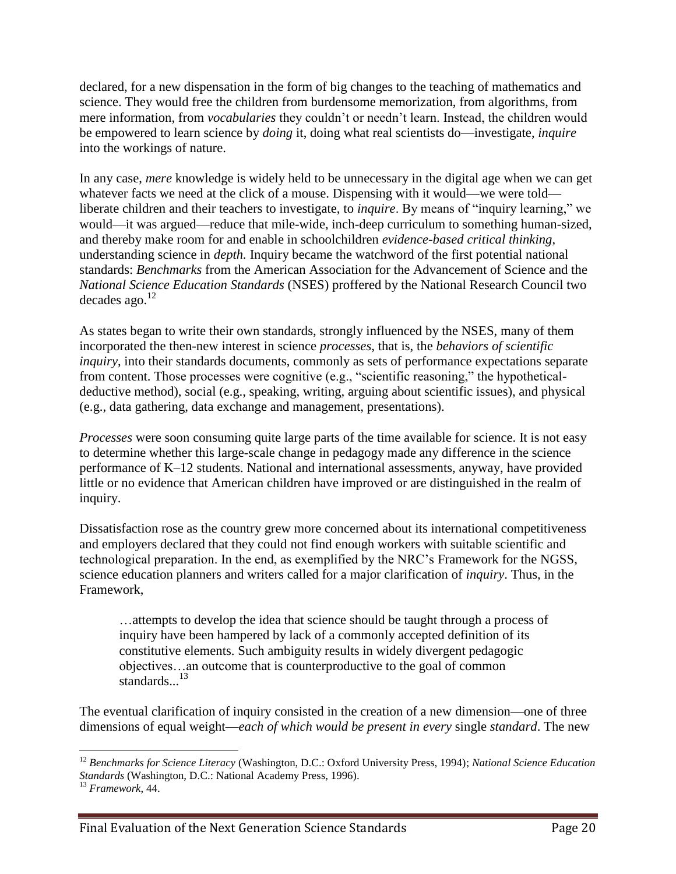declared, for a new dispensation in the form of big changes to the teaching of mathematics and science. They would free the children from burdensome memorization, from algorithms, from mere information, from *vocabularies* they couldn't or needn't learn. Instead, the children would be empowered to learn science by *doing* it, doing what real scientists do—investigate, *inquire* into the workings of nature.

In any case, *mere* knowledge is widely held to be unnecessary in the digital age when we can get whatever facts we need at the click of a mouse. Dispensing with it would—we were told liberate children and their teachers to investigate, to *inquire*. By means of "inquiry learning," we would—it was argued—reduce that mile-wide, inch-deep curriculum to something human-sized, and thereby make room for and enable in schoolchildren *evidence-based critical thinking*, understanding science in *depth.* Inquiry became the watchword of the first potential national standards: *Benchmarks* from the American Association for the Advancement of Science and the *National Science Education Standards* (NSES) proffered by the National Research Council two decades ago. $^{12}$ 

As states began to write their own standards, strongly influenced by the NSES, many of them incorporated the then-new interest in science *processes*, that is, the *behaviors of scientific inquiry*, into their standards documents, commonly as sets of performance expectations separate from content. Those processes were cognitive (e.g., "scientific reasoning," the hypotheticaldeductive method), social (e.g., speaking, writing, arguing about scientific issues), and physical (e.g., data gathering, data exchange and management, presentations).

*Processes* were soon consuming quite large parts of the time available for science. It is not easy to determine whether this large-scale change in pedagogy made any difference in the science performance of K–12 students. National and international assessments, anyway, have provided little or no evidence that American children have improved or are distinguished in the realm of inquiry.

Dissatisfaction rose as the country grew more concerned about its international competitiveness and employers declared that they could not find enough workers with suitable scientific and technological preparation. In the end, as exemplified by the NRC's Framework for the NGSS, science education planners and writers called for a major clarification of *inquiry*. Thus, in the Framework,

…attempts to develop the idea that science should be taught through a process of inquiry have been hampered by lack of a commonly accepted definition of its constitutive elements. Such ambiguity results in widely divergent pedagogic objectives…an outcome that is counterproductive to the goal of common standards. $^{13}$ 

The eventual clarification of inquiry consisted in the creation of a new dimension—one of three dimensions of equal weight—*each of which would be present in every* single *standard*. The new

 $\overline{a}$ <sup>12</sup> *Benchmarks for Science Literacy* (Washington, D.C.: Oxford University Press, 1994); *National Science Education Standards* (Washington, D.C.: National Academy Press, 1996).

<sup>13</sup> *Framework*, 44.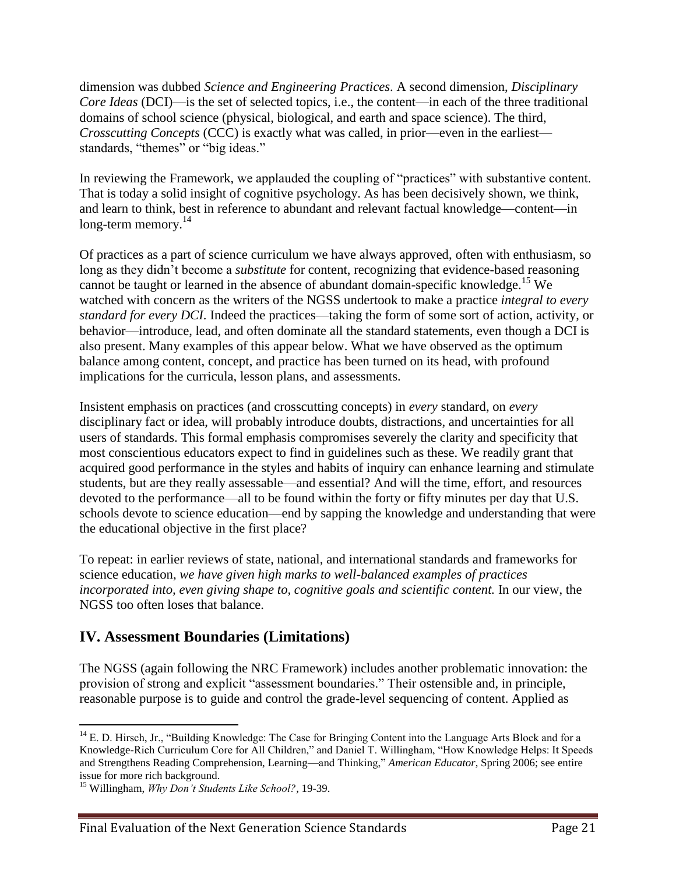dimension was dubbed *Science and Engineering Practices*. A second dimension, *Disciplinary Core Ideas* (DCI)—is the set of selected topics, i.e., the content—in each of the three traditional domains of school science (physical, biological, and earth and space science). The third, *Crosscutting Concepts* (CCC) is exactly what was called, in prior—even in the earliest standards, "themes" or "big ideas."

In reviewing the Framework, we applauded the coupling of "practices" with substantive content. That is today a solid insight of cognitive psychology. As has been decisively shown, we think, and learn to think, best in reference to abundant and relevant factual knowledge—content—in  $long-term memory.<sup>14</sup>$ 

Of practices as a part of science curriculum we have always approved, often with enthusiasm, so long as they didn't become a *substitute* for content, recognizing that evidence-based reasoning cannot be taught or learned in the absence of abundant domain-specific knowledge.<sup>15</sup> We watched with concern as the writers of the NGSS undertook to make a practice *integral to every standard for every DCI*. Indeed the practices—taking the form of some sort of action, activity, or behavior—introduce, lead, and often dominate all the standard statements, even though a DCI is also present. Many examples of this appear below. What we have observed as the optimum balance among content, concept, and practice has been turned on its head, with profound implications for the curricula, lesson plans, and assessments.

Insistent emphasis on practices (and crosscutting concepts) in *every* standard, on *every* disciplinary fact or idea, will probably introduce doubts, distractions, and uncertainties for all users of standards. This formal emphasis compromises severely the clarity and specificity that most conscientious educators expect to find in guidelines such as these. We readily grant that acquired good performance in the styles and habits of inquiry can enhance learning and stimulate students, but are they really assessable—and essential? And will the time, effort, and resources devoted to the performance—all to be found within the forty or fifty minutes per day that U.S. schools devote to science education—end by sapping the knowledge and understanding that were the educational objective in the first place?

To repeat: in earlier reviews of state, national, and international standards and frameworks for science education, *we have given high marks to well-balanced examples of practices incorporated into, even giving shape to, cognitive goals and scientific content.* In our view, the NGSS too often loses that balance.

# **IV. Assessment Boundaries (Limitations)**

The NGSS (again following the NRC Framework) includes another problematic innovation: the provision of strong and explicit "assessment boundaries." Their ostensible and, in principle, reasonable purpose is to guide and control the grade-level sequencing of content. Applied as

 $\overline{a}$ 

<sup>&</sup>lt;sup>14</sup> E. D. Hirsch, Jr., "Building Knowledge: The Case for Bringing Content into the Language Arts Block and for a Knowledge-Rich Curriculum Core for All Children," and Daniel T. Willingham, "How Knowledge Helps: It Speeds and Strengthens Reading Comprehension, Learning—and Thinking," *American Educator*, Spring 2006; see entire issue for more rich background.

<sup>15</sup> Willingham, *Why Don't Students Like School?,* 19-39.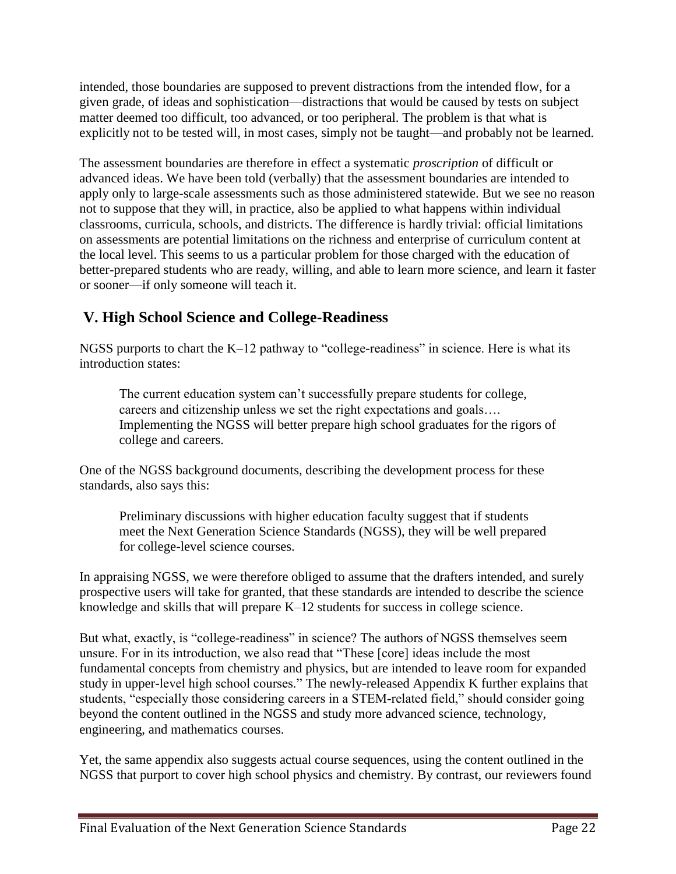intended, those boundaries are supposed to prevent distractions from the intended flow, for a given grade, of ideas and sophistication—distractions that would be caused by tests on subject matter deemed too difficult, too advanced, or too peripheral. The problem is that what is explicitly not to be tested will, in most cases, simply not be taught—and probably not be learned.

The assessment boundaries are therefore in effect a systematic *proscription* of difficult or advanced ideas. We have been told (verbally) that the assessment boundaries are intended to apply only to large-scale assessments such as those administered statewide. But we see no reason not to suppose that they will, in practice, also be applied to what happens within individual classrooms, curricula, schools, and districts. The difference is hardly trivial: official limitations on assessments are potential limitations on the richness and enterprise of curriculum content at the local level. This seems to us a particular problem for those charged with the education of better-prepared students who are ready, willing, and able to learn more science, and learn it faster or sooner—if only someone will teach it.

# **V. High School Science and College-Readiness**

NGSS purports to chart the K–12 pathway to "college-readiness" in science. Here is what its introduction states:

The current education system can't successfully prepare students for college, careers and citizenship unless we set the right expectations and goals…. Implementing the NGSS will better prepare high school graduates for the rigors of college and careers.

One of the NGSS background documents, describing the development process for these standards, also says this:

Preliminary discussions with higher education faculty suggest that if students meet the Next Generation Science Standards (NGSS), they will be well prepared for college-level science courses.

In appraising NGSS, we were therefore obliged to assume that the drafters intended, and surely prospective users will take for granted, that these standards are intended to describe the science knowledge and skills that will prepare K–12 students for success in college science.

But what, exactly, is "college-readiness" in science? The authors of NGSS themselves seem unsure. For in its introduction, we also read that "These [core] ideas include the most fundamental concepts from chemistry and physics, but are intended to leave room for expanded study in upper-level high school courses." The newly-released Appendix K further explains that students, "especially those considering careers in a STEM-related field," should consider going beyond the content outlined in the NGSS and study more advanced science, technology, engineering, and mathematics courses.

Yet, the same appendix also suggests actual course sequences, using the content outlined in the NGSS that purport to cover high school physics and chemistry. By contrast, our reviewers found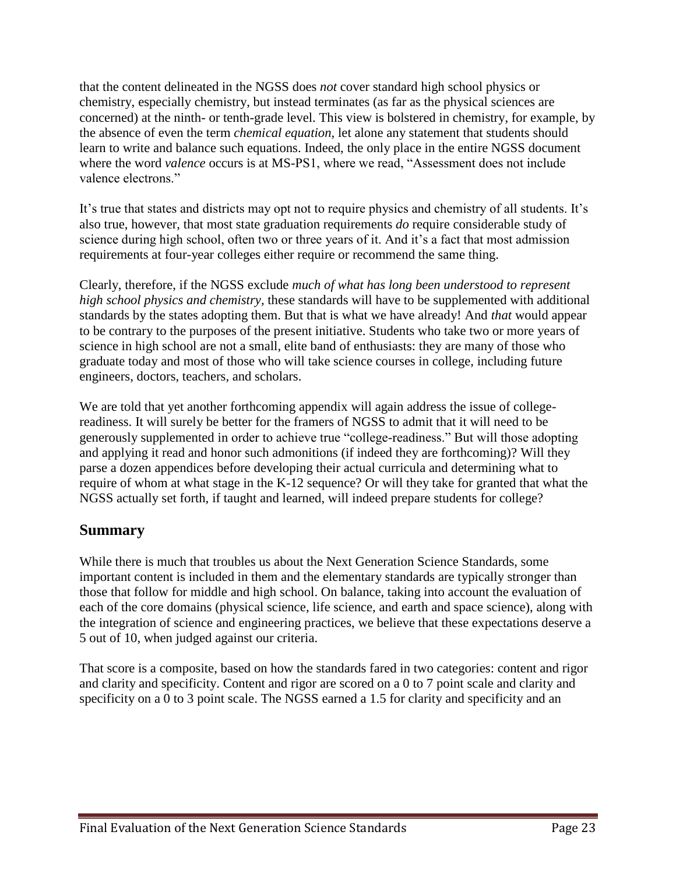that the content delineated in the NGSS does *not* cover standard high school physics or chemistry, especially chemistry, but instead terminates (as far as the physical sciences are concerned) at the ninth- or tenth-grade level. This view is bolstered in chemistry, for example, by the absence of even the term *chemical equation,* let alone any statement that students should learn to write and balance such equations. Indeed, the only place in the entire NGSS document where the word *valence* occurs is at MS-PS1, where we read, "Assessment does not include valence electrons."

It's true that states and districts may opt not to require physics and chemistry of all students. It's also true, however, that most state graduation requirements *do* require considerable study of science during high school, often two or three years of it. And it's a fact that most admission requirements at four-year colleges either require or recommend the same thing.

Clearly, therefore, if the NGSS exclude *much of what has long been understood to represent high school physics and chemistry,* these standards will have to be supplemented with additional standards by the states adopting them. But that is what we have already! And *that* would appear to be contrary to the purposes of the present initiative. Students who take two or more years of science in high school are not a small, elite band of enthusiasts: they are many of those who graduate today and most of those who will take science courses in college, including future engineers, doctors, teachers, and scholars.

We are told that yet another forthcoming appendix will again address the issue of collegereadiness. It will surely be better for the framers of NGSS to admit that it will need to be generously supplemented in order to achieve true "college-readiness." But will those adopting and applying it read and honor such admonitions (if indeed they are forthcoming)? Will they parse a dozen appendices before developing their actual curricula and determining what to require of whom at what stage in the K-12 sequence? Or will they take for granted that what the NGSS actually set forth, if taught and learned, will indeed prepare students for college?

# **Summary**

While there is much that troubles us about the Next Generation Science Standards, some important content is included in them and the elementary standards are typically stronger than those that follow for middle and high school. On balance, taking into account the evaluation of each of the core domains (physical science, life science, and earth and space science), along with the integration of science and engineering practices, we believe that these expectations deserve a 5 out of 10, when judged against our criteria.

That score is a composite, based on how the standards fared in two categories: content and rigor and clarity and specificity. Content and rigor are scored on a 0 to 7 point scale and clarity and specificity on a 0 to 3 point scale. The NGSS earned a 1.5 for clarity and specificity and an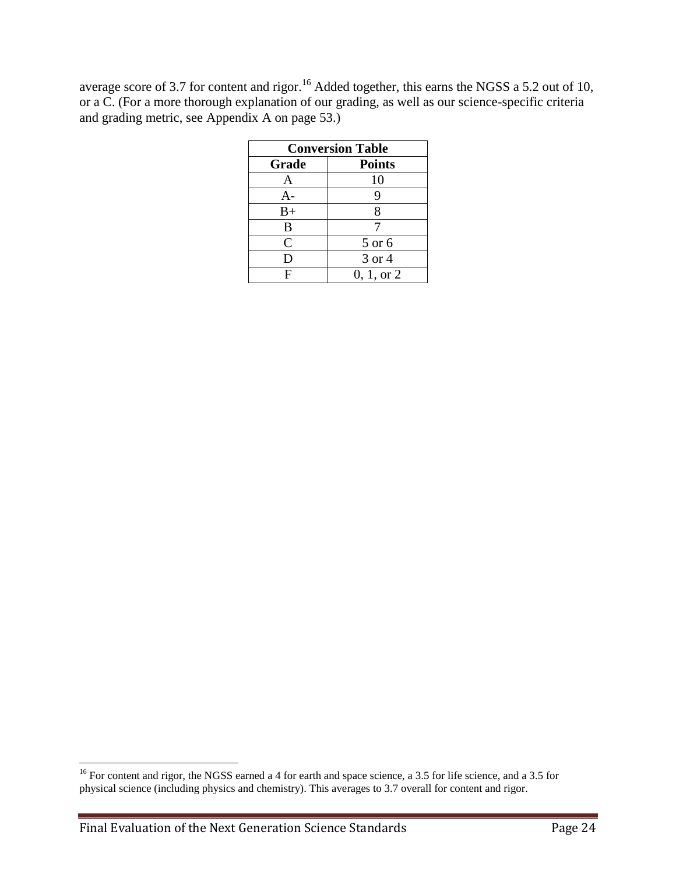average score of 3.7 for content and rigor.<sup>16</sup> Added together, this earns the NGSS a 5.2 out of 10, or a C. (For a more thorough explanation of our grading, as well as our science-specific criteria and grading metric, see Appendix A on page 53.)

| <b>Conversion Table</b> |               |  |
|-------------------------|---------------|--|
| Grade                   | <b>Points</b> |  |
| A                       | 10            |  |
| $A-$                    | 9             |  |
| $B+$                    | 8             |  |
| B                       |               |  |
| $\mathsf{C}$            | 5 or 6        |  |
| D                       | 3 or 4        |  |
| F                       | 0, 1, or 2    |  |

 $\overline{a}$ 

 $16$  For content and rigor, the NGSS earned a 4 for earth and space science, a 3.5 for life science, and a 3.5 for physical science (including physics and chemistry). This averages to 3.7 overall for content and rigor.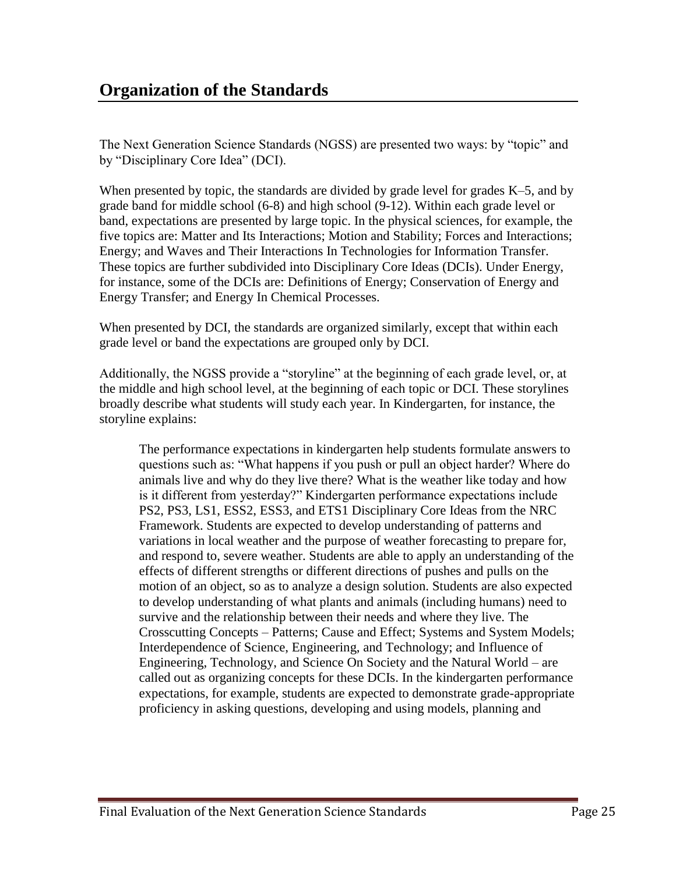The Next Generation Science Standards (NGSS) are presented two ways: by "topic" and by "Disciplinary Core Idea" (DCI).

When presented by topic, the standards are divided by grade level for grades K–5, and by grade band for middle school (6-8) and high school (9-12). Within each grade level or band, expectations are presented by large topic. In the physical sciences, for example, the five topics are: Matter and Its Interactions; Motion and Stability; Forces and Interactions; Energy; and Waves and Their Interactions In Technologies for Information Transfer. These topics are further subdivided into Disciplinary Core Ideas (DCIs). Under Energy, for instance, some of the DCIs are: Definitions of Energy; Conservation of Energy and Energy Transfer; and Energy In Chemical Processes.

When presented by DCI, the standards are organized similarly, except that within each grade level or band the expectations are grouped only by DCI.

Additionally, the NGSS provide a "storyline" at the beginning of each grade level, or, at the middle and high school level, at the beginning of each topic or DCI. These storylines broadly describe what students will study each year. In Kindergarten, for instance, the storyline explains:

The performance expectations in kindergarten help students formulate answers to questions such as: "What happens if you push or pull an object harder? Where do animals live and why do they live there? What is the weather like today and how is it different from yesterday?" Kindergarten performance expectations include PS2, PS3, LS1, ESS2, ESS3, and ETS1 Disciplinary Core Ideas from the NRC Framework. Students are expected to develop understanding of patterns and variations in local weather and the purpose of weather forecasting to prepare for, and respond to, severe weather. Students are able to apply an understanding of the effects of different strengths or different directions of pushes and pulls on the motion of an object, so as to analyze a design solution. Students are also expected to develop understanding of what plants and animals (including humans) need to survive and the relationship between their needs and where they live. The Crosscutting Concepts – Patterns; Cause and Effect; Systems and System Models; Interdependence of Science, Engineering, and Technology; and Influence of Engineering, Technology, and Science On Society and the Natural World – are called out as organizing concepts for these DCIs. In the kindergarten performance expectations, for example, students are expected to demonstrate grade-appropriate proficiency in asking questions, developing and using models, planning and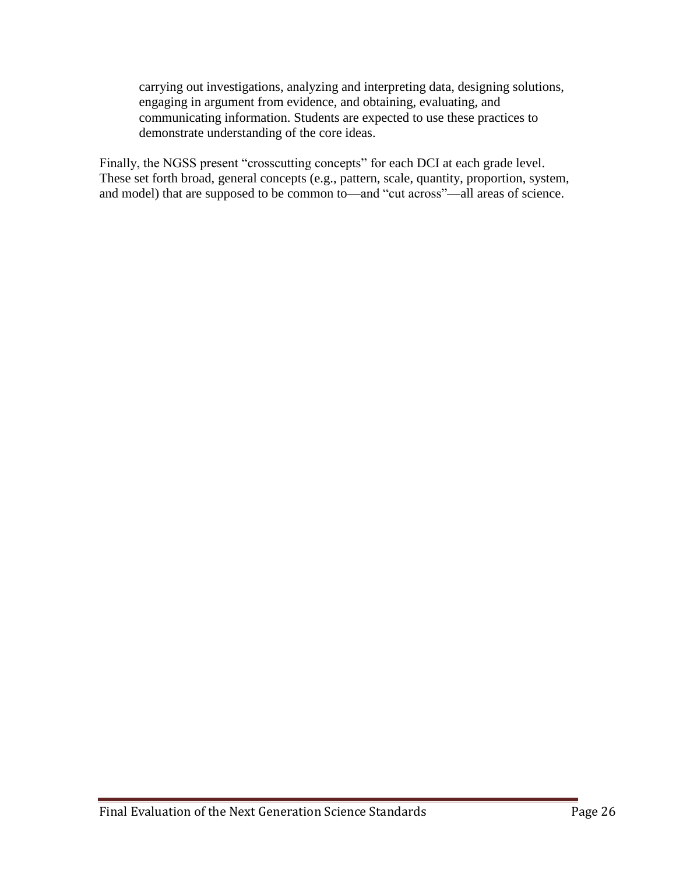carrying out investigations, analyzing and interpreting data, designing solutions, engaging in argument from evidence, and obtaining, evaluating, and communicating information. Students are expected to use these practices to demonstrate understanding of the core ideas.

Finally, the NGSS present "crosscutting concepts" for each DCI at each grade level. These set forth broad, general concepts (e.g., pattern, scale, quantity, proportion, system, and model) that are supposed to be common to—and "cut across"—all areas of science.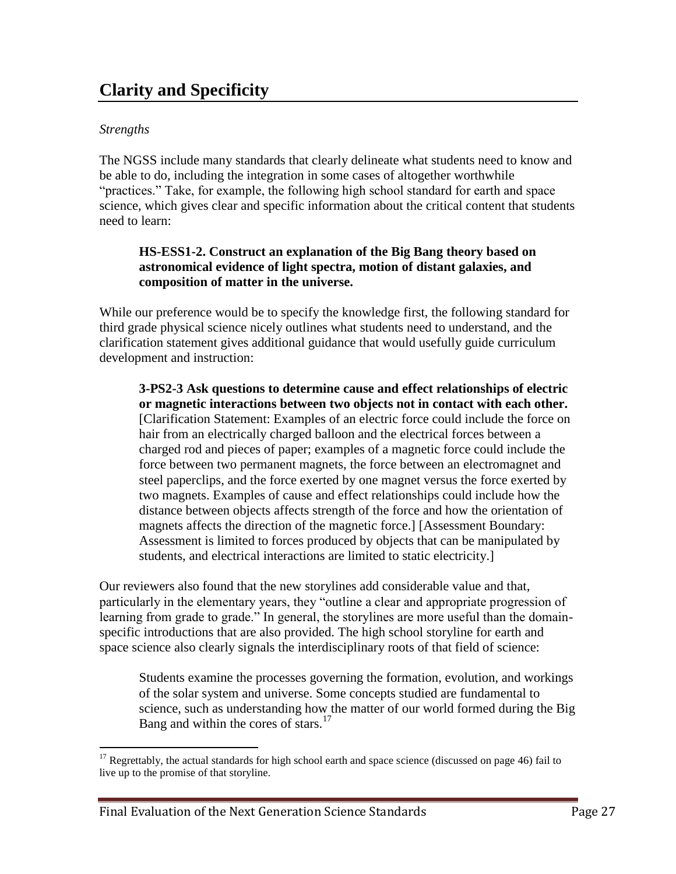# **Clarity and Specificity**

### *Strengths*

 $\overline{a}$ 

The NGSS include many standards that clearly delineate what students need to know and be able to do, including the integration in some cases of altogether worthwhile "practices." Take, for example, the following high school standard for earth and space science, which gives clear and specific information about the critical content that students need to learn:

#### **HS-ESS1-2. Construct an explanation of the Big Bang theory based on astronomical evidence of light spectra, motion of distant galaxies, and composition of matter in the universe.**

While our preference would be to specify the knowledge first, the following standard for third grade physical science nicely outlines what students need to understand, and the clarification statement gives additional guidance that would usefully guide curriculum development and instruction:

**3-PS2-3 Ask questions to determine cause and effect relationships of electric or magnetic interactions between two objects not in contact with each other.** [Clarification Statement: Examples of an electric force could include the force on hair from an electrically charged balloon and the electrical forces between a charged rod and pieces of paper; examples of a magnetic force could include the force between two permanent magnets, the force between an electromagnet and steel paperclips, and the force exerted by one magnet versus the force exerted by two magnets. Examples of cause and effect relationships could include how the distance between objects affects strength of the force and how the orientation of magnets affects the direction of the magnetic force.] [Assessment Boundary: Assessment is limited to forces produced by objects that can be manipulated by students, and electrical interactions are limited to static electricity.]

Our reviewers also found that the new storylines add considerable value and that, particularly in the elementary years, they "outline a clear and appropriate progression of learning from grade to grade." In general, the storylines are more useful than the domainspecific introductions that are also provided. The high school storyline for earth and space science also clearly signals the interdisciplinary roots of that field of science:

Students examine the processes governing the formation, evolution, and workings of the solar system and universe. Some concepts studied are fundamental to science, such as understanding how the matter of our world formed during the Big Bang and within the cores of stars. $17$ 

 $17$  Regrettably, the actual standards for high school earth and space science (discussed on page 46) fail to live up to the promise of that storyline.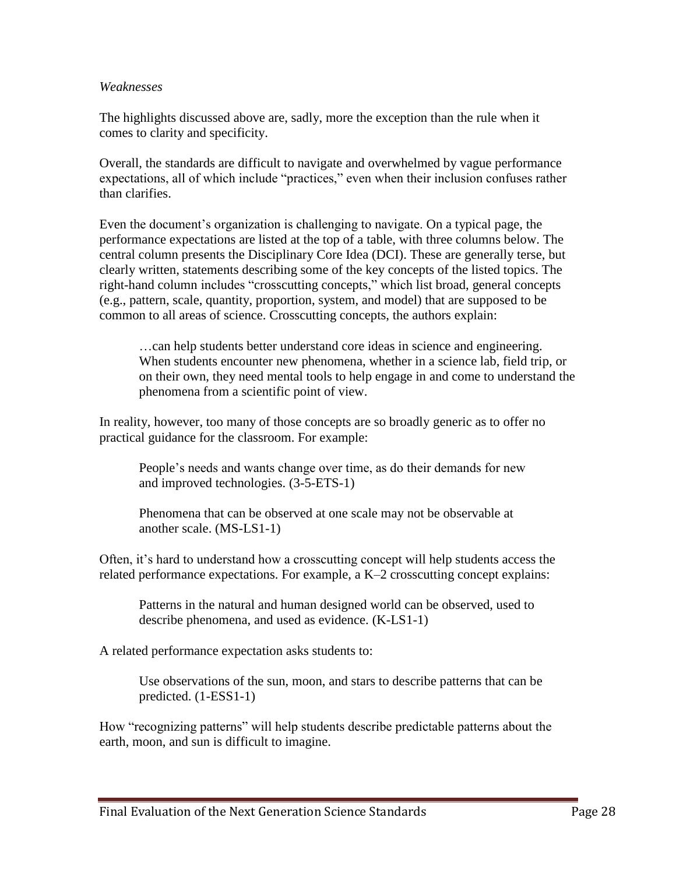#### *Weaknesses*

The highlights discussed above are, sadly, more the exception than the rule when it comes to clarity and specificity.

Overall, the standards are difficult to navigate and overwhelmed by vague performance expectations, all of which include "practices," even when their inclusion confuses rather than clarifies.

Even the document's organization is challenging to navigate. On a typical page, the performance expectations are listed at the top of a table, with three columns below. The central column presents the Disciplinary Core Idea (DCI). These are generally terse, but clearly written, statements describing some of the key concepts of the listed topics. The right-hand column includes "crosscutting concepts," which list broad, general concepts (e.g., pattern, scale, quantity, proportion, system, and model) that are supposed to be common to all areas of science. Crosscutting concepts, the authors explain:

…can help students better understand core ideas in science and engineering. When students encounter new phenomena, whether in a science lab, field trip, or on their own, they need mental tools to help engage in and come to understand the phenomena from a scientific point of view.

In reality, however, too many of those concepts are so broadly generic as to offer no practical guidance for the classroom. For example:

People's needs and wants change over time, as do their demands for new and improved technologies. (3-5-ETS-1)

Phenomena that can be observed at one scale may not be observable at another scale. (MS-LS1-1)

Often, it's hard to understand how a crosscutting concept will help students access the related performance expectations. For example, a K–2 crosscutting concept explains:

Patterns in the natural and human designed world can be observed, used to describe phenomena, and used as evidence. (K-LS1-1)

A related performance expectation asks students to:

Use observations of the sun, moon, and stars to describe patterns that can be predicted. (1-ESS1-1)

How "recognizing patterns" will help students describe predictable patterns about the earth, moon, and sun is difficult to imagine.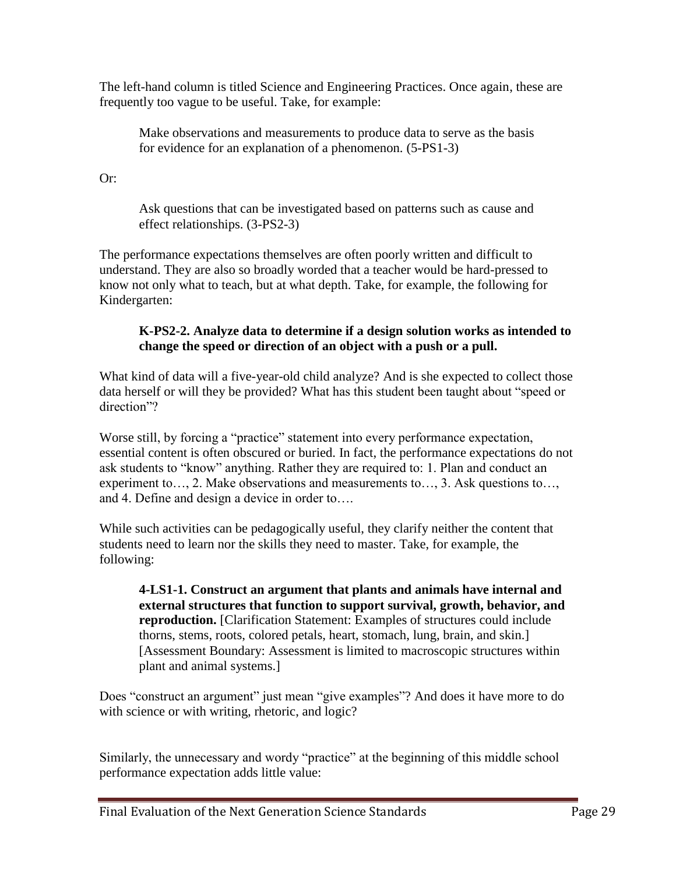The left-hand column is titled Science and Engineering Practices. Once again, these are frequently too vague to be useful. Take, for example:

Make observations and measurements to produce data to serve as the basis for evidence for an explanation of a phenomenon. (5-PS1-3)

Or:

Ask questions that can be investigated based on patterns such as cause and effect relationships. (3-PS2-3)

The performance expectations themselves are often poorly written and difficult to understand. They are also so broadly worded that a teacher would be hard-pressed to know not only what to teach, but at what depth. Take, for example, the following for Kindergarten:

### **K-PS2-2. Analyze data to determine if a design solution works as intended to change the speed or direction of an object with a push or a pull.**

What kind of data will a five-year-old child analyze? And is she expected to collect those data herself or will they be provided? What has this student been taught about "speed or direction"?

Worse still, by forcing a "practice" statement into every performance expectation, essential content is often obscured or buried. In fact, the performance expectations do not ask students to "know" anything. Rather they are required to: 1. Plan and conduct an experiment to…, 2. Make observations and measurements to…, 3. Ask questions to…, and 4. Define and design a device in order to….

While such activities can be pedagogically useful, they clarify neither the content that students need to learn nor the skills they need to master. Take, for example, the following:

**4-LS1-1. Construct an argument that plants and animals have internal and external structures that function to support survival, growth, behavior, and reproduction.** [Clarification Statement: Examples of structures could include thorns, stems, roots, colored petals, heart, stomach, lung, brain, and skin.] [Assessment Boundary: Assessment is limited to macroscopic structures within plant and animal systems.]

Does "construct an argument" just mean "give examples"? And does it have more to do with science or with writing, rhetoric, and logic?

Similarly, the unnecessary and wordy "practice" at the beginning of this middle school performance expectation adds little value: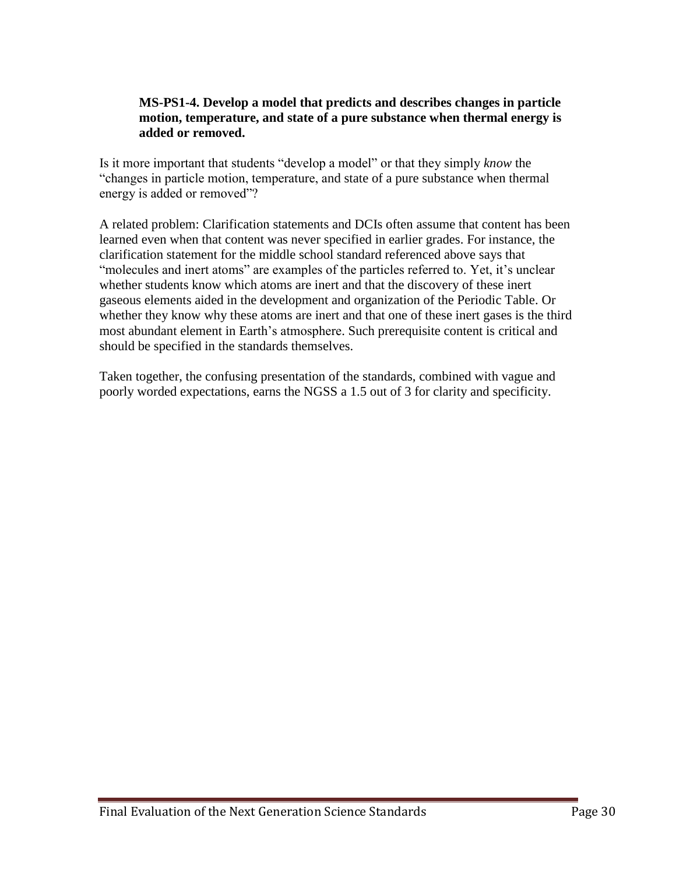#### **MS-PS1-4. Develop a model that predicts and describes changes in particle motion, temperature, and state of a pure substance when thermal energy is added or removed.**

Is it more important that students "develop a model" or that they simply *know* the "changes in particle motion, temperature, and state of a pure substance when thermal energy is added or removed"?

A related problem: Clarification statements and DCIs often assume that content has been learned even when that content was never specified in earlier grades. For instance, the clarification statement for the middle school standard referenced above says that "molecules and inert atoms" are examples of the particles referred to. Yet, it's unclear whether students know which atoms are inert and that the discovery of these inert gaseous elements aided in the development and organization of the Periodic Table. Or whether they know why these atoms are inert and that one of these inert gases is the third most abundant element in Earth's atmosphere. Such prerequisite content is critical and should be specified in the standards themselves.

Taken together, the confusing presentation of the standards, combined with vague and poorly worded expectations, earns the NGSS a 1.5 out of 3 for clarity and specificity.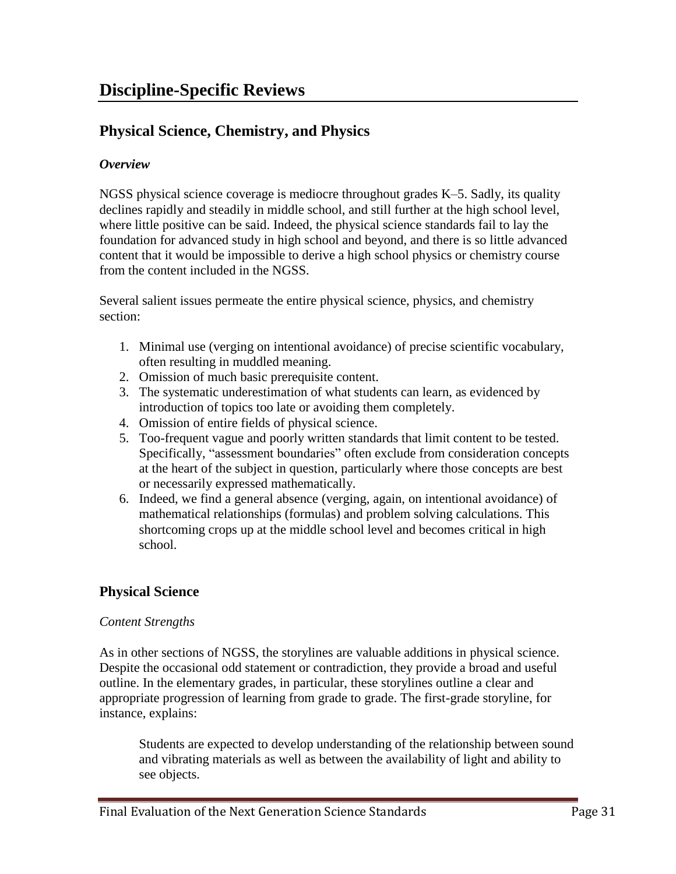# **Physical Science, Chemistry, and Physics**

### *Overview*

NGSS physical science coverage is mediocre throughout grades K–5. Sadly, its quality declines rapidly and steadily in middle school, and still further at the high school level, where little positive can be said. Indeed, the physical science standards fail to lay the foundation for advanced study in high school and beyond, and there is so little advanced content that it would be impossible to derive a high school physics or chemistry course from the content included in the NGSS.

Several salient issues permeate the entire physical science, physics, and chemistry section:

- 1. Minimal use (verging on intentional avoidance) of precise scientific vocabulary, often resulting in muddled meaning.
- 2. Omission of much basic prerequisite content.
- 3. The systematic underestimation of what students can learn, as evidenced by introduction of topics too late or avoiding them completely.
- 4. Omission of entire fields of physical science.
- 5. Too-frequent vague and poorly written standards that limit content to be tested. Specifically, "assessment boundaries" often exclude from consideration concepts at the heart of the subject in question, particularly where those concepts are best or necessarily expressed mathematically.
- 6. Indeed, we find a general absence (verging, again, on intentional avoidance) of mathematical relationships (formulas) and problem solving calculations. This shortcoming crops up at the middle school level and becomes critical in high school.

# **Physical Science**

### *Content Strengths*

As in other sections of NGSS, the storylines are valuable additions in physical science. Despite the occasional odd statement or contradiction, they provide a broad and useful outline. In the elementary grades, in particular, these storylines outline a clear and appropriate progression of learning from grade to grade. The first-grade storyline, for instance, explains:

Students are expected to develop understanding of the relationship between sound and vibrating materials as well as between the availability of light and ability to see objects.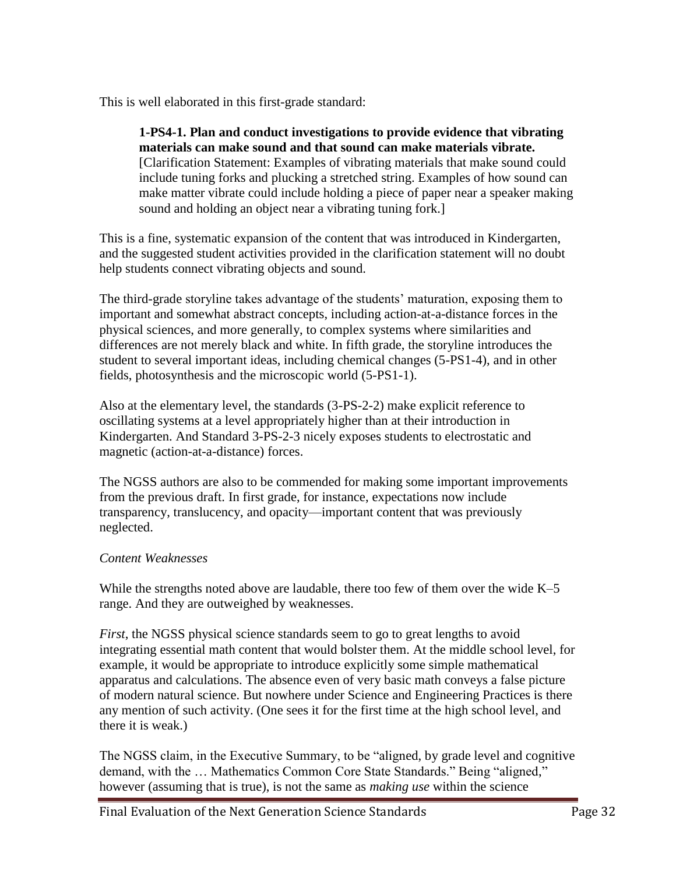This is well elaborated in this first-grade standard:

#### **1-PS4-1. Plan and conduct investigations to provide evidence that vibrating materials can make sound and that sound can make materials vibrate.**  [Clarification Statement: Examples of vibrating materials that make sound could include tuning forks and plucking a stretched string. Examples of how sound can make matter vibrate could include holding a piece of paper near a speaker making

This is a fine, systematic expansion of the content that was introduced in Kindergarten, and the suggested student activities provided in the clarification statement will no doubt help students connect vibrating objects and sound.

sound and holding an object near a vibrating tuning fork.]

The third-grade storyline takes advantage of the students' maturation, exposing them to important and somewhat abstract concepts, including action-at-a-distance forces in the physical sciences, and more generally, to complex systems where similarities and differences are not merely black and white. In fifth grade, the storyline introduces the student to several important ideas, including chemical changes (5-PS1-4), and in other fields, photosynthesis and the microscopic world (5-PS1-1).

Also at the elementary level, the standards (3-PS-2-2) make explicit reference to oscillating systems at a level appropriately higher than at their introduction in Kindergarten. And Standard 3-PS-2-3 nicely exposes students to electrostatic and magnetic (action-at-a-distance) forces.

The NGSS authors are also to be commended for making some important improvements from the previous draft. In first grade, for instance, expectations now include transparency, translucency, and opacity—important content that was previously neglected.

#### *Content Weaknesses*

While the strengths noted above are laudable, there too few of them over the wide K–5 range. And they are outweighed by weaknesses.

*First*, the NGSS physical science standards seem to go to great lengths to avoid integrating essential math content that would bolster them. At the middle school level, for example, it would be appropriate to introduce explicitly some simple mathematical apparatus and calculations. The absence even of very basic math conveys a false picture of modern natural science. But nowhere under Science and Engineering Practices is there any mention of such activity. (One sees it for the first time at the high school level, and there it is weak.)

The NGSS claim, in the Executive Summary, to be "aligned, by grade level and cognitive demand, with the … Mathematics Common Core State Standards." Being "aligned," however (assuming that is true), is not the same as *making use* within the science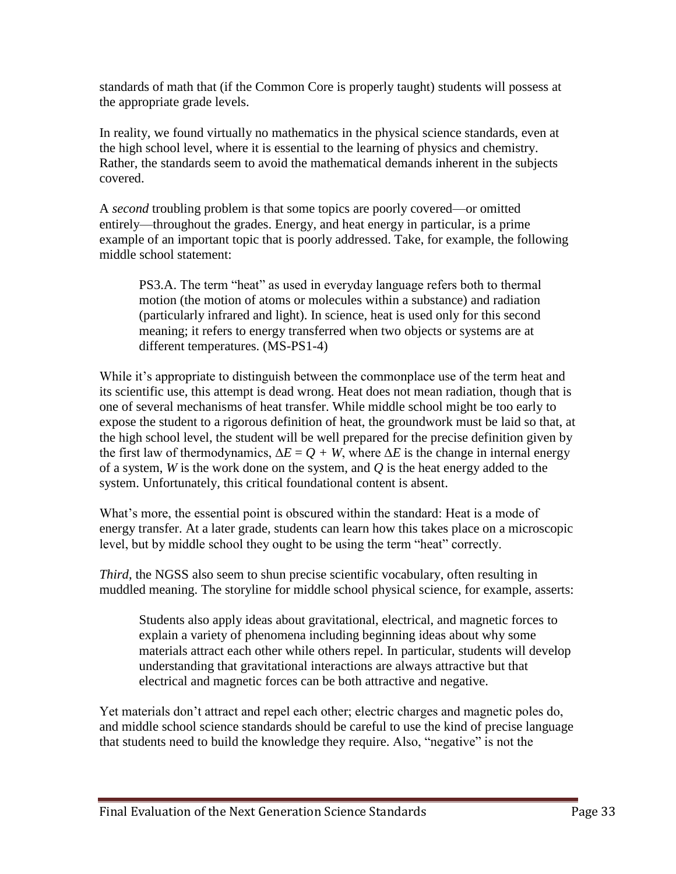standards of math that (if the Common Core is properly taught) students will possess at the appropriate grade levels.

In reality, we found virtually no mathematics in the physical science standards, even at the high school level, where it is essential to the learning of physics and chemistry. Rather, the standards seem to avoid the mathematical demands inherent in the subjects covered.

A *second* troubling problem is that some topics are poorly covered—or omitted entirely—throughout the grades. Energy, and heat energy in particular, is a prime example of an important topic that is poorly addressed. Take, for example, the following middle school statement:

PS3.A. The term "heat" as used in everyday language refers both to thermal motion (the motion of atoms or molecules within a substance) and radiation (particularly infrared and light). In science, heat is used only for this second meaning; it refers to energy transferred when two objects or systems are at different temperatures. (MS-PS1-4)

While it's appropriate to distinguish between the commonplace use of the term heat and its scientific use, this attempt is dead wrong. Heat does not mean radiation, though that is one of several mechanisms of heat transfer. While middle school might be too early to expose the student to a rigorous definition of heat, the groundwork must be laid so that, at the high school level, the student will be well prepared for the precise definition given by the first law of thermodynamics,  $\Delta E = Q + W$ , where  $\Delta E$  is the change in internal energy of a system, *W* is the work done on the system, and *Q* is the heat energy added to the system. Unfortunately, this critical foundational content is absent.

What's more, the essential point is obscured within the standard: Heat is a mode of energy transfer. At a later grade, students can learn how this takes place on a microscopic level, but by middle school they ought to be using the term "heat" correctly.

*Third*, the NGSS also seem to shun precise scientific vocabulary, often resulting in muddled meaning. The storyline for middle school physical science, for example, asserts:

Students also apply ideas about gravitational, electrical, and magnetic forces to explain a variety of phenomena including beginning ideas about why some materials attract each other while others repel. In particular, students will develop understanding that gravitational interactions are always attractive but that electrical and magnetic forces can be both attractive and negative.

Yet materials don't attract and repel each other; electric charges and magnetic poles do, and middle school science standards should be careful to use the kind of precise language that students need to build the knowledge they require. Also, "negative" is not the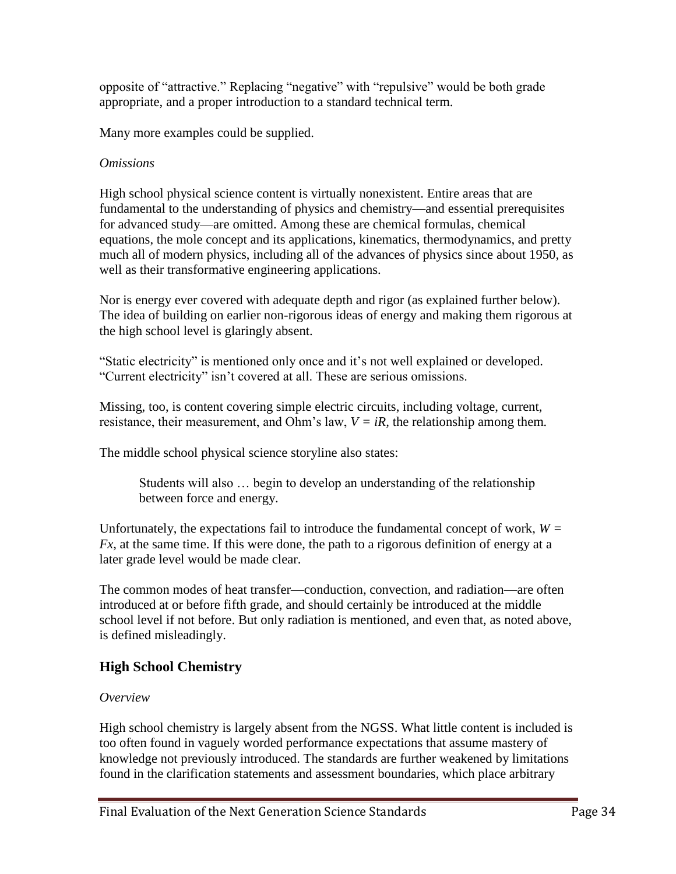opposite of "attractive." Replacing "negative" with "repulsive" would be both grade appropriate, and a proper introduction to a standard technical term*.* 

Many more examples could be supplied.

### *Omissions*

High school physical science content is virtually nonexistent. Entire areas that are fundamental to the understanding of physics and chemistry—and essential prerequisites for advanced study—are omitted. Among these are chemical formulas, chemical equations, the mole concept and its applications, kinematics, thermodynamics, and pretty much all of modern physics, including all of the advances of physics since about 1950, as well as their transformative engineering applications.

Nor is energy ever covered with adequate depth and rigor (as explained further below). The idea of building on earlier non-rigorous ideas of energy and making them rigorous at the high school level is glaringly absent.

"Static electricity" is mentioned only once and it's not well explained or developed. "Current electricity" isn't covered at all. These are serious omissions.

Missing, too, is content covering simple electric circuits, including voltage, current, resistance, their measurement, and Ohm's law,  $V = iR$ , the relationship among them.

The middle school physical science storyline also states:

Students will also … begin to develop an understanding of the relationship between force and energy.

Unfortunately, the expectations fail to introduce the fundamental concept of work,  $W =$ *Fx*, at the same time. If this were done, the path to a rigorous definition of energy at a later grade level would be made clear.

The common modes of heat transfer—conduction, convection, and radiation—are often introduced at or before fifth grade, and should certainly be introduced at the middle school level if not before. But only radiation is mentioned, and even that, as noted above, is defined misleadingly.

## **High School Chemistry**

#### *Overview*

High school chemistry is largely absent from the NGSS. What little content is included is too often found in vaguely worded performance expectations that assume mastery of knowledge not previously introduced. The standards are further weakened by limitations found in the clarification statements and assessment boundaries, which place arbitrary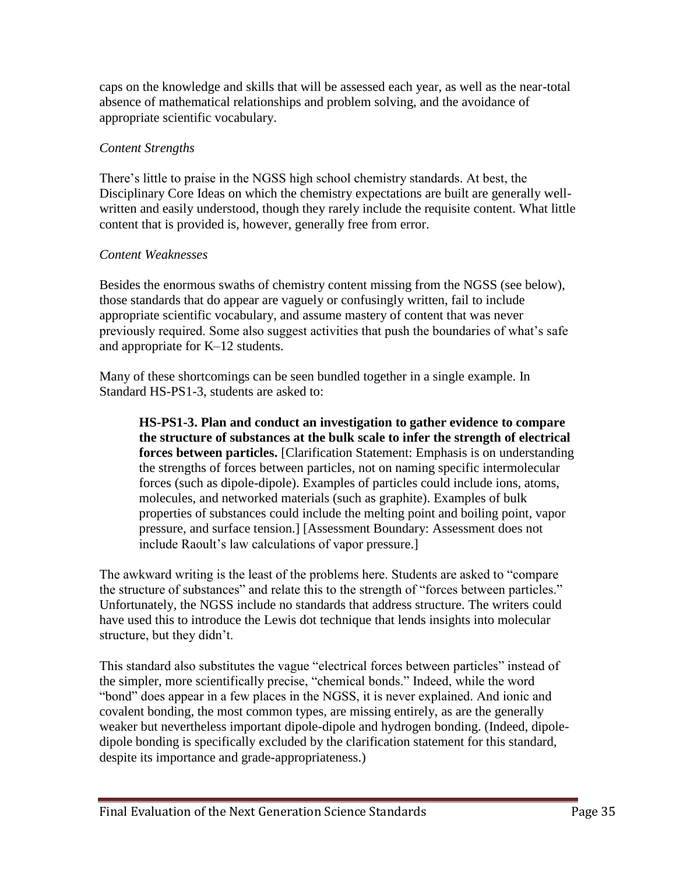caps on the knowledge and skills that will be assessed each year, as well as the near-total absence of mathematical relationships and problem solving, and the avoidance of appropriate scientific vocabulary.

#### *Content Strengths*

There's little to praise in the NGSS high school chemistry standards. At best, the Disciplinary Core Ideas on which the chemistry expectations are built are generally wellwritten and easily understood, though they rarely include the requisite content. What little content that is provided is, however, generally free from error.

### *Content Weaknesses*

Besides the enormous swaths of chemistry content missing from the NGSS (see below), those standards that do appear are vaguely or confusingly written, fail to include appropriate scientific vocabulary, and assume mastery of content that was never previously required. Some also suggest activities that push the boundaries of what's safe and appropriate for K–12 students.

Many of these shortcomings can be seen bundled together in a single example. In Standard HS-PS1-3, students are asked to:

**HS-PS1-3. Plan and conduct an investigation to gather evidence to compare the structure of substances at the bulk scale to infer the strength of electrical forces between particles.** [Clarification Statement: Emphasis is on understanding the strengths of forces between particles, not on naming specific intermolecular forces (such as dipole-dipole). Examples of particles could include ions, atoms, molecules, and networked materials (such as graphite). Examples of bulk properties of substances could include the melting point and boiling point, vapor pressure, and surface tension.] [Assessment Boundary: Assessment does not include Raoult's law calculations of vapor pressure.]

The awkward writing is the least of the problems here. Students are asked to "compare the structure of substances" and relate this to the strength of "forces between particles." Unfortunately, the NGSS include no standards that address structure. The writers could have used this to introduce the Lewis dot technique that lends insights into molecular structure, but they didn't.

This standard also substitutes the vague "electrical forces between particles" instead of the simpler, more scientifically precise, "chemical bonds." Indeed, while the word "bond" does appear in a few places in the NGSS, it is never explained. And ionic and covalent bonding, the most common types, are missing entirely, as are the generally weaker but nevertheless important dipole-dipole and hydrogen bonding. (Indeed, dipoledipole bonding is specifically excluded by the clarification statement for this standard, despite its importance and grade-appropriateness.)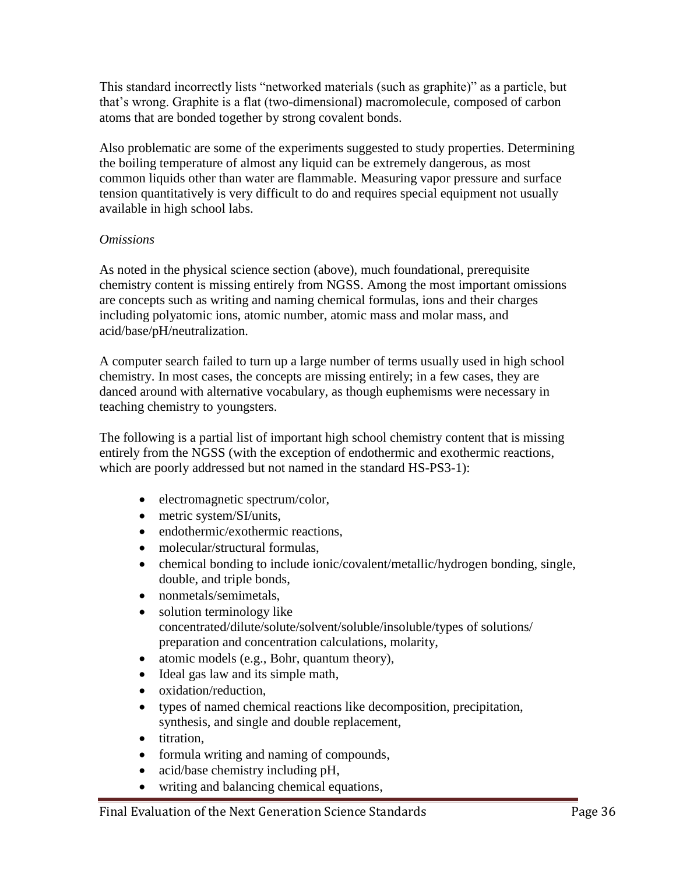This standard incorrectly lists "networked materials (such as graphite)" as a particle, but that's wrong. Graphite is a flat (two-dimensional) macromolecule, composed of carbon atoms that are bonded together by strong covalent bonds.

Also problematic are some of the experiments suggested to study properties. Determining the boiling temperature of almost any liquid can be extremely dangerous, as most common liquids other than water are flammable. Measuring vapor pressure and surface tension quantitatively is very difficult to do and requires special equipment not usually available in high school labs.

#### *Omissions*

As noted in the physical science section (above), much foundational, prerequisite chemistry content is missing entirely from NGSS. Among the most important omissions are concepts such as writing and naming chemical formulas, ions and their charges including polyatomic ions, atomic number, atomic mass and molar mass, and acid/base/pH/neutralization.

A computer search failed to turn up a large number of terms usually used in high school chemistry. In most cases, the concepts are missing entirely; in a few cases, they are danced around with alternative vocabulary, as though euphemisms were necessary in teaching chemistry to youngsters.

The following is a partial list of important high school chemistry content that is missing entirely from the NGSS (with the exception of endothermic and exothermic reactions, which are poorly addressed but not named in the standard HS-PS3-1):

- electromagnetic spectrum/color,
- metric system/SI/units.
- endothermic/exothermic reactions,
- molecular/structural formulas,
- chemical bonding to include ionic/covalent/metallic/hydrogen bonding, single, double, and triple bonds,
- nonmetals/semimetals,
- solution terminology like concentrated/dilute/solute/solvent/soluble/insoluble/types of solutions/ preparation and concentration calculations, molarity,
- atomic models (e.g., Bohr, quantum theory),
- Ideal gas law and its simple math,
- oxidation/reduction,
- types of named chemical reactions like decomposition, precipitation, synthesis, and single and double replacement,
- titration.
- formula writing and naming of compounds,
- acid/base chemistry including pH,
- writing and balancing chemical equations,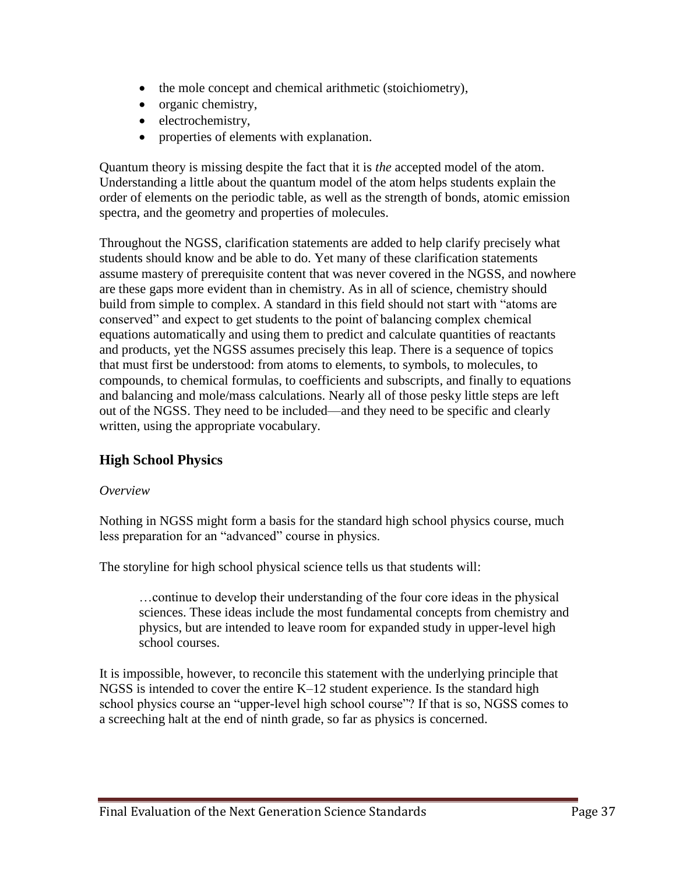- the mole concept and chemical arithmetic (stoichiometry),
- organic chemistry,
- electrochemistry,
- properties of elements with explanation.

Quantum theory is missing despite the fact that it is *the* accepted model of the atom. Understanding a little about the quantum model of the atom helps students explain the order of elements on the periodic table, as well as the strength of bonds, atomic emission spectra, and the geometry and properties of molecules.

Throughout the NGSS, clarification statements are added to help clarify precisely what students should know and be able to do. Yet many of these clarification statements assume mastery of prerequisite content that was never covered in the NGSS, and nowhere are these gaps more evident than in chemistry. As in all of science, chemistry should build from simple to complex. A standard in this field should not start with "atoms are conserved" and expect to get students to the point of balancing complex chemical equations automatically and using them to predict and calculate quantities of reactants and products, yet the NGSS assumes precisely this leap. There is a sequence of topics that must first be understood: from atoms to elements, to symbols, to molecules, to compounds, to chemical formulas, to coefficients and subscripts, and finally to equations and balancing and mole/mass calculations. Nearly all of those pesky little steps are left out of the NGSS. They need to be included—and they need to be specific and clearly written, using the appropriate vocabulary.

## **High School Physics**

#### *Overview*

Nothing in NGSS might form a basis for the standard high school physics course, much less preparation for an "advanced" course in physics.

The storyline for high school physical science tells us that students will:

…continue to develop their understanding of the four core ideas in the physical sciences. These ideas include the most fundamental concepts from chemistry and physics, but are intended to leave room for expanded study in upper-level high school courses.

It is impossible, however, to reconcile this statement with the underlying principle that NGSS is intended to cover the entire K–12 student experience. Is the standard high school physics course an "upper-level high school course"? If that is so, NGSS comes to a screeching halt at the end of ninth grade, so far as physics is concerned.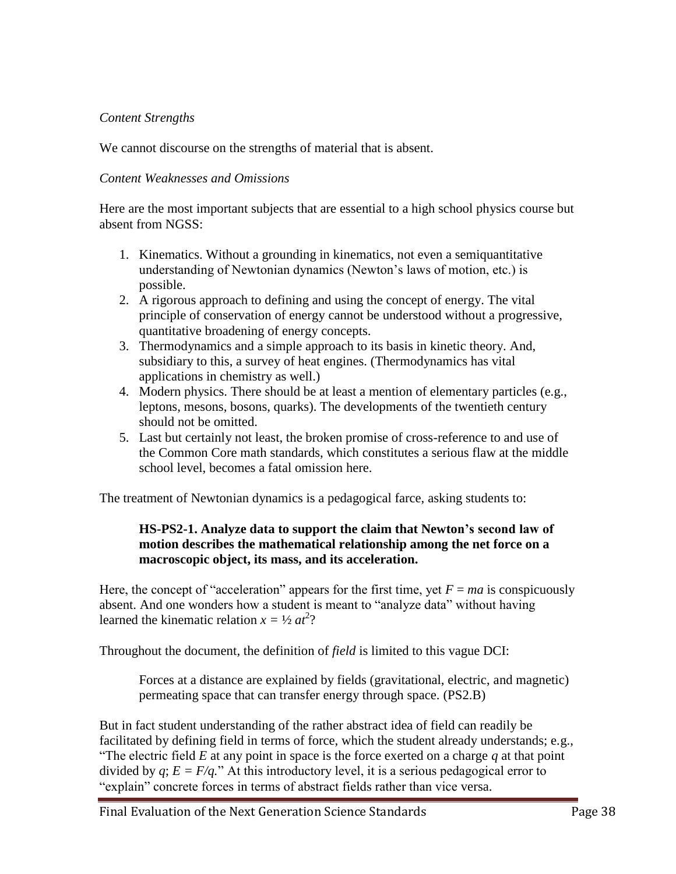### *Content Strengths*

We cannot discourse on the strengths of material that is absent.

### *Content Weaknesses and Omissions*

Here are the most important subjects that are essential to a high school physics course but absent from NGSS:

- 1. Kinematics. Without a grounding in kinematics, not even a semiquantitative understanding of Newtonian dynamics (Newton's laws of motion, etc.) is possible.
- 2. A rigorous approach to defining and using the concept of energy. The vital principle of conservation of energy cannot be understood without a progressive, quantitative broadening of energy concepts.
- 3. Thermodynamics and a simple approach to its basis in kinetic theory. And, subsidiary to this, a survey of heat engines. (Thermodynamics has vital applications in chemistry as well.)
- 4. Modern physics. There should be at least a mention of elementary particles (e.g., leptons, mesons, bosons, quarks). The developments of the twentieth century should not be omitted.
- 5. Last but certainly not least, the broken promise of cross-reference to and use of the Common Core math standards, which constitutes a serious flaw at the middle school level, becomes a fatal omission here.

The treatment of Newtonian dynamics is a pedagogical farce, asking students to:

#### **HS-PS2-1. Analyze data to support the claim that Newton's second law of motion describes the mathematical relationship among the net force on a macroscopic object, its mass, and its acceleration.**

Here, the concept of "acceleration" appears for the first time, yet  $F = ma$  is conspicuously absent. And one wonders how a student is meant to "analyze data" without having learned the kinematic relation  $x = \frac{1}{2} a t^2$ ?

Throughout the document, the definition of *field* is limited to this vague DCI:

Forces at a distance are explained by fields (gravitational, electric, and magnetic) permeating space that can transfer energy through space. (PS2.B)

But in fact student understanding of the rather abstract idea of field can readily be facilitated by defining field in terms of force, which the student already understands; e.g., "The electric field *E* at any point in space is the force exerted on a charge *q* at that point divided by  $q$ ;  $E = F/q$ ." At this introductory level, it is a serious pedagogical error to "explain" concrete forces in terms of abstract fields rather than vice versa.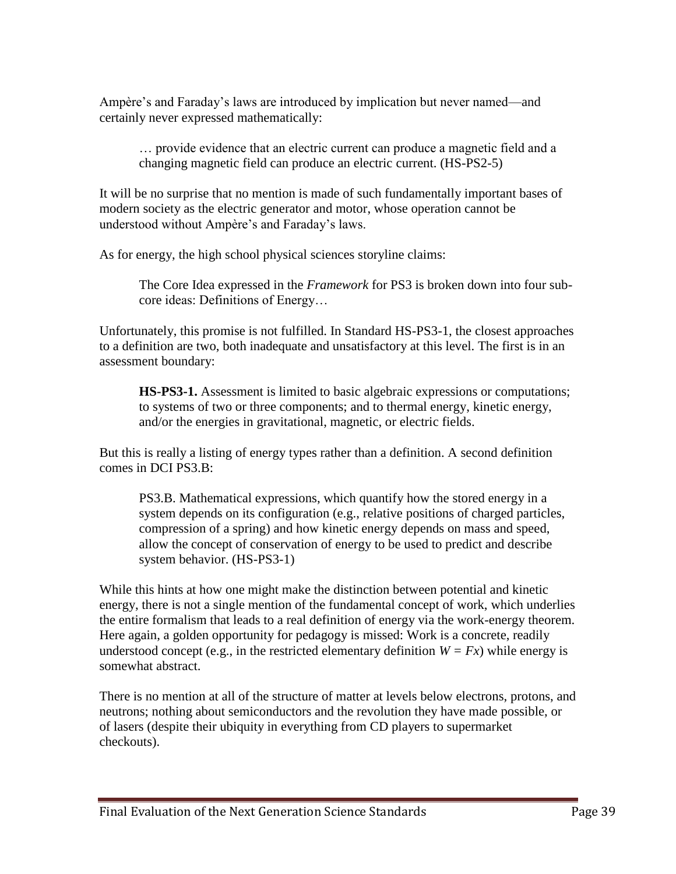Ampère's and Faraday's laws are introduced by implication but never named—and certainly never expressed mathematically:

… provide evidence that an electric current can produce a magnetic field and a changing magnetic field can produce an electric current. (HS-PS2-5)

It will be no surprise that no mention is made of such fundamentally important bases of modern society as the electric generator and motor, whose operation cannot be understood without Ampère's and Faraday's laws.

As for energy, the high school physical sciences storyline claims:

The Core Idea expressed in the *Framework* for PS3 is broken down into four subcore ideas: Definitions of Energy…

Unfortunately, this promise is not fulfilled. In Standard HS-PS3-1, the closest approaches to a definition are two, both inadequate and unsatisfactory at this level. The first is in an assessment boundary:

**HS-PS3-1.** Assessment is limited to basic algebraic expressions or computations; to systems of two or three components; and to thermal energy, kinetic energy, and/or the energies in gravitational, magnetic, or electric fields.

But this is really a listing of energy types rather than a definition. A second definition comes in DCI PS3.B:

PS3.B. Mathematical expressions, which quantify how the stored energy in a system depends on its configuration (e.g., relative positions of charged particles, compression of a spring) and how kinetic energy depends on mass and speed, allow the concept of conservation of energy to be used to predict and describe system behavior. (HS-PS3-1)

While this hints at how one might make the distinction between potential and kinetic energy, there is not a single mention of the fundamental concept of work, which underlies the entire formalism that leads to a real definition of energy via the work-energy theorem. Here again, a golden opportunity for pedagogy is missed: Work is a concrete, readily understood concept (e.g., in the restricted elementary definition  $W = Fx$ ) while energy is somewhat abstract.

There is no mention at all of the structure of matter at levels below electrons, protons, and neutrons; nothing about semiconductors and the revolution they have made possible, or of lasers (despite their ubiquity in everything from CD players to supermarket checkouts).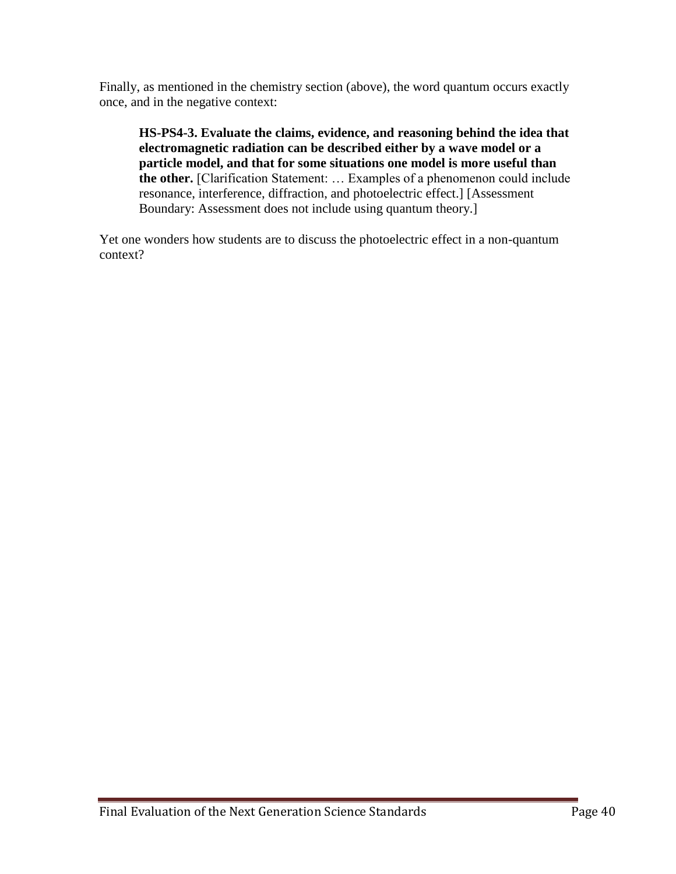Finally, as mentioned in the chemistry section (above), the word quantum occurs exactly once, and in the negative context:

**HS-PS4-3. Evaluate the claims, evidence, and reasoning behind the idea that electromagnetic radiation can be described either by a wave model or a particle model, and that for some situations one model is more useful than the other.** [Clarification Statement: … Examples of a phenomenon could include resonance, interference, diffraction, and photoelectric effect.] [Assessment Boundary: Assessment does not include using quantum theory.]

Yet one wonders how students are to discuss the photoelectric effect in a non-quantum context?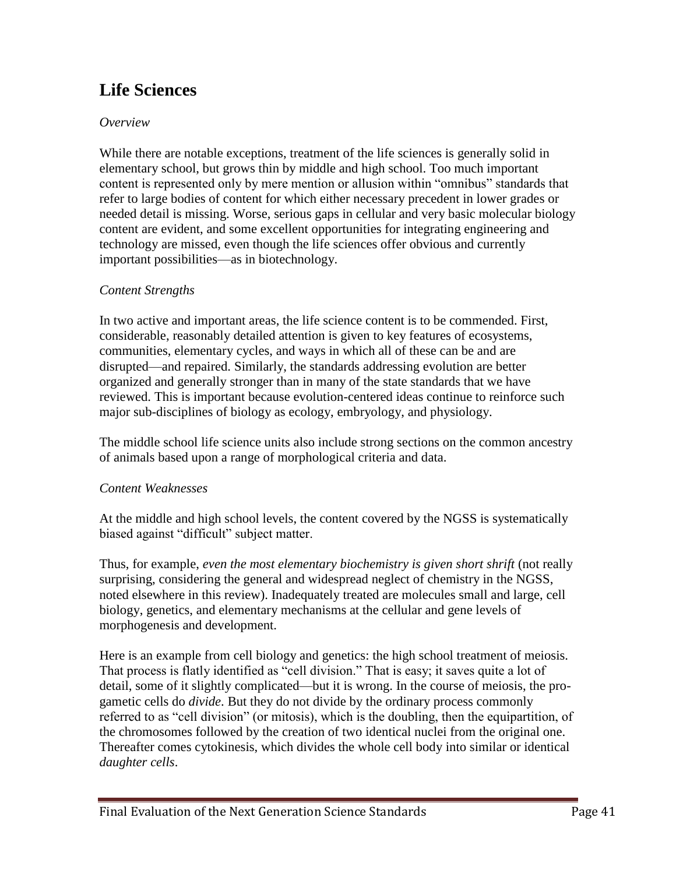# **Life Sciences**

### *Overview*

While there are notable exceptions, treatment of the life sciences is generally solid in elementary school, but grows thin by middle and high school. Too much important content is represented only by mere mention or allusion within "omnibus" standards that refer to large bodies of content for which either necessary precedent in lower grades or needed detail is missing. Worse, serious gaps in cellular and very basic molecular biology content are evident, and some excellent opportunities for integrating engineering and technology are missed, even though the life sciences offer obvious and currently important possibilities—as in biotechnology.

### *Content Strengths*

In two active and important areas, the life science content is to be commended. First, considerable, reasonably detailed attention is given to key features of ecosystems, communities, elementary cycles, and ways in which all of these can be and are disrupted—and repaired. Similarly, the standards addressing evolution are better organized and generally stronger than in many of the state standards that we have reviewed. This is important because evolution-centered ideas continue to reinforce such major sub-disciplines of biology as ecology, embryology, and physiology.

The middle school life science units also include strong sections on the common ancestry of animals based upon a range of morphological criteria and data.

### *Content Weaknesses*

At the middle and high school levels, the content covered by the NGSS is systematically biased against "difficult" subject matter.

Thus, for example, *even the most elementary biochemistry is given short shrift* (not really surprising, considering the general and widespread neglect of chemistry in the NGSS, noted elsewhere in this review). Inadequately treated are molecules small and large, cell biology, genetics, and elementary mechanisms at the cellular and gene levels of morphogenesis and development.

Here is an example from cell biology and genetics: the high school treatment of meiosis. That process is flatly identified as "cell division." That is easy; it saves quite a lot of detail, some of it slightly complicated—but it is wrong. In the course of meiosis, the progametic cells do *divide*. But they do not divide by the ordinary process commonly referred to as "cell division" (or mitosis), which is the doubling, then the equipartition, of the chromosomes followed by the creation of two identical nuclei from the original one. Thereafter comes cytokinesis, which divides the whole cell body into similar or identical *daughter cells*.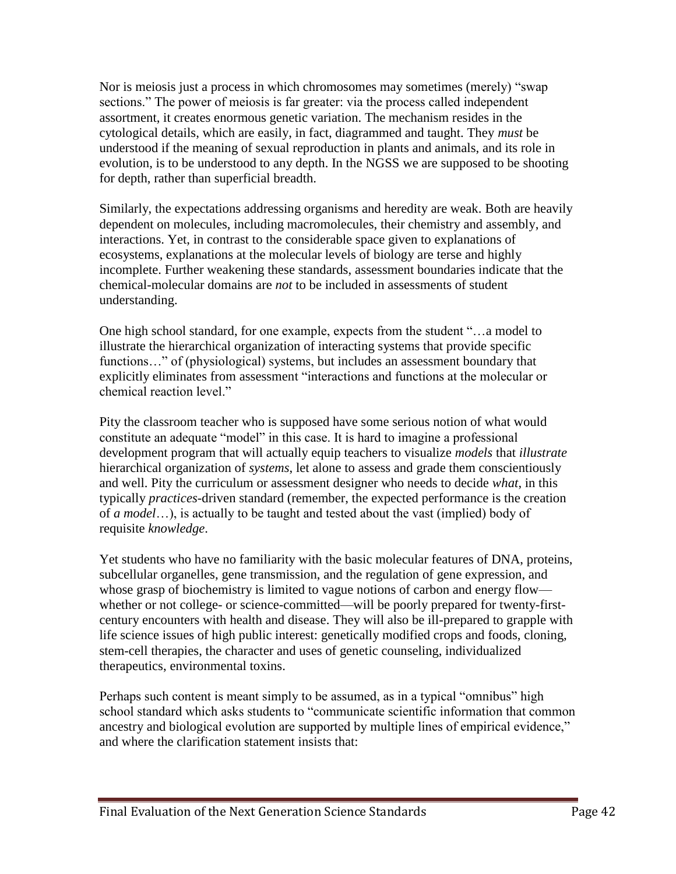Nor is meiosis just a process in which chromosomes may sometimes (merely) "swap sections." The power of meiosis is far greater: via the process called independent assortment, it creates enormous genetic variation. The mechanism resides in the cytological details, which are easily, in fact, diagrammed and taught. They *must* be understood if the meaning of sexual reproduction in plants and animals, and its role in evolution, is to be understood to any depth. In the NGSS we are supposed to be shooting for depth, rather than superficial breadth.

Similarly, the expectations addressing organisms and heredity are weak. Both are heavily dependent on molecules, including macromolecules, their chemistry and assembly, and interactions. Yet, in contrast to the considerable space given to explanations of ecosystems, explanations at the molecular levels of biology are terse and highly incomplete. Further weakening these standards, assessment boundaries indicate that the chemical-molecular domains are *not* to be included in assessments of student understanding.

One high school standard, for one example, expects from the student "…a model to illustrate the hierarchical organization of interacting systems that provide specific functions..." of (physiological) systems, but includes an assessment boundary that explicitly eliminates from assessment "interactions and functions at the molecular or chemical reaction level."

Pity the classroom teacher who is supposed have some serious notion of what would constitute an adequate "model" in this case. It is hard to imagine a professional development program that will actually equip teachers to visualize *models* that *illustrate* hierarchical organization of *systems*, let alone to assess and grade them conscientiously and well. Pity the curriculum or assessment designer who needs to decide *what*, in this typically *practices*-driven standard (remember, the expected performance is the creation of *a model*…), is actually to be taught and tested about the vast (implied) body of requisite *knowledge*.

Yet students who have no familiarity with the basic molecular features of DNA, proteins, subcellular organelles, gene transmission, and the regulation of gene expression, and whose grasp of biochemistry is limited to vague notions of carbon and energy flow whether or not college- or science-committed—will be poorly prepared for twenty-firstcentury encounters with health and disease. They will also be ill-prepared to grapple with life science issues of high public interest: genetically modified crops and foods, cloning, stem-cell therapies, the character and uses of genetic counseling, individualized therapeutics, environmental toxins.

Perhaps such content is meant simply to be assumed, as in a typical "omnibus" high school standard which asks students to "communicate scientific information that common ancestry and biological evolution are supported by multiple lines of empirical evidence," and where the clarification statement insists that: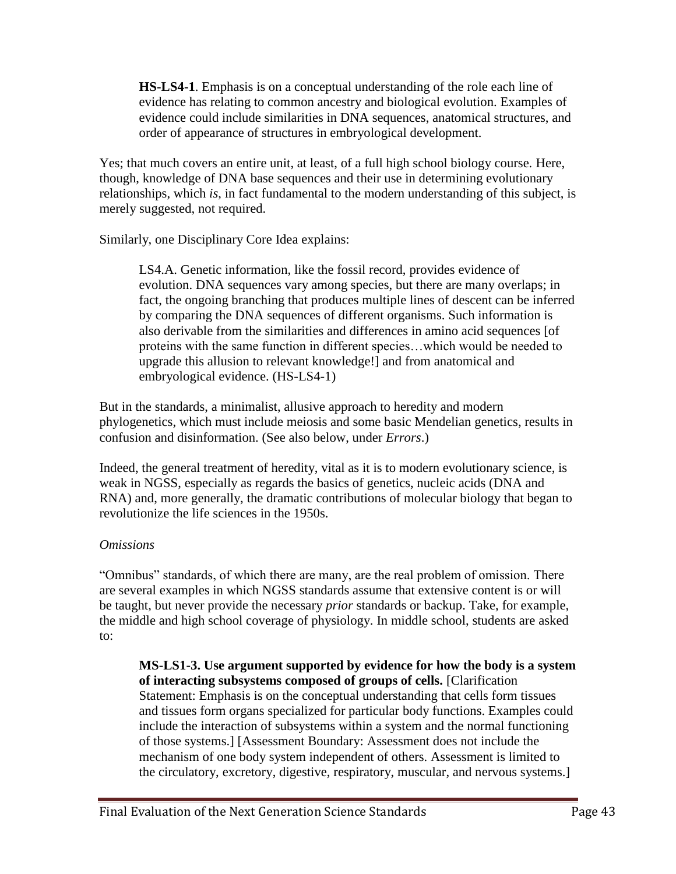**HS-LS4-1**. Emphasis is on a conceptual understanding of the role each line of evidence has relating to common ancestry and biological evolution. Examples of evidence could include similarities in DNA sequences, anatomical structures, and order of appearance of structures in embryological development.

Yes; that much covers an entire unit, at least, of a full high school biology course. Here, though, knowledge of DNA base sequences and their use in determining evolutionary relationships, which *is*, in fact fundamental to the modern understanding of this subject, is merely suggested, not required.

Similarly, one Disciplinary Core Idea explains:

LS4.A. Genetic information, like the fossil record, provides evidence of evolution. DNA sequences vary among species, but there are many overlaps; in fact, the ongoing branching that produces multiple lines of descent can be inferred by comparing the DNA sequences of different organisms. Such information is also derivable from the similarities and differences in amino acid sequences [of proteins with the same function in different species…which would be needed to upgrade this allusion to relevant knowledge!] and from anatomical and embryological evidence. (HS-LS4-1)

But in the standards, a minimalist, allusive approach to heredity and modern phylogenetics, which must include meiosis and some basic Mendelian genetics, results in confusion and disinformation. (See also below, under *Errors*.)

Indeed, the general treatment of heredity, vital as it is to modern evolutionary science, is weak in NGSS, especially as regards the basics of genetics, nucleic acids (DNA and RNA) and, more generally, the dramatic contributions of molecular biology that began to revolutionize the life sciences in the 1950s.

### *Omissions*

"Omnibus" standards, of which there are many, are the real problem of omission. There are several examples in which NGSS standards assume that extensive content is or will be taught, but never provide the necessary *prior* standards or backup. Take, for example, the middle and high school coverage of physiology. In middle school, students are asked to:

**MS-LS1-3. Use argument supported by evidence for how the body is a system of interacting subsystems composed of groups of cells.** [Clarification Statement: Emphasis is on the conceptual understanding that cells form tissues and tissues form organs specialized for particular body functions. Examples could include the interaction of subsystems within a system and the normal functioning of those systems.] [Assessment Boundary: Assessment does not include the mechanism of one body system independent of others. Assessment is limited to the circulatory, excretory, digestive, respiratory, muscular, and nervous systems.]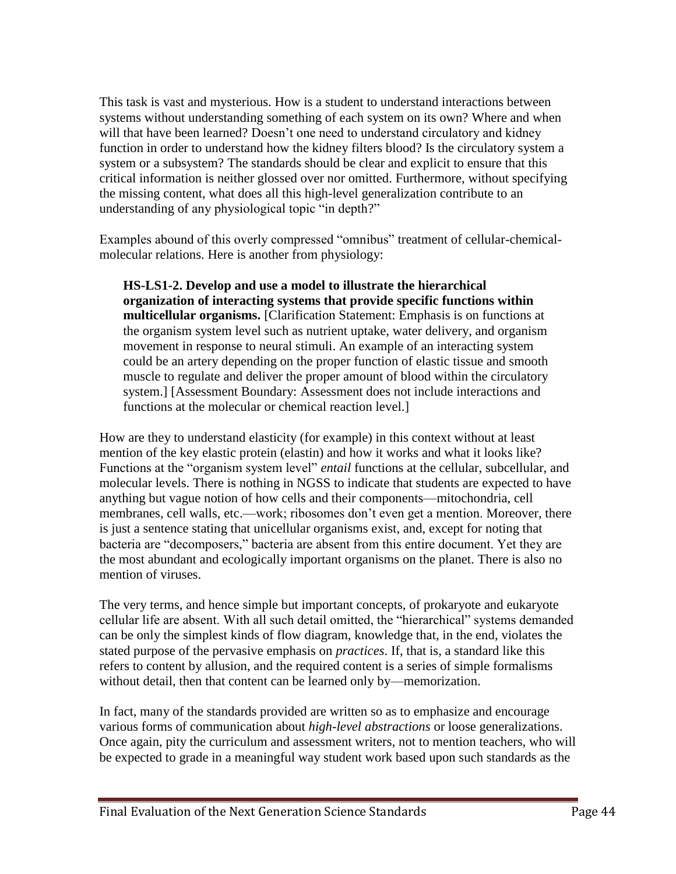This task is vast and mysterious. How is a student to understand interactions between systems without understanding something of each system on its own? Where and when will that have been learned? Doesn't one need to understand circulatory and kidney function in order to understand how the kidney filters blood? Is the circulatory system a system or a subsystem? The standards should be clear and explicit to ensure that this critical information is neither glossed over nor omitted. Furthermore, without specifying the missing content, what does all this high-level generalization contribute to an understanding of any physiological topic "in depth?"

Examples abound of this overly compressed "omnibus" treatment of cellular-chemicalmolecular relations. Here is another from physiology:

**HS-LS1-2. Develop and use a model to illustrate the hierarchical organization of interacting systems that provide specific functions within multicellular organisms.** [Clarification Statement: Emphasis is on functions at the organism system level such as nutrient uptake, water delivery, and organism movement in response to neural stimuli. An example of an interacting system could be an artery depending on the proper function of elastic tissue and smooth muscle to regulate and deliver the proper amount of blood within the circulatory system.] [Assessment Boundary: Assessment does not include interactions and functions at the molecular or chemical reaction level.]

How are they to understand elasticity (for example) in this context without at least mention of the key elastic protein (elastin) and how it works and what it looks like? Functions at the "organism system level" *entail* functions at the cellular, subcellular, and molecular levels. There is nothing in NGSS to indicate that students are expected to have anything but vague notion of how cells and their components—mitochondria, cell membranes, cell walls, etc.—work; ribosomes don't even get a mention. Moreover, there is just a sentence stating that unicellular organisms exist, and, except for noting that bacteria are "decomposers," bacteria are absent from this entire document. Yet they are the most abundant and ecologically important organisms on the planet. There is also no mention of viruses.

The very terms, and hence simple but important concepts, of prokaryote and eukaryote cellular life are absent. With all such detail omitted, the "hierarchical" systems demanded can be only the simplest kinds of flow diagram, knowledge that, in the end, violates the stated purpose of the pervasive emphasis on *practices*. If, that is, a standard like this refers to content by allusion, and the required content is a series of simple formalisms without detail, then that content can be learned only by—memorization.

In fact, many of the standards provided are written so as to emphasize and encourage various forms of communication about *high-level abstractions* or loose generalizations. Once again, pity the curriculum and assessment writers, not to mention teachers, who will be expected to grade in a meaningful way student work based upon such standards as the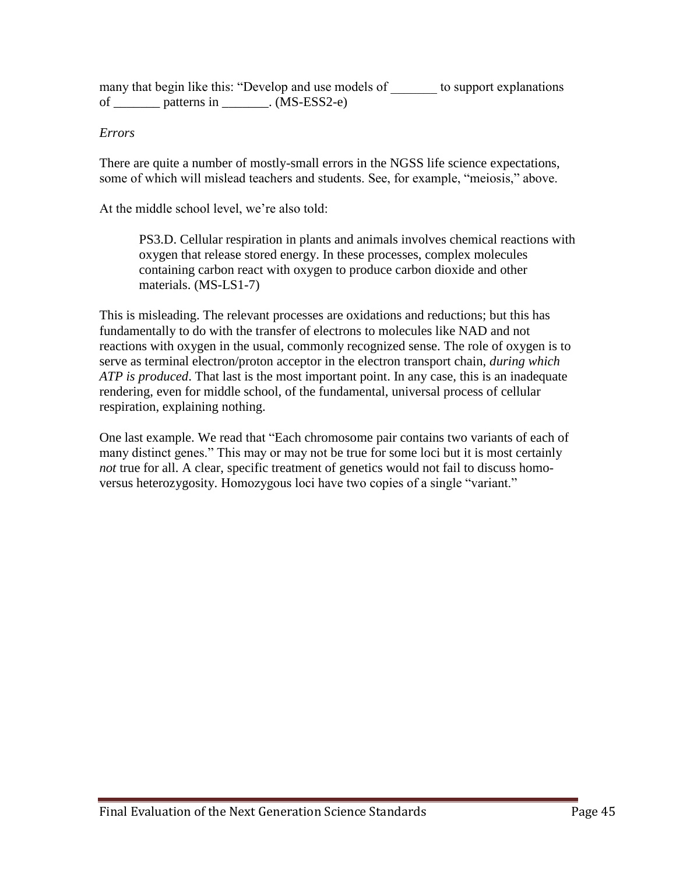many that begin like this: "Develop and use models of to support explanations of  $\_\_\_\_\$ patterns in  $\_\_\_\_\.\$ . (MS-ESS2-e)

#### *Errors*

There are quite a number of mostly-small errors in the NGSS life science expectations, some of which will mislead teachers and students. See, for example, "meiosis," above.

At the middle school level, we're also told:

PS3.D. Cellular respiration in plants and animals involves chemical reactions with oxygen that release stored energy. In these processes, complex molecules containing carbon react with oxygen to produce carbon dioxide and other materials. (MS-LS1-7)

This is misleading. The relevant processes are oxidations and reductions; but this has fundamentally to do with the transfer of electrons to molecules like NAD and not reactions with oxygen in the usual, commonly recognized sense. The role of oxygen is to serve as terminal electron/proton acceptor in the electron transport chain, *during which ATP is produced*. That last is the most important point. In any case, this is an inadequate rendering, even for middle school, of the fundamental, universal process of cellular respiration, explaining nothing.

One last example. We read that "Each chromosome pair contains two variants of each of many distinct genes." This may or may not be true for some loci but it is most certainly *not* true for all. A clear, specific treatment of genetics would not fail to discuss homoversus heterozygosity. Homozygous loci have two copies of a single "variant."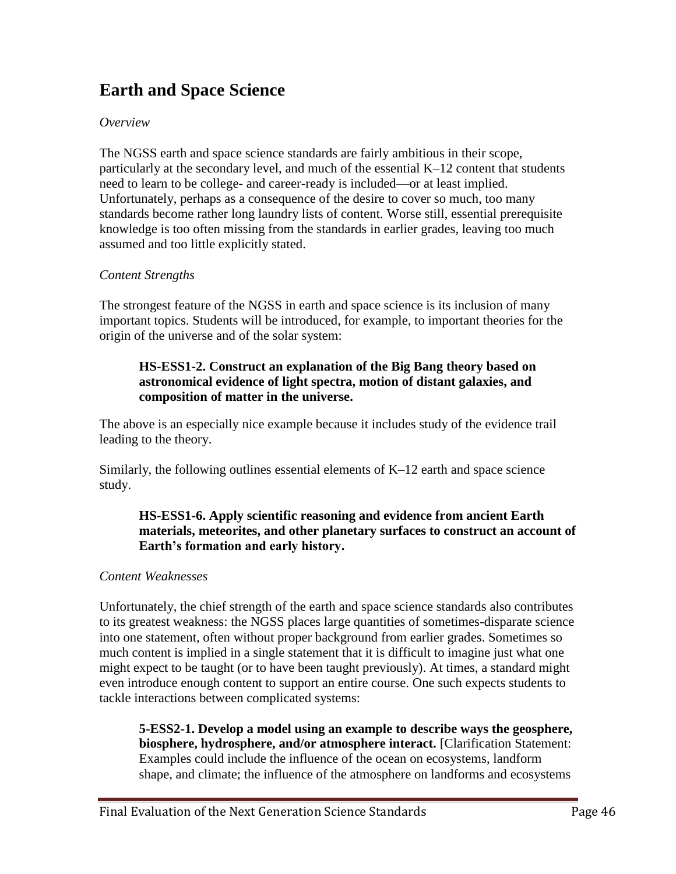# **Earth and Space Science**

#### *Overview*

The NGSS earth and space science standards are fairly ambitious in their scope, particularly at the secondary level, and much of the essential K–12 content that students need to learn to be college- and career-ready is included—or at least implied. Unfortunately, perhaps as a consequence of the desire to cover so much, too many standards become rather long laundry lists of content. Worse still, essential prerequisite knowledge is too often missing from the standards in earlier grades, leaving too much assumed and too little explicitly stated.

#### *Content Strengths*

The strongest feature of the NGSS in earth and space science is its inclusion of many important topics. Students will be introduced, for example, to important theories for the origin of the universe and of the solar system:

#### **HS-ESS1-2. Construct an explanation of the Big Bang theory based on astronomical evidence of light spectra, motion of distant galaxies, and composition of matter in the universe.**

The above is an especially nice example because it includes study of the evidence trail leading to the theory.

Similarly, the following outlines essential elements of K–12 earth and space science study.

### **HS-ESS1-6. Apply scientific reasoning and evidence from ancient Earth materials, meteorites, and other planetary surfaces to construct an account of Earth's formation and early history.**

### *Content Weaknesses*

Unfortunately, the chief strength of the earth and space science standards also contributes to its greatest weakness: the NGSS places large quantities of sometimes-disparate science into one statement, often without proper background from earlier grades. Sometimes so much content is implied in a single statement that it is difficult to imagine just what one might expect to be taught (or to have been taught previously). At times, a standard might even introduce enough content to support an entire course. One such expects students to tackle interactions between complicated systems:

**5-ESS2-1. Develop a model using an example to describe ways the geosphere, biosphere, hydrosphere, and/or atmosphere interact.** [Clarification Statement: Examples could include the influence of the ocean on ecosystems, landform shape, and climate; the influence of the atmosphere on landforms and ecosystems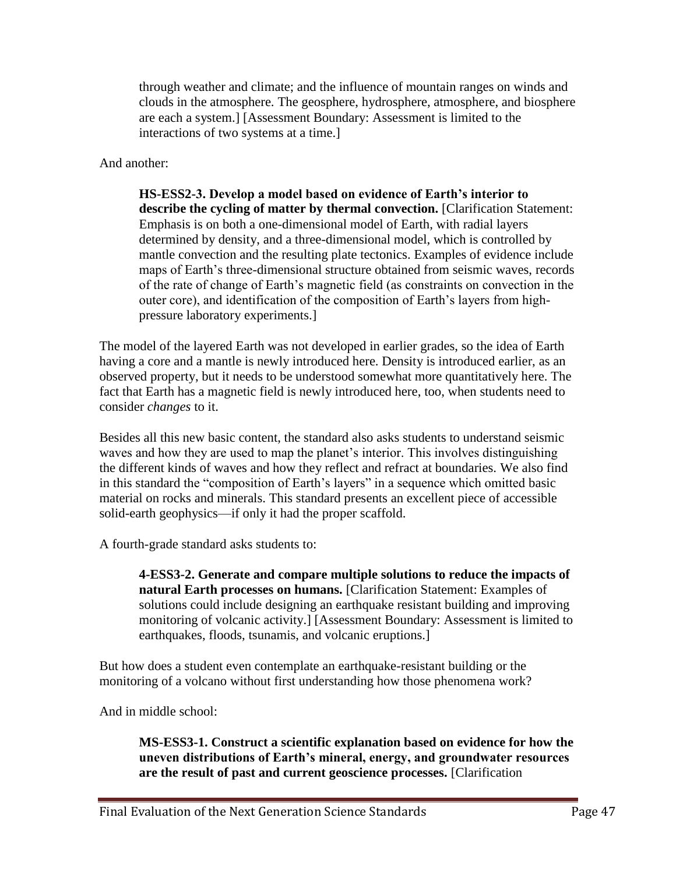through weather and climate; and the influence of mountain ranges on winds and clouds in the atmosphere. The geosphere, hydrosphere, atmosphere, and biosphere are each a system.] [Assessment Boundary: Assessment is limited to the interactions of two systems at a time.]

And another:

**HS-ESS2-3. Develop a model based on evidence of Earth's interior to describe the cycling of matter by thermal convection.** [Clarification Statement: Emphasis is on both a one-dimensional model of Earth, with radial layers determined by density, and a three-dimensional model, which is controlled by mantle convection and the resulting plate tectonics. Examples of evidence include maps of Earth's three-dimensional structure obtained from seismic waves, records of the rate of change of Earth's magnetic field (as constraints on convection in the outer core), and identification of the composition of Earth's layers from highpressure laboratory experiments.]

The model of the layered Earth was not developed in earlier grades, so the idea of Earth having a core and a mantle is newly introduced here. Density is introduced earlier, as an observed property, but it needs to be understood somewhat more quantitatively here. The fact that Earth has a magnetic field is newly introduced here, too, when students need to consider *changes* to it.

Besides all this new basic content, the standard also asks students to understand seismic waves and how they are used to map the planet's interior. This involves distinguishing the different kinds of waves and how they reflect and refract at boundaries. We also find in this standard the "composition of Earth's layers" in a sequence which omitted basic material on rocks and minerals. This standard presents an excellent piece of accessible solid-earth geophysics—if only it had the proper scaffold.

A fourth-grade standard asks students to:

**4-ESS3-2. Generate and compare multiple solutions to reduce the impacts of natural Earth processes on humans.** [Clarification Statement: Examples of solutions could include designing an earthquake resistant building and improving monitoring of volcanic activity.] [Assessment Boundary: Assessment is limited to earthquakes, floods, tsunamis, and volcanic eruptions.]

But how does a student even contemplate an earthquake-resistant building or the monitoring of a volcano without first understanding how those phenomena work?

And in middle school:

**MS-ESS3-1. Construct a scientific explanation based on evidence for how the uneven distributions of Earth's mineral, energy, and groundwater resources are the result of past and current geoscience processes.** [Clarification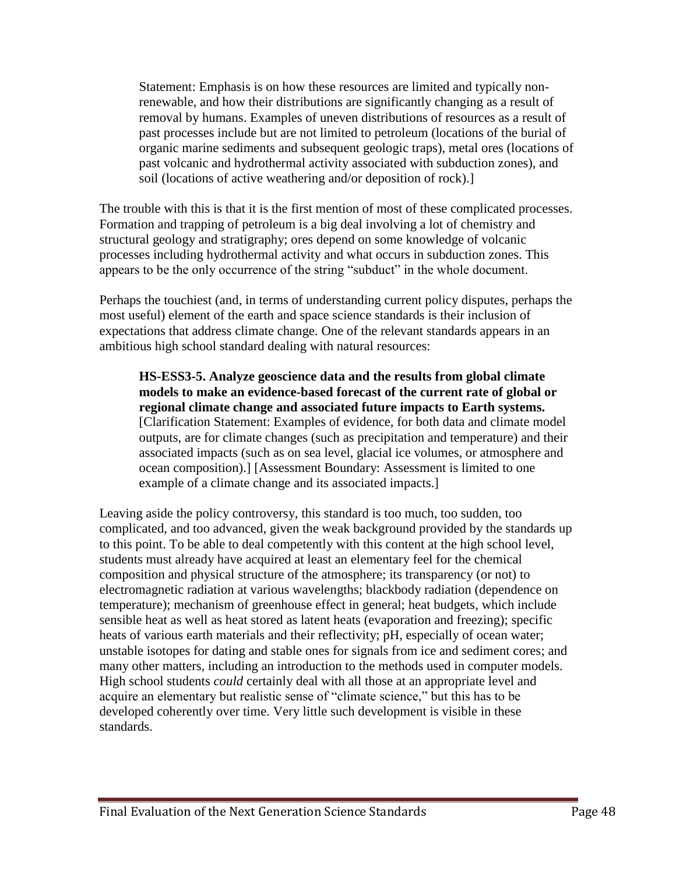Statement: Emphasis is on how these resources are limited and typically nonrenewable, and how their distributions are significantly changing as a result of removal by humans. Examples of uneven distributions of resources as a result of past processes include but are not limited to petroleum (locations of the burial of organic marine sediments and subsequent geologic traps), metal ores (locations of past volcanic and hydrothermal activity associated with subduction zones), and soil (locations of active weathering and/or deposition of rock).]

The trouble with this is that it is the first mention of most of these complicated processes. Formation and trapping of petroleum is a big deal involving a lot of chemistry and structural geology and stratigraphy; ores depend on some knowledge of volcanic processes including hydrothermal activity and what occurs in subduction zones. This appears to be the only occurrence of the string "subduct" in the whole document.

Perhaps the touchiest (and, in terms of understanding current policy disputes, perhaps the most useful) element of the earth and space science standards is their inclusion of expectations that address climate change. One of the relevant standards appears in an ambitious high school standard dealing with natural resources:

**HS-ESS3-5. Analyze geoscience data and the results from global climate models to make an evidence-based forecast of the current rate of global or regional climate change and associated future impacts to Earth systems.** [Clarification Statement: Examples of evidence, for both data and climate model outputs, are for climate changes (such as precipitation and temperature) and their associated impacts (such as on sea level, glacial ice volumes, or atmosphere and ocean composition).] [Assessment Boundary: Assessment is limited to one example of a climate change and its associated impacts.]

Leaving aside the policy controversy, this standard is too much, too sudden, too complicated, and too advanced, given the weak background provided by the standards up to this point. To be able to deal competently with this content at the high school level, students must already have acquired at least an elementary feel for the chemical composition and physical structure of the atmosphere; its transparency (or not) to electromagnetic radiation at various wavelengths; blackbody radiation (dependence on temperature); mechanism of greenhouse effect in general; heat budgets, which include sensible heat as well as heat stored as latent heats (evaporation and freezing); specific heats of various earth materials and their reflectivity; pH, especially of ocean water; unstable isotopes for dating and stable ones for signals from ice and sediment cores; and many other matters, including an introduction to the methods used in computer models. High school students *could* certainly deal with all those at an appropriate level and acquire an elementary but realistic sense of "climate science," but this has to be developed coherently over time. Very little such development is visible in these standards.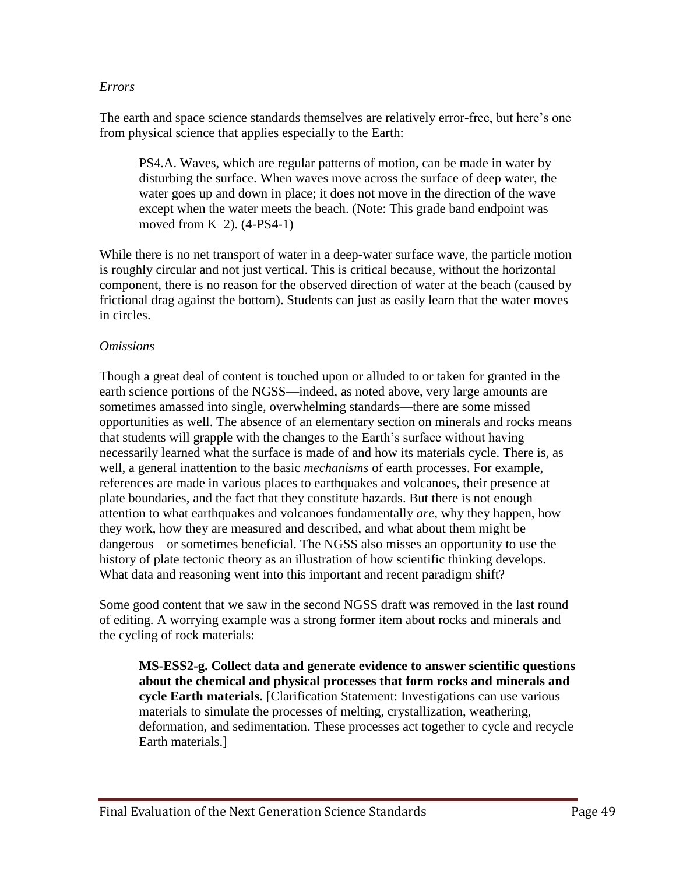#### *Errors*

The earth and space science standards themselves are relatively error-free, but here's one from physical science that applies especially to the Earth:

PS4.A. Waves, which are regular patterns of motion, can be made in water by disturbing the surface. When waves move across the surface of deep water, the water goes up and down in place; it does not move in the direction of the wave except when the water meets the beach. (Note: This grade band endpoint was moved from K–2). (4-PS4-1)

While there is no net transport of water in a deep-water surface wave, the particle motion is roughly circular and not just vertical. This is critical because, without the horizontal component, there is no reason for the observed direction of water at the beach (caused by frictional drag against the bottom). Students can just as easily learn that the water moves in circles.

#### *Omissions*

Though a great deal of content is touched upon or alluded to or taken for granted in the earth science portions of the NGSS—indeed, as noted above, very large amounts are sometimes amassed into single, overwhelming standards—there are some missed opportunities as well. The absence of an elementary section on minerals and rocks means that students will grapple with the changes to the Earth's surface without having necessarily learned what the surface is made of and how its materials cycle. There is, as well, a general inattention to the basic *mechanisms* of earth processes. For example, references are made in various places to earthquakes and volcanoes, their presence at plate boundaries, and the fact that they constitute hazards. But there is not enough attention to what earthquakes and volcanoes fundamentally *are*, why they happen, how they work, how they are measured and described, and what about them might be dangerous—or sometimes beneficial. The NGSS also misses an opportunity to use the history of plate tectonic theory as an illustration of how scientific thinking develops. What data and reasoning went into this important and recent paradigm shift?

Some good content that we saw in the second NGSS draft was removed in the last round of editing. A worrying example was a strong former item about rocks and minerals and the cycling of rock materials:

**MS-ESS2-g. Collect data and generate evidence to answer scientific questions about the chemical and physical processes that form rocks and minerals and cycle Earth materials.** [Clarification Statement: Investigations can use various materials to simulate the processes of melting, crystallization, weathering, deformation, and sedimentation. These processes act together to cycle and recycle Earth materials.]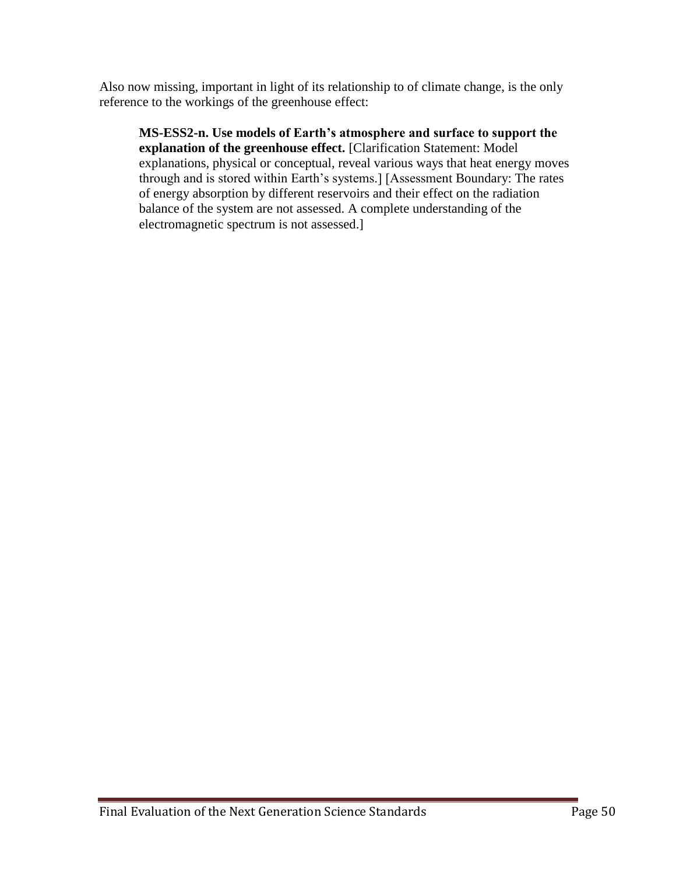Also now missing, important in light of its relationship to of climate change, is the only reference to the workings of the greenhouse effect:

**MS-ESS2-n. Use models of Earth's atmosphere and surface to support the explanation of the greenhouse effect.** [Clarification Statement: Model explanations, physical or conceptual, reveal various ways that heat energy moves through and is stored within Earth's systems.] [Assessment Boundary: The rates of energy absorption by different reservoirs and their effect on the radiation balance of the system are not assessed. A complete understanding of the electromagnetic spectrum is not assessed.]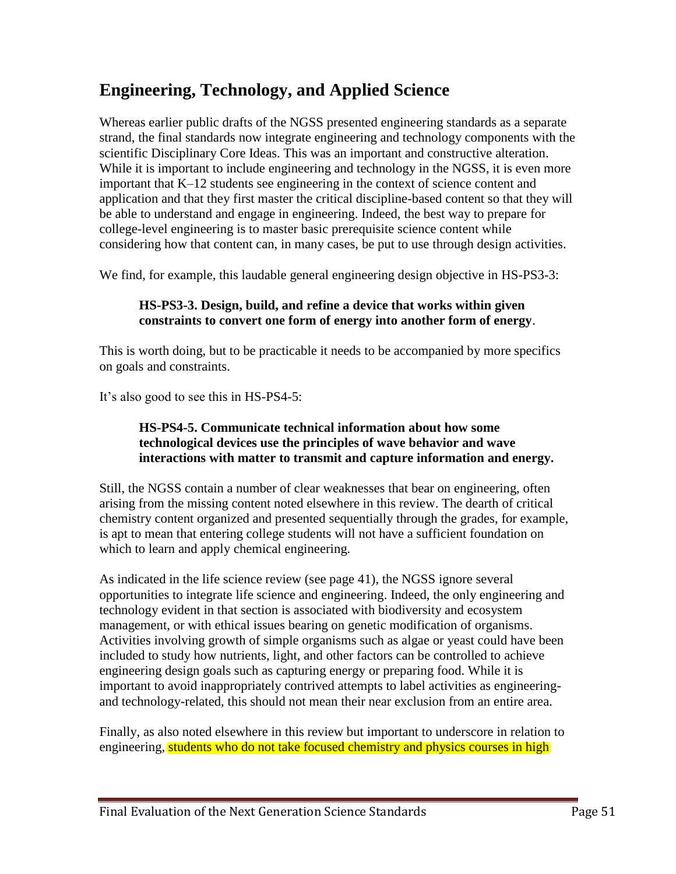# **Engineering, Technology, and Applied Science**

Whereas earlier public drafts of the NGSS presented engineering standards as a separate strand, the final standards now integrate engineering and technology components with the scientific Disciplinary Core Ideas. This was an important and constructive alteration. While it is important to include engineering and technology in the NGSS, it is even more important that K–12 students see engineering in the context of science content and application and that they first master the critical discipline-based content so that they will be able to understand and engage in engineering. Indeed, the best way to prepare for college-level engineering is to master basic prerequisite science content while considering how that content can, in many cases, be put to use through design activities.

We find, for example, this laudable general engineering design objective in HS-PS3-3:

### **HS-PS3-3. Design, build, and refine a device that works within given constraints to convert one form of energy into another form of energy**.

This is worth doing, but to be practicable it needs to be accompanied by more specifics on goals and constraints.

It's also good to see this in HS-PS4-5:

#### **HS-PS4-5. Communicate technical information about how some technological devices use the principles of wave behavior and wave interactions with matter to transmit and capture information and energy.**

Still, the NGSS contain a number of clear weaknesses that bear on engineering, often arising from the missing content noted elsewhere in this review. The dearth of critical chemistry content organized and presented sequentially through the grades, for example, is apt to mean that entering college students will not have a sufficient foundation on which to learn and apply chemical engineering.

As indicated in the life science review (see page 41), the NGSS ignore several opportunities to integrate life science and engineering. Indeed, the only engineering and technology evident in that section is associated with biodiversity and ecosystem management, or with ethical issues bearing on genetic modification of organisms. Activities involving growth of simple organisms such as algae or yeast could have been included to study how nutrients, light, and other factors can be controlled to achieve engineering design goals such as capturing energy or preparing food. While it is important to avoid inappropriately contrived attempts to label activities as engineeringand technology-related, this should not mean their near exclusion from an entire area.

Finally, as also noted elsewhere in this review but important to underscore in relation to engineering, students who do not take focused chemistry and physics courses in high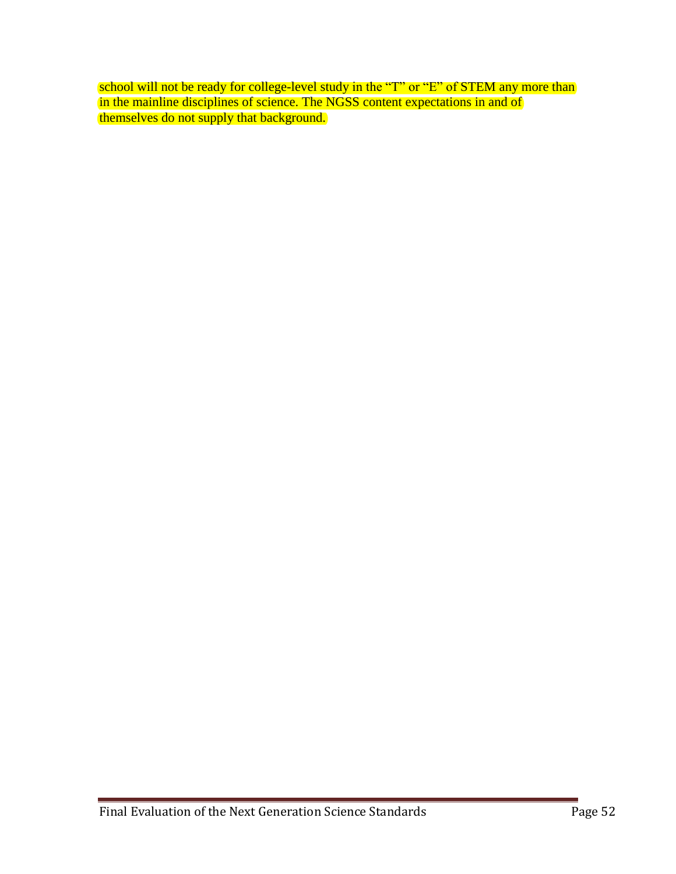school will not be ready for college-level study in the "T" or "E" of STEM any more than in the mainline disciplines of science. The NGSS content expectations in and of themselves do not supply that background.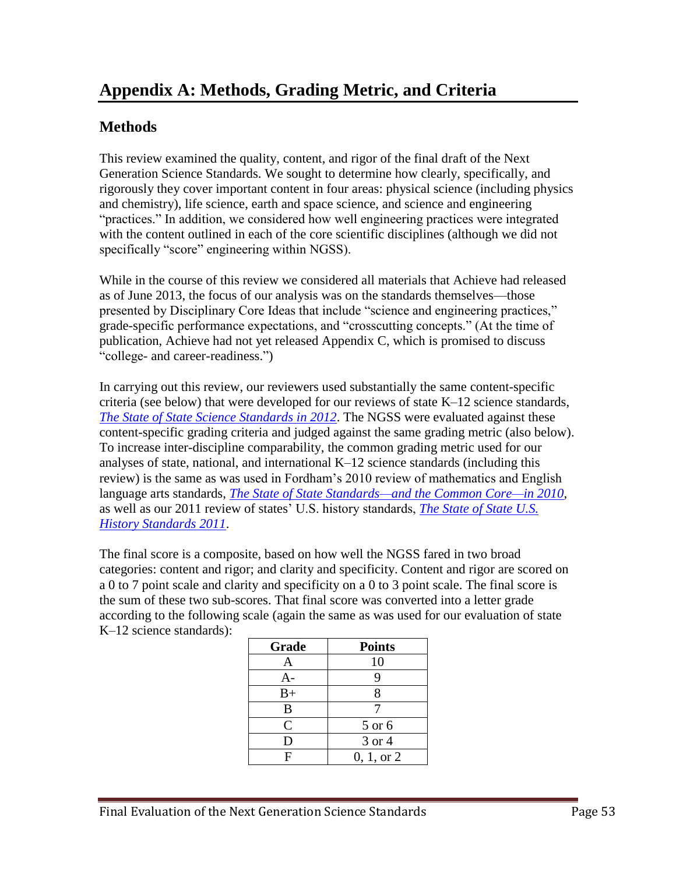# **Methods**

This review examined the quality, content, and rigor of the final draft of the Next Generation Science Standards. We sought to determine how clearly, specifically, and rigorously they cover important content in four areas: physical science (including physics and chemistry), life science, earth and space science, and science and engineering "practices." In addition, we considered how well engineering practices were integrated with the content outlined in each of the core scientific disciplines (although we did not specifically "score" engineering within NGSS).

While in the course of this review we considered all materials that Achieve had released as of June 2013, the focus of our analysis was on the standards themselves—those presented by Disciplinary Core Ideas that include "science and engineering practices," grade-specific performance expectations, and "crosscutting concepts." (At the time of publication, Achieve had not yet released Appendix C, which is promised to discuss "college- and career-readiness.")

In carrying out this review, our reviewers used substantially the same content-specific criteria (see below) that were developed for our reviews of state K–12 science standards, *[The State of State Science Standards in 2012](http://www.edexcellence.net/publications/the-state-of-state-science-standards-2012.html)*. The NGSS were evaluated against these content-specific grading criteria and judged against the same grading metric (also below). To increase inter-discipline comparability, the common grading metric used for our analyses of state, national, and international K–12 science standards (including this review) is the same as was used in Fordham's 2010 review of mathematics and English language arts standards, *[The State of State Standards—and the Common Core—in 2010](http://www.edexcellence.net/publications/the-state-of-state-of-standards-and-the-common-core-in-2010.html)*, as well as our 2011 review of states' U.S. history standards, *[The State of State U.S.](http://www.edexcellence.net/publications-issues/publications/the-state-of-state-us.html)  [History Standards 2011](http://www.edexcellence.net/publications-issues/publications/the-state-of-state-us.html)*.

The final score is a composite, based on how well the NGSS fared in two broad categories: content and rigor; and clarity and specificity. Content and rigor are scored on a 0 to 7 point scale and clarity and specificity on a 0 to 3 point scale. The final score is the sum of these two sub-scores. That final score was converted into a letter grade according to the following scale (again the same as was used for our evaluation of state K–12 science standards):

| Grade          | <b>Points</b>  |
|----------------|----------------|
| Α              | 10             |
| A-             | 9              |
| $B+$           | 8              |
| B              |                |
| $\overline{C}$ | 5 or 6         |
| D              | 3 or 4         |
|                | $0, 1,$ or $2$ |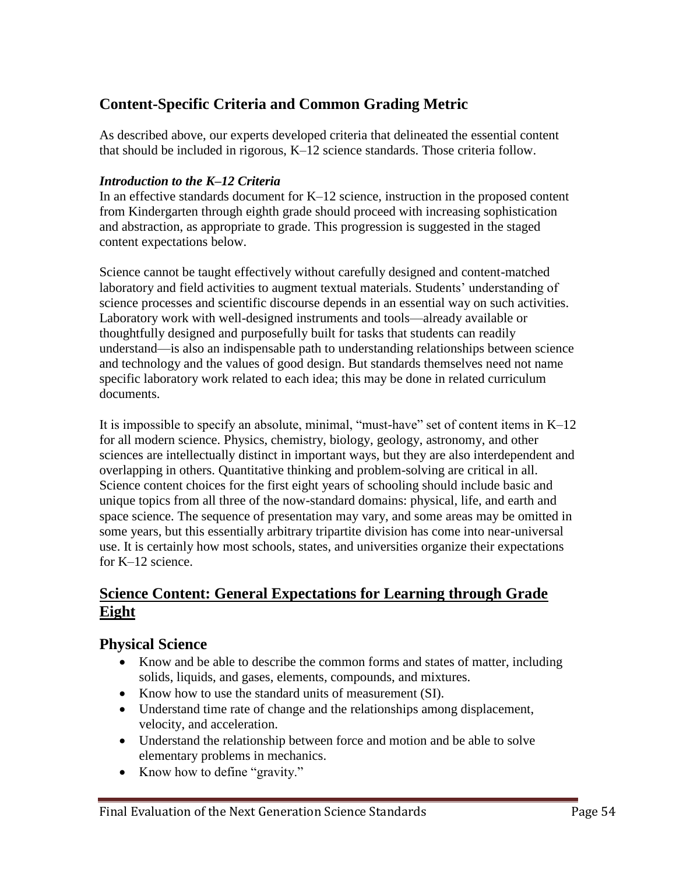# **Content-Specific Criteria and Common Grading Metric**

As described above, our experts developed criteria that delineated the essential content that should be included in rigorous, K–12 science standards. Those criteria follow.

#### *Introduction to the K–12 Criteria*

In an effective standards document for K–12 science, instruction in the proposed content from Kindergarten through eighth grade should proceed with increasing sophistication and abstraction, as appropriate to grade. This progression is suggested in the staged content expectations below.

Science cannot be taught effectively without carefully designed and content-matched laboratory and field activities to augment textual materials. Students' understanding of science processes and scientific discourse depends in an essential way on such activities. Laboratory work with well-designed instruments and tools—already available or thoughtfully designed and purposefully built for tasks that students can readily understand—is also an indispensable path to understanding relationships between science and technology and the values of good design. But standards themselves need not name specific laboratory work related to each idea; this may be done in related curriculum documents.

It is impossible to specify an absolute, minimal, "must-have" set of content items in K–12 for all modern science. Physics, chemistry, biology, geology, astronomy, and other sciences are intellectually distinct in important ways, but they are also interdependent and overlapping in others. Quantitative thinking and problem-solving are critical in all. Science content choices for the first eight years of schooling should include basic and unique topics from all three of the now-standard domains: physical, life, and earth and space science. The sequence of presentation may vary, and some areas may be omitted in some years, but this essentially arbitrary tripartite division has come into near-universal use. It is certainly how most schools, states, and universities organize their expectations for K–12 science.

## **Science Content: General Expectations for Learning through Grade Eight**

## **Physical Science**

- Know and be able to describe the common forms and states of matter, including solids, liquids, and gases, elements, compounds, and mixtures.
- Know how to use the standard units of measurement (SI).
- Understand time rate of change and the relationships among displacement, velocity, and acceleration.
- Understand the relationship between force and motion and be able to solve elementary problems in mechanics.
- Know how to define "gravity."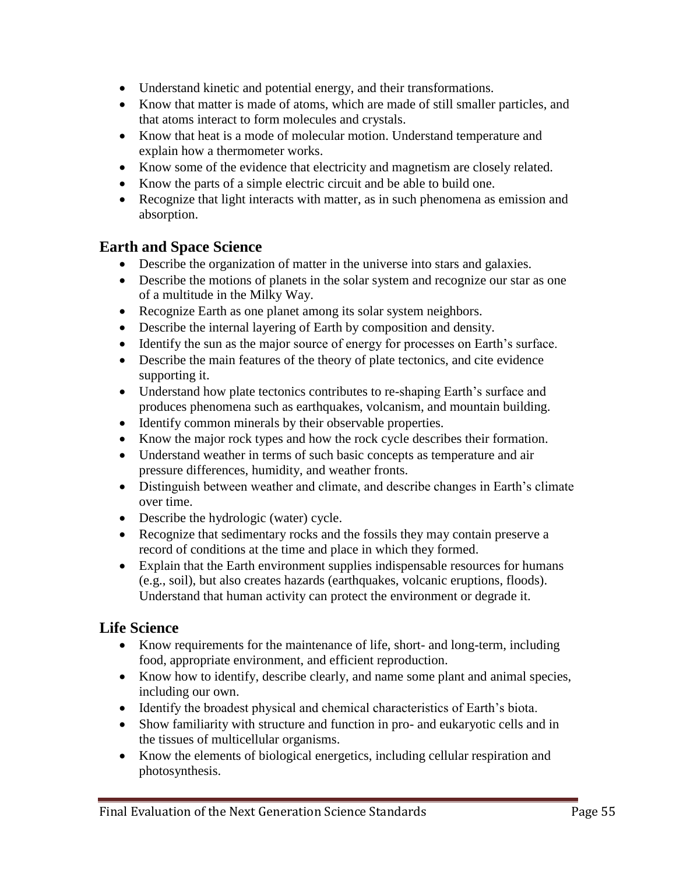- Understand kinetic and potential energy, and their transformations.
- Know that matter is made of atoms, which are made of still smaller particles, and that atoms interact to form molecules and crystals.
- Know that heat is a mode of molecular motion. Understand temperature and explain how a thermometer works.
- Know some of the evidence that electricity and magnetism are closely related.
- Know the parts of a simple electric circuit and be able to build one.
- Recognize that light interacts with matter, as in such phenomena as emission and absorption.

### **Earth and Space Science**

- Describe the organization of matter in the universe into stars and galaxies.
- Describe the motions of planets in the solar system and recognize our star as one of a multitude in the Milky Way.
- Recognize Earth as one planet among its solar system neighbors.
- Describe the internal layering of Earth by composition and density.
- Identify the sun as the major source of energy for processes on Earth's surface.
- Describe the main features of the theory of plate tectonics, and cite evidence supporting it.
- Understand how plate tectonics contributes to re-shaping Earth's surface and produces phenomena such as earthquakes, volcanism, and mountain building.
- Identify common minerals by their observable properties.
- Know the major rock types and how the rock cycle describes their formation.
- Understand weather in terms of such basic concepts as temperature and air pressure differences, humidity, and weather fronts.
- Distinguish between weather and climate, and describe changes in Earth's climate over time.
- Describe the hydrologic (water) cycle.
- Recognize that sedimentary rocks and the fossils they may contain preserve a record of conditions at the time and place in which they formed.
- Explain that the Earth environment supplies indispensable resources for humans (e.g., soil), but also creates hazards (earthquakes, volcanic eruptions, floods). Understand that human activity can protect the environment or degrade it.

## **Life Science**

- Know requirements for the maintenance of life, short- and long-term, including food, appropriate environment, and efficient reproduction.
- Know how to identify, describe clearly, and name some plant and animal species, including our own.
- Identify the broadest physical and chemical characteristics of Earth's biota.
- Show familiarity with structure and function in pro- and eukaryotic cells and in the tissues of multicellular organisms.
- Know the elements of biological energetics, including cellular respiration and photosynthesis.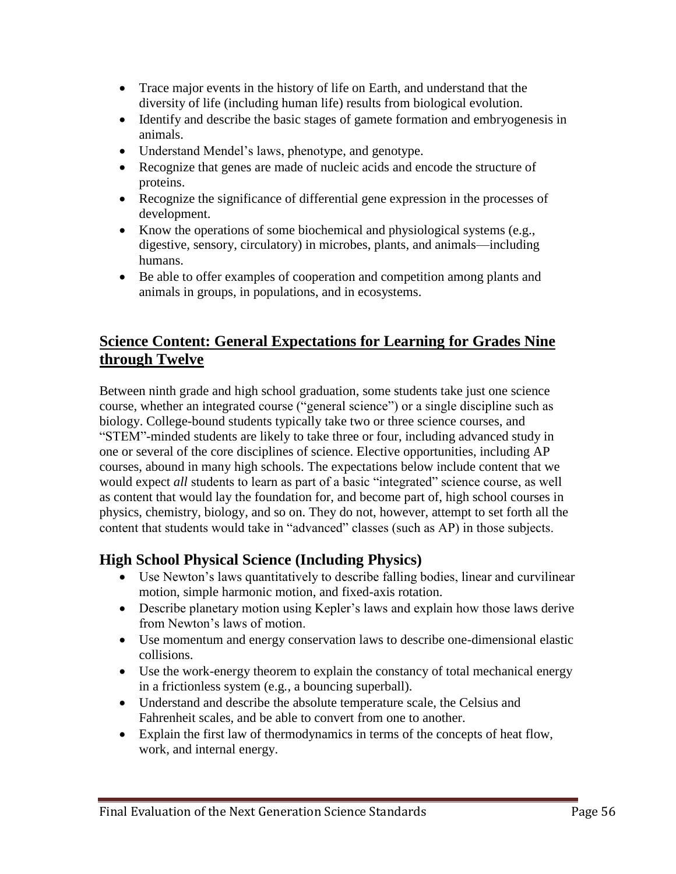- Trace major events in the history of life on Earth, and understand that the diversity of life (including human life) results from biological evolution.
- Identify and describe the basic stages of gamete formation and embryogenesis in animals.
- Understand Mendel's laws, phenotype, and genotype.
- Recognize that genes are made of nucleic acids and encode the structure of proteins.
- Recognize the significance of differential gene expression in the processes of development.
- Know the operations of some biochemical and physiological systems (e.g., digestive, sensory, circulatory) in microbes, plants, and animals—including humans.
- Be able to offer examples of cooperation and competition among plants and animals in groups, in populations, and in ecosystems.

# **Science Content: General Expectations for Learning for Grades Nine through Twelve**

Between ninth grade and high school graduation, some students take just one science course, whether an integrated course ("general science") or a single discipline such as biology. College-bound students typically take two or three science courses, and "STEM"-minded students are likely to take three or four, including advanced study in one or several of the core disciplines of science. Elective opportunities, including AP courses, abound in many high schools. The expectations below include content that we would expect *all* students to learn as part of a basic "integrated" science course, as well as content that would lay the foundation for, and become part of, high school courses in physics, chemistry, biology, and so on. They do not, however, attempt to set forth all the content that students would take in "advanced" classes (such as AP) in those subjects.

# **High School Physical Science (Including Physics)**

- Use Newton's laws quantitatively to describe falling bodies, linear and curvilinear motion, simple harmonic motion, and fixed-axis rotation.
- Describe planetary motion using Kepler's laws and explain how those laws derive from Newton's laws of motion.
- Use momentum and energy conservation laws to describe one-dimensional elastic collisions.
- Use the work-energy theorem to explain the constancy of total mechanical energy in a frictionless system (e.g*.,* a bouncing superball).
- Understand and describe the absolute temperature scale, the Celsius and Fahrenheit scales, and be able to convert from one to another.
- Explain the first law of thermodynamics in terms of the concepts of heat flow, work, and internal energy.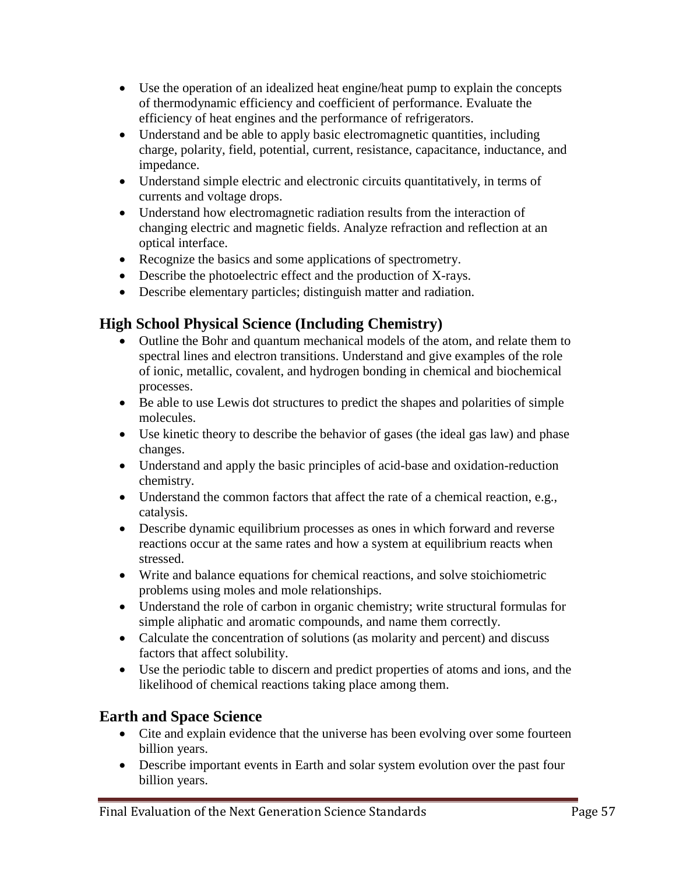- Use the operation of an idealized heat engine/heat pump to explain the concepts of thermodynamic efficiency and coefficient of performance. Evaluate the efficiency of heat engines and the performance of refrigerators.
- Understand and be able to apply basic electromagnetic quantities, including charge, polarity, field, potential, current, resistance, capacitance, inductance, and impedance.
- Understand simple electric and electronic circuits quantitatively, in terms of currents and voltage drops.
- Understand how electromagnetic radiation results from the interaction of changing electric and magnetic fields. Analyze refraction and reflection at an optical interface.
- Recognize the basics and some applications of spectrometry.
- Describe the photoelectric effect and the production of X-rays.
- Describe elementary particles; distinguish matter and radiation.

# **High School Physical Science (Including Chemistry)**

- Outline the Bohr and quantum mechanical models of the atom, and relate them to spectral lines and electron transitions. Understand and give examples of the role of ionic, metallic, covalent, and hydrogen bonding in chemical and biochemical processes.
- Be able to use Lewis dot structures to predict the shapes and polarities of simple molecules.
- Use kinetic theory to describe the behavior of gases (the ideal gas law) and phase changes.
- Understand and apply the basic principles of acid-base and oxidation-reduction chemistry.
- Understand the common factors that affect the rate of a chemical reaction, e.g., catalysis.
- Describe dynamic equilibrium processes as ones in which forward and reverse reactions occur at the same rates and how a system at equilibrium reacts when stressed.
- Write and balance equations for chemical reactions, and solve stoichiometric problems using moles and mole relationships.
- Understand the role of carbon in organic chemistry; write structural formulas for simple aliphatic and aromatic compounds, and name them correctly.
- Calculate the concentration of solutions (as molarity and percent) and discuss factors that affect solubility.
- Use the periodic table to discern and predict properties of atoms and ions, and the likelihood of chemical reactions taking place among them.

# **Earth and Space Science**

- Cite and explain evidence that the universe has been evolving over some fourteen billion years.
- Describe important events in Earth and solar system evolution over the past four billion years.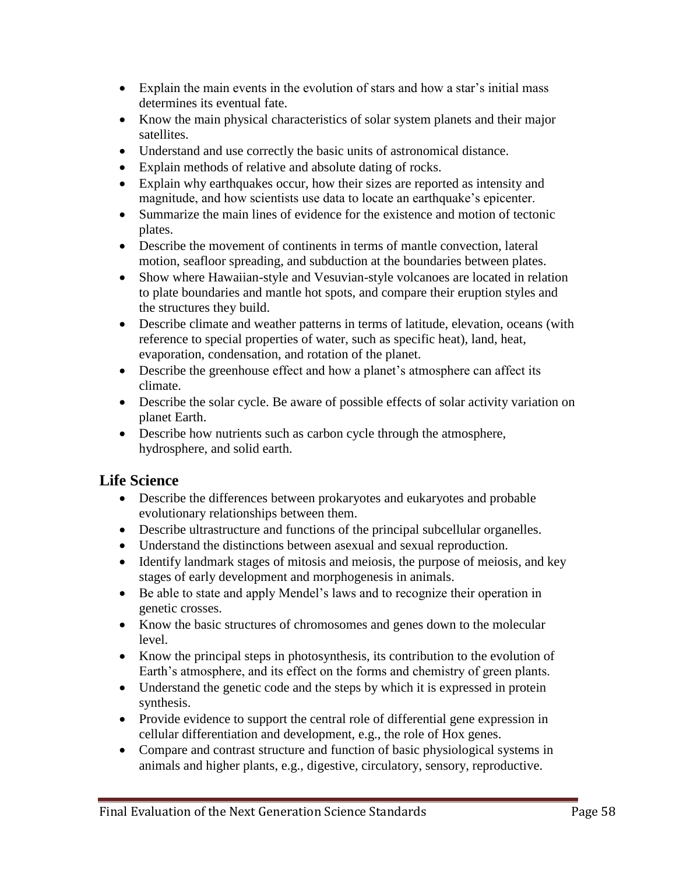- Explain the main events in the evolution of stars and how a star's initial mass determines its eventual fate.
- Know the main physical characteristics of solar system planets and their major satellites.
- Understand and use correctly the basic units of astronomical distance.
- Explain methods of relative and absolute dating of rocks.
- Explain why earthquakes occur, how their sizes are reported as intensity and magnitude, and how scientists use data to locate an earthquake's epicenter.
- Summarize the main lines of evidence for the existence and motion of tectonic plates.
- Describe the movement of continents in terms of mantle convection, lateral motion, seafloor spreading, and subduction at the boundaries between plates.
- Show where Hawaiian-style and Vesuvian-style volcanoes are located in relation to plate boundaries and mantle hot spots, and compare their eruption styles and the structures they build.
- Describe climate and weather patterns in terms of latitude, elevation, oceans (with reference to special properties of water, such as specific heat), land, heat, evaporation, condensation, and rotation of the planet.
- Describe the greenhouse effect and how a planet's atmosphere can affect its climate.
- Describe the solar cycle. Be aware of possible effects of solar activity variation on planet Earth.
- Describe how nutrients such as carbon cycle through the atmosphere, hydrosphere, and solid earth.

# **Life Science**

- Describe the differences between prokaryotes and eukaryotes and probable evolutionary relationships between them.
- Describe ultrastructure and functions of the principal subcellular organelles.
- Understand the distinctions between asexual and sexual reproduction.
- Identify landmark stages of mitosis and meiosis, the purpose of meiosis, and key stages of early development and morphogenesis in animals.
- Be able to state and apply Mendel's laws and to recognize their operation in genetic crosses.
- Know the basic structures of chromosomes and genes down to the molecular level.
- Know the principal steps in photosynthesis, its contribution to the evolution of Earth's atmosphere, and its effect on the forms and chemistry of green plants.
- Understand the genetic code and the steps by which it is expressed in protein synthesis.
- Provide evidence to support the central role of differential gene expression in cellular differentiation and development, e.g., the role of Hox genes.
- Compare and contrast structure and function of basic physiological systems in animals and higher plants, e.g., digestive, circulatory, sensory, reproductive.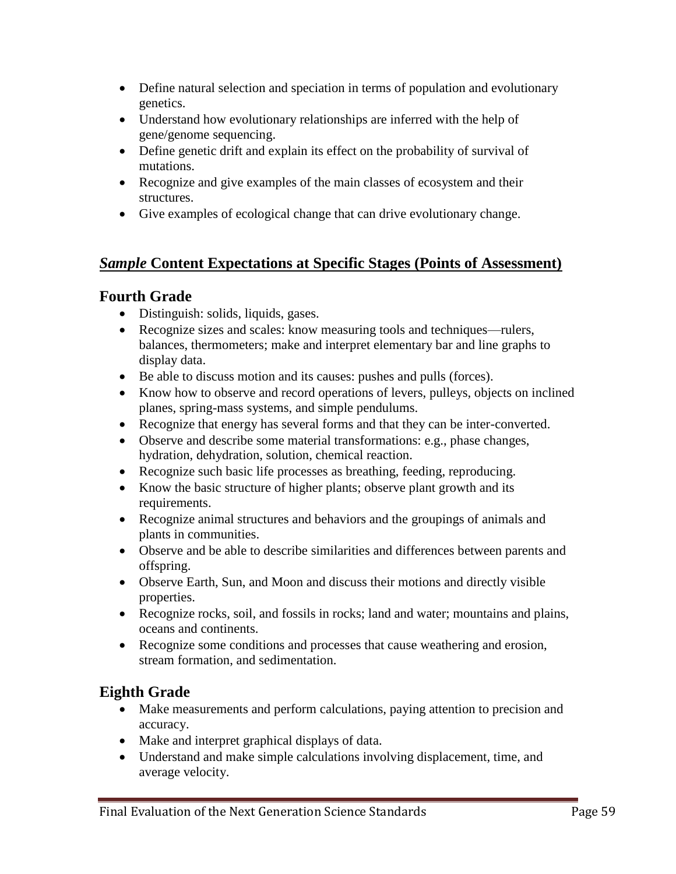- Define natural selection and speciation in terms of population and evolutionary genetics.
- Understand how evolutionary relationships are inferred with the help of gene/genome sequencing.
- Define genetic drift and explain its effect on the probability of survival of mutations.
- Recognize and give examples of the main classes of ecosystem and their structures.
- Give examples of ecological change that can drive evolutionary change.

## *Sample* **Content Expectations at Specific Stages (Points of Assessment)**

# **Fourth Grade**

- Distinguish: solids, liquids, gases.
- Recognize sizes and scales: know measuring tools and techniques—rulers, balances, thermometers; make and interpret elementary bar and line graphs to display data.
- Be able to discuss motion and its causes: pushes and pulls (forces).
- Know how to observe and record operations of levers, pulleys, objects on inclined planes, spring-mass systems, and simple pendulums.
- Recognize that energy has several forms and that they can be inter-converted.
- Observe and describe some material transformations: e.g., phase changes, hydration, dehydration, solution, chemical reaction.
- Recognize such basic life processes as breathing, feeding, reproducing.
- Know the basic structure of higher plants; observe plant growth and its requirements.
- Recognize animal structures and behaviors and the groupings of animals and plants in communities.
- Observe and be able to describe similarities and differences between parents and offspring.
- Observe Earth, Sun, and Moon and discuss their motions and directly visible properties.
- Recognize rocks, soil, and fossils in rocks; land and water; mountains and plains, oceans and continents.
- Recognize some conditions and processes that cause weathering and erosion, stream formation, and sedimentation.

# **Eighth Grade**

- Make measurements and perform calculations, paying attention to precision and accuracy.
- Make and interpret graphical displays of data.
- Understand and make simple calculations involving displacement, time, and average velocity.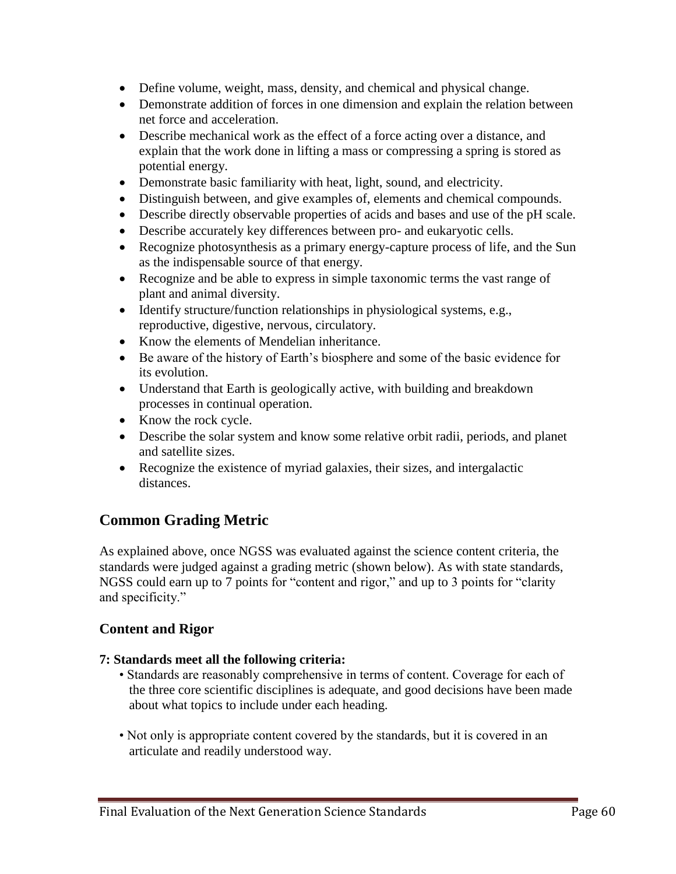- Define volume, weight, mass, density, and chemical and physical change.
- Demonstrate addition of forces in one dimension and explain the relation between net force and acceleration.
- Describe mechanical work as the effect of a force acting over a distance, and explain that the work done in lifting a mass or compressing a spring is stored as potential energy.
- Demonstrate basic familiarity with heat, light, sound, and electricity.
- Distinguish between, and give examples of, elements and chemical compounds.
- Describe directly observable properties of acids and bases and use of the pH scale.
- Describe accurately key differences between pro- and eukaryotic cells.
- Recognize photosynthesis as a primary energy-capture process of life, and the Sun as the indispensable source of that energy.
- Recognize and be able to express in simple taxonomic terms the vast range of plant and animal diversity.
- Identify structure/function relationships in physiological systems, e.g., reproductive, digestive, nervous, circulatory.
- Know the elements of Mendelian inheritance.
- Be aware of the history of Earth's biosphere and some of the basic evidence for its evolution.
- Understand that Earth is geologically active, with building and breakdown processes in continual operation.
- Know the rock cycle.
- Describe the solar system and know some relative orbit radii, periods, and planet and satellite sizes.
- Recognize the existence of myriad galaxies, their sizes, and intergalactic distances.

# **Common Grading Metric**

As explained above, once NGSS was evaluated against the science content criteria, the standards were judged against a grading metric (shown below). As with state standards, NGSS could earn up to 7 points for "content and rigor," and up to 3 points for "clarity and specificity."

### **Content and Rigor**

#### **7: Standards meet all the following criteria:**

- Standards are reasonably comprehensive in terms of content. Coverage for each of the three core scientific disciplines is adequate, and good decisions have been made about what topics to include under each heading.
- Not only is appropriate content covered by the standards, but it is covered in an articulate and readily understood way.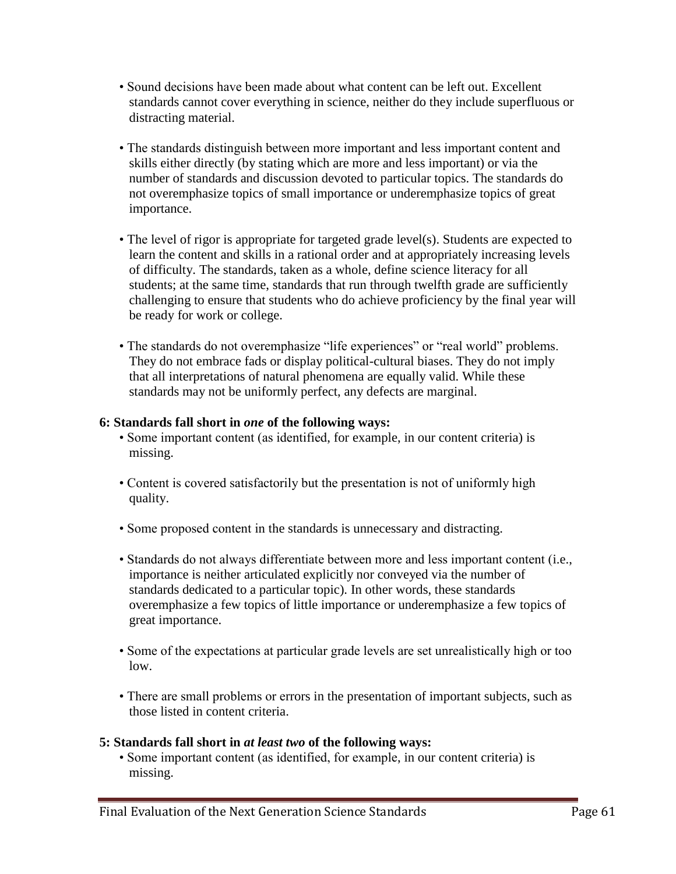- Sound decisions have been made about what content can be left out. Excellent standards cannot cover everything in science, neither do they include superfluous or distracting material.
- The standards distinguish between more important and less important content and skills either directly (by stating which are more and less important) or via the number of standards and discussion devoted to particular topics. The standards do not overemphasize topics of small importance or underemphasize topics of great importance.
- The level of rigor is appropriate for targeted grade level(s). Students are expected to learn the content and skills in a rational order and at appropriately increasing levels of difficulty. The standards, taken as a whole, define science literacy for all students; at the same time, standards that run through twelfth grade are sufficiently challenging to ensure that students who do achieve proficiency by the final year will be ready for work or college.
- The standards do not overemphasize "life experiences" or "real world" problems. They do not embrace fads or display political-cultural biases. They do not imply that all interpretations of natural phenomena are equally valid. While these standards may not be uniformly perfect, any defects are marginal.

#### **6: Standards fall short in** *one* **of the following ways:**

- Some important content (as identified, for example, in our content criteria) is missing.
- Content is covered satisfactorily but the presentation is not of uniformly high quality.
- Some proposed content in the standards is unnecessary and distracting.
- Standards do not always differentiate between more and less important content (i.e., importance is neither articulated explicitly nor conveyed via the number of standards dedicated to a particular topic). In other words, these standards overemphasize a few topics of little importance or underemphasize a few topics of great importance.
- Some of the expectations at particular grade levels are set unrealistically high or too low.
- There are small problems or errors in the presentation of important subjects, such as those listed in content criteria.

#### **5: Standards fall short in** *at least two* **of the following ways:**

• Some important content (as identified, for example, in our content criteria) is missing.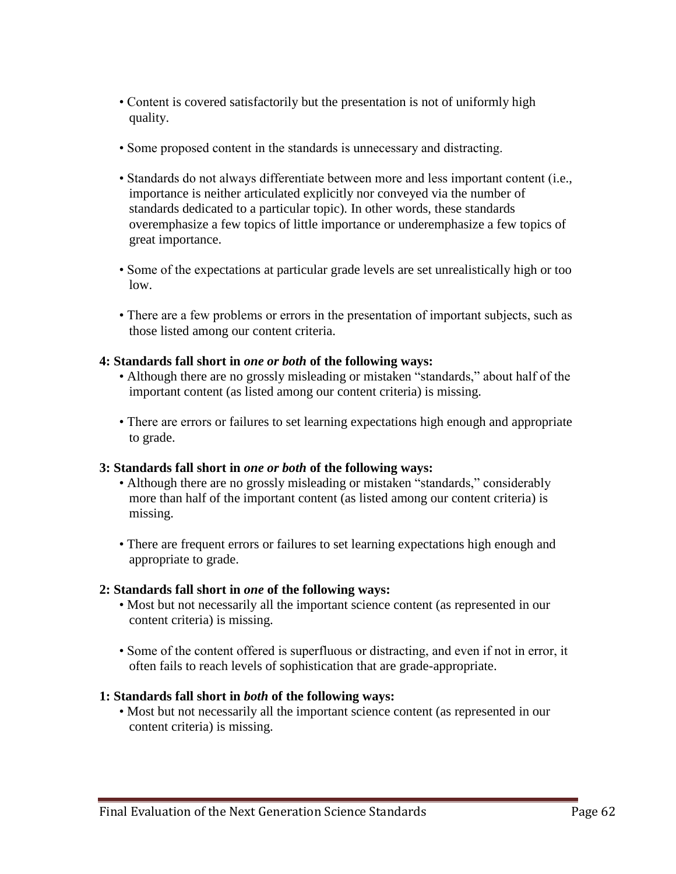- Content is covered satisfactorily but the presentation is not of uniformly high quality.
- Some proposed content in the standards is unnecessary and distracting.
- Standards do not always differentiate between more and less important content (i.e., importance is neither articulated explicitly nor conveyed via the number of standards dedicated to a particular topic). In other words, these standards overemphasize a few topics of little importance or underemphasize a few topics of great importance.
- Some of the expectations at particular grade levels are set unrealistically high or too low.
- There are a few problems or errors in the presentation of important subjects, such as those listed among our content criteria.

### **4: Standards fall short in** *one or both* **of the following ways:**

- Although there are no grossly misleading or mistaken "standards," about half of the important content (as listed among our content criteria) is missing.
- There are errors or failures to set learning expectations high enough and appropriate to grade.

#### **3: Standards fall short in** *one or both* **of the following ways:**

- Although there are no grossly misleading or mistaken "standards," considerably more than half of the important content (as listed among our content criteria) is missing.
- There are frequent errors or failures to set learning expectations high enough and appropriate to grade.

### **2: Standards fall short in** *one* **of the following ways:**

- Most but not necessarily all the important science content (as represented in our content criteria) is missing.
- Some of the content offered is superfluous or distracting, and even if not in error, it often fails to reach levels of sophistication that are grade-appropriate.

### **1: Standards fall short in** *both* **of the following ways:**

• Most but not necessarily all the important science content (as represented in our content criteria) is missing.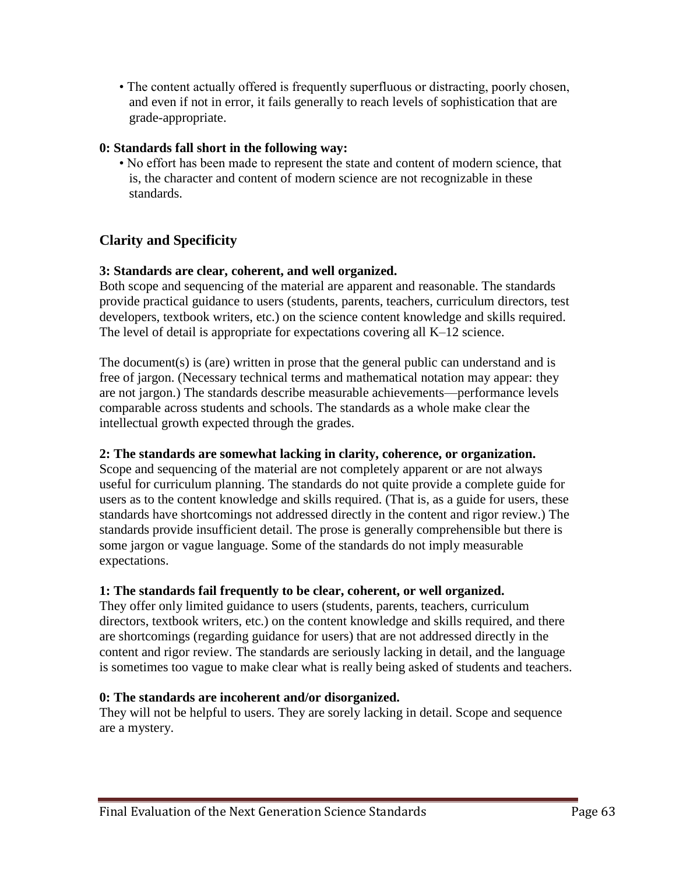• The content actually offered is frequently superfluous or distracting, poorly chosen, and even if not in error, it fails generally to reach levels of sophistication that are grade-appropriate.

### **0: Standards fall short in the following way:**

• No effort has been made to represent the state and content of modern science, that is, the character and content of modern science are not recognizable in these standards.

## **Clarity and Specificity**

### **3: Standards are clear, coherent, and well organized.**

Both scope and sequencing of the material are apparent and reasonable. The standards provide practical guidance to users (students, parents, teachers, curriculum directors, test developers, textbook writers, etc.) on the science content knowledge and skills required. The level of detail is appropriate for expectations covering all K–12 science.

The document(s) is (are) written in prose that the general public can understand and is free of jargon. (Necessary technical terms and mathematical notation may appear: they are not jargon.) The standards describe measurable achievements—performance levels comparable across students and schools. The standards as a whole make clear the intellectual growth expected through the grades.

#### **2: The standards are somewhat lacking in clarity, coherence, or organization.**

Scope and sequencing of the material are not completely apparent or are not always useful for curriculum planning. The standards do not quite provide a complete guide for users as to the content knowledge and skills required. (That is, as a guide for users, these standards have shortcomings not addressed directly in the content and rigor review.) The standards provide insufficient detail. The prose is generally comprehensible but there is some jargon or vague language. Some of the standards do not imply measurable expectations.

### **1: The standards fail frequently to be clear, coherent, or well organized.**

They offer only limited guidance to users (students, parents, teachers, curriculum directors, textbook writers, etc.) on the content knowledge and skills required, and there are shortcomings (regarding guidance for users) that are not addressed directly in the content and rigor review. The standards are seriously lacking in detail, and the language is sometimes too vague to make clear what is really being asked of students and teachers.

#### **0: The standards are incoherent and/or disorganized.**

They will not be helpful to users. They are sorely lacking in detail. Scope and sequence are a mystery.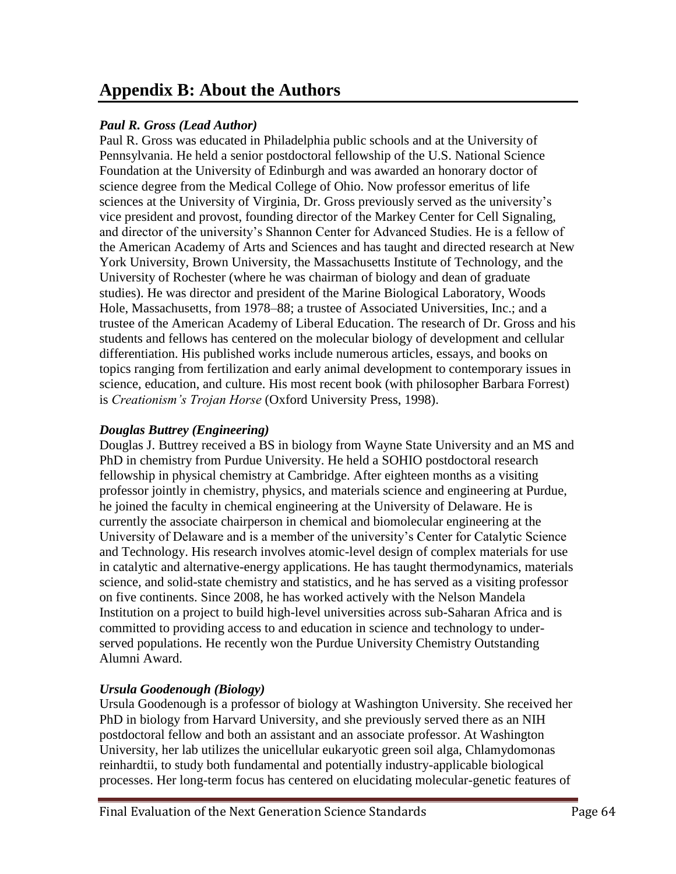# **Appendix B: About the Authors**

### *Paul R. Gross (Lead Author)*

Paul R. Gross was educated in Philadelphia public schools and at the University of Pennsylvania. He held a senior postdoctoral fellowship of the U.S. National Science Foundation at the University of Edinburgh and was awarded an honorary doctor of science degree from the Medical College of Ohio. Now professor emeritus of life sciences at the University of Virginia, Dr. Gross previously served as the university's vice president and provost, founding director of the Markey Center for Cell Signaling, and director of the university's Shannon Center for Advanced Studies. He is a fellow of the American Academy of Arts and Sciences and has taught and directed research at New York University, Brown University, the Massachusetts Institute of Technology, and the University of Rochester (where he was chairman of biology and dean of graduate studies). He was director and president of the Marine Biological Laboratory, Woods Hole, Massachusetts, from 1978–88; a trustee of Associated Universities, Inc.; and a trustee of the American Academy of Liberal Education. The research of Dr. Gross and his students and fellows has centered on the molecular biology of development and cellular differentiation. His published works include numerous articles, essays, and books on topics ranging from fertilization and early animal development to contemporary issues in science, education, and culture. His most recent book (with philosopher Barbara Forrest) is *Creationism's Trojan Horse* (Oxford University Press, 1998).

### *Douglas Buttrey (Engineering)*

Douglas J. Buttrey received a BS in biology from Wayne State University and an MS and PhD in chemistry from Purdue University. He held a SOHIO postdoctoral research fellowship in physical chemistry at Cambridge. After eighteen months as a visiting professor jointly in chemistry, physics, and materials science and engineering at Purdue, he joined the faculty in chemical engineering at the University of Delaware. He is currently the associate chairperson in chemical and biomolecular engineering at the University of Delaware and is a member of the university's Center for Catalytic Science and Technology. His research involves atomic-level design of complex materials for use in catalytic and alternative-energy applications. He has taught thermodynamics, materials science, and solid-state chemistry and statistics, and he has served as a visiting professor on five continents. Since 2008, he has worked actively with the Nelson Mandela Institution on a project to build high-level universities across sub-Saharan Africa and is committed to providing access to and education in science and technology to underserved populations. He recently won the Purdue University Chemistry Outstanding Alumni Award.

### *Ursula Goodenough (Biology)*

Ursula Goodenough is a professor of biology at Washington University. She received her PhD in biology from Harvard University, and she previously served there as an NIH postdoctoral fellow and both an assistant and an associate professor. At Washington University, her lab utilizes the unicellular eukaryotic green soil alga, Chlamydomonas reinhardtii, to study both fundamental and potentially industry-applicable biological processes. Her long-term focus has centered on elucidating molecular-genetic features of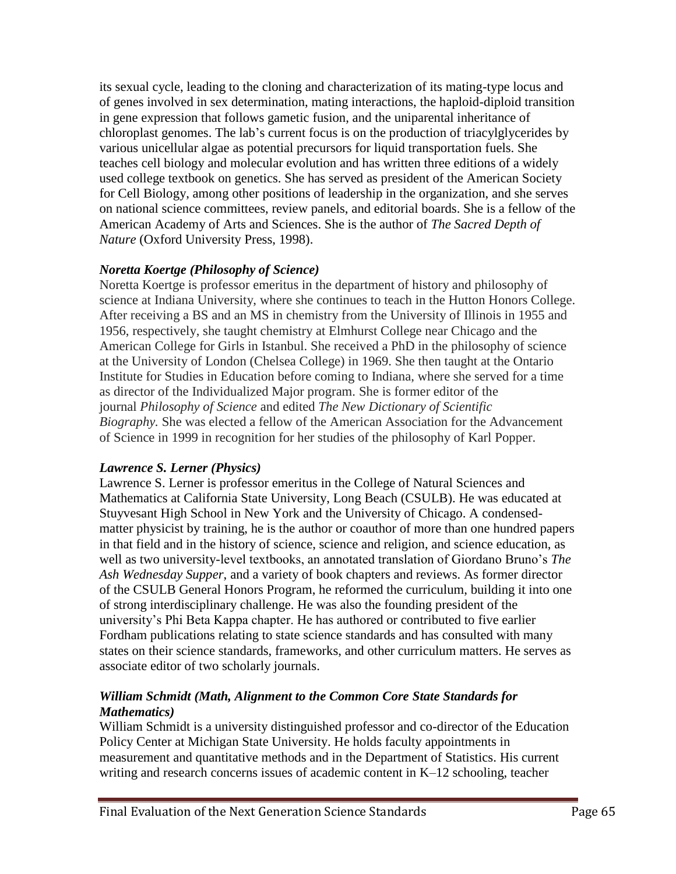its sexual cycle, leading to the cloning and characterization of its mating-type locus and of genes involved in sex determination, mating interactions, the haploid-diploid transition in gene expression that follows gametic fusion, and the uniparental inheritance of chloroplast genomes. The lab's current focus is on the production of triacylglycerides by various unicellular algae as potential precursors for liquid transportation fuels. She teaches cell biology and molecular evolution and has written three editions of a widely used college textbook on genetics. She has served as president of the American Society for Cell Biology, among other positions of leadership in the organization, and she serves on national science committees, review panels, and editorial boards. She is a fellow of the American Academy of Arts and Sciences. She is the author of *The Sacred Depth of Nature* (Oxford University Press, 1998).

### *Noretta Koertge (Philosophy of Science)*

Noretta Koertge is professor emeritus in the department of history and philosophy of science at Indiana University, where she continues to teach in the Hutton Honors College. After receiving a BS and an MS in chemistry from the University of Illinois in 1955 and 1956, respectively, she taught chemistry at Elmhurst College near Chicago and the American College for Girls in Istanbul. She received a PhD in the philosophy of science at the University of London (Chelsea College) in 1969. She then taught at the Ontario Institute for Studies in Education before coming to Indiana, where she served for a time as director of the Individualized Major program. She is former editor of the journal *Philosophy of Science* and edited *The New Dictionary of Scientific Biography.* She was elected a fellow of the American Association for the Advancement of Science in 1999 in recognition for her studies of the philosophy of Karl Popper.

### *Lawrence S. Lerner (Physics)*

Lawrence S. Lerner is professor emeritus in the College of Natural Sciences and Mathematics at California State University, Long Beach (CSULB). He was educated at Stuyvesant High School in New York and the University of Chicago. A condensedmatter physicist by training, he is the author or coauthor of more than one hundred papers in that field and in the history of science, science and religion, and science education, as well as two university-level textbooks, an annotated translation of Giordano Bruno's *The Ash Wednesday Supper*, and a variety of book chapters and reviews. As former director of the CSULB General Honors Program, he reformed the curriculum, building it into one of strong interdisciplinary challenge. He was also the founding president of the university's Phi Beta Kappa chapter. He has authored or contributed to five earlier Fordham publications relating to state science standards and has consulted with many states on their science standards, frameworks, and other curriculum matters. He serves as associate editor of two scholarly journals.

### *William Schmidt (Math, Alignment to the Common Core State Standards for Mathematics)*

William Schmidt is a university distinguished professor and co-director of the Education Policy Center at Michigan State University. He holds faculty appointments in measurement and quantitative methods and in the Department of Statistics. His current writing and research concerns issues of academic content in K–12 schooling, teacher